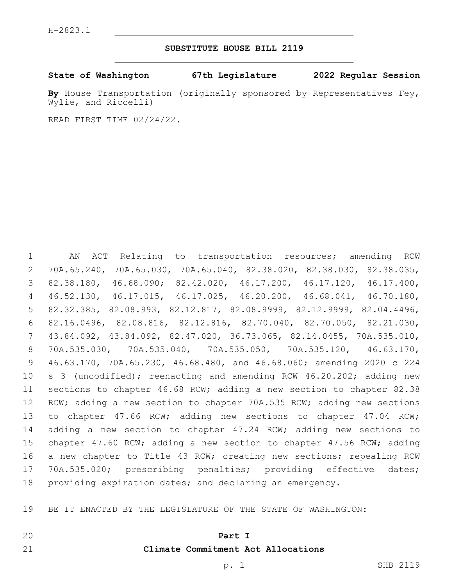### **SUBSTITUTE HOUSE BILL 2119**

#### **State of Washington 67th Legislature 2022 Regular Session**

**By** House Transportation (originally sponsored by Representatives Fey, Wylie, and Riccelli)

READ FIRST TIME 02/24/22.

 AN ACT Relating to transportation resources; amending RCW 70A.65.240, 70A.65.030, 70A.65.040, 82.38.020, 82.38.030, 82.38.035, 82.38.180, 46.68.090; 82.42.020, 46.17.200, 46.17.120, 46.17.400, 46.52.130, 46.17.015, 46.17.025, 46.20.200, 46.68.041, 46.70.180, 82.32.385, 82.08.993, 82.12.817, 82.08.9999, 82.12.9999, 82.04.4496, 82.16.0496, 82.08.816, 82.12.816, 82.70.040, 82.70.050, 82.21.030, 43.84.092, 43.84.092, 82.47.020, 36.73.065, 82.14.0455, 70A.535.010, 70A.535.030, 70A.535.040, 70A.535.050, 70A.535.120, 46.63.170, 46.63.170, 70A.65.230, 46.68.480, and 46.68.060; amending 2020 c 224 10 s 3 (uncodified); reenacting and amending RCW 46.20.202; adding new sections to chapter 46.68 RCW; adding a new section to chapter 82.38 12 RCW; adding a new section to chapter 70A.535 RCW; adding new sections to chapter 47.66 RCW; adding new sections to chapter 47.04 RCW; adding a new section to chapter 47.24 RCW; adding new sections to chapter 47.60 RCW; adding a new section to chapter 47.56 RCW; adding a new chapter to Title 43 RCW; creating new sections; repealing RCW 70A.535.020; prescribing penalties; providing effective dates; providing expiration dates; and declaring an emergency.

BE IT ENACTED BY THE LEGISLATURE OF THE STATE OF WASHINGTON:

#### **Part I**

## **Climate Commitment Act Allocations**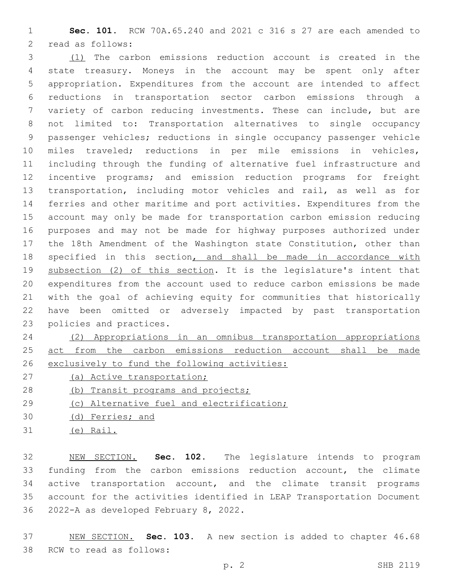**Sec. 101.** RCW 70A.65.240 and 2021 c 316 s 27 are each amended to 2 read as follows:

 (1) The carbon emissions reduction account is created in the state treasury. Moneys in the account may be spent only after appropriation. Expenditures from the account are intended to affect reductions in transportation sector carbon emissions through a variety of carbon reducing investments. These can include, but are not limited to: Transportation alternatives to single occupancy passenger vehicles; reductions in single occupancy passenger vehicle miles traveled; reductions in per mile emissions in vehicles, including through the funding of alternative fuel infrastructure and incentive programs; and emission reduction programs for freight transportation, including motor vehicles and rail, as well as for ferries and other maritime and port activities. Expenditures from the account may only be made for transportation carbon emission reducing purposes and may not be made for highway purposes authorized under the 18th Amendment of the Washington state Constitution, other than 18 specified in this section, and shall be made in accordance with 19 subsection (2) of this section. It is the legislature's intent that expenditures from the account used to reduce carbon emissions be made with the goal of achieving equity for communities that historically have been omitted or adversely impacted by past transportation 23 policies and practices.

# (2) Appropriations in an omnibus transportation appropriations 25 act from the carbon emissions reduction account shall be made exclusively to fund the following activities:

- (a) Active transportation;
- 28 (b) Transit programs and projects;
- (c) Alternative fuel and electrification;
- (d) Ferries; and
- (e) Rail.

 NEW SECTION. **Sec. 102.** The legislature intends to program funding from the carbon emissions reduction account, the climate active transportation account, and the climate transit programs account for the activities identified in LEAP Transportation Document 2022-A as developed February 8, 2022.

 NEW SECTION. **Sec. 103.** A new section is added to chapter 46.68 38 RCW to read as follows: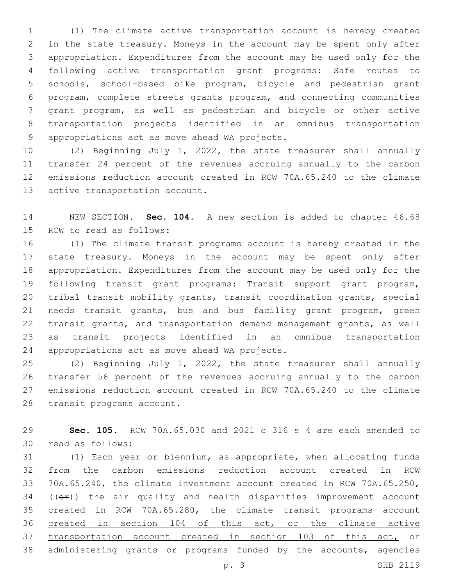(1) The climate active transportation account is hereby created in the state treasury. Moneys in the account may be spent only after appropriation. Expenditures from the account may be used only for the following active transportation grant programs: Safe routes to schools, school-based bike program, bicycle and pedestrian grant program, complete streets grants program, and connecting communities grant program, as well as pedestrian and bicycle or other active transportation projects identified in an omnibus transportation 9 appropriations act as move ahead WA projects.

 (2) Beginning July 1, 2022, the state treasurer shall annually transfer 24 percent of the revenues accruing annually to the carbon emissions reduction account created in RCW 70A.65.240 to the climate 13 active transportation account.

 NEW SECTION. **Sec. 104.** A new section is added to chapter 46.68 15 RCW to read as follows:

 (1) The climate transit programs account is hereby created in the state treasury. Moneys in the account may be spent only after appropriation. Expenditures from the account may be used only for the following transit grant programs: Transit support grant program, tribal transit mobility grants, transit coordination grants, special needs transit grants, bus and bus facility grant program, green transit grants, and transportation demand management grants, as well as transit projects identified in an omnibus transportation 24 appropriations act as move ahead WA projects.

 (2) Beginning July 1, 2022, the state treasurer shall annually transfer 56 percent of the revenues accruing annually to the carbon emissions reduction account created in RCW 70A.65.240 to the climate 28 transit programs account.

 **Sec. 105.** RCW 70A.65.030 and 2021 c 316 s 4 are each amended to 30 read as follows:

 (1) Each year or biennium, as appropriate, when allocating funds from the carbon emissions reduction account created in RCW 70A.65.240, the climate investment account created in RCW 70A.65.250, (( $\Theta$ )) the air quality and health disparities improvement account created in RCW 70A.65.280, the climate transit programs account 36 created in section 104 of this act, or the climate active transportation account created in section 103 of this act, or administering grants or programs funded by the accounts, agencies p. 3 SHB 2119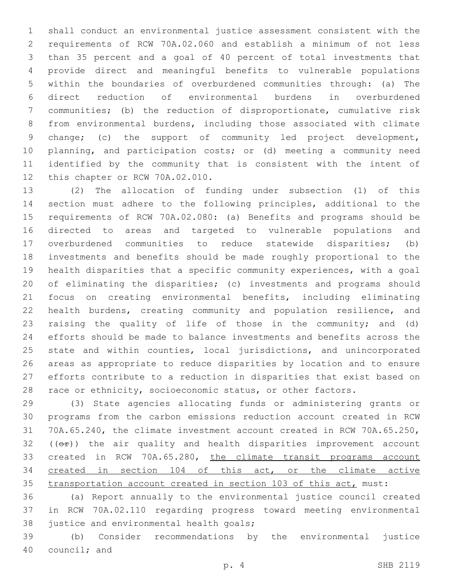shall conduct an environmental justice assessment consistent with the requirements of RCW 70A.02.060 and establish a minimum of not less than 35 percent and a goal of 40 percent of total investments that provide direct and meaningful benefits to vulnerable populations within the boundaries of overburdened communities through: (a) The direct reduction of environmental burdens in overburdened communities; (b) the reduction of disproportionate, cumulative risk from environmental burdens, including those associated with climate change; (c) the support of community led project development, planning, and participation costs; or (d) meeting a community need identified by the community that is consistent with the intent of 12 this chapter or RCW 70A.02.010.

 (2) The allocation of funding under subsection (1) of this section must adhere to the following principles, additional to the requirements of RCW 70A.02.080: (a) Benefits and programs should be directed to areas and targeted to vulnerable populations and overburdened communities to reduce statewide disparities; (b) investments and benefits should be made roughly proportional to the health disparities that a specific community experiences, with a goal of eliminating the disparities; (c) investments and programs should focus on creating environmental benefits, including eliminating health burdens, creating community and population resilience, and raising the quality of life of those in the community; and (d) efforts should be made to balance investments and benefits across the state and within counties, local jurisdictions, and unincorporated areas as appropriate to reduce disparities by location and to ensure efforts contribute to a reduction in disparities that exist based on 28 race or ethnicity, socioeconomic status, or other factors.

 (3) State agencies allocating funds or administering grants or programs from the carbon emissions reduction account created in RCW 70A.65.240, the climate investment account created in RCW 70A.65.250, (( $\Theta$ ) the air quality and health disparities improvement account 33 created in RCW 70A.65.280, the climate transit programs account created in section 104 of this act, or the climate active transportation account created in section 103 of this act, must:

 (a) Report annually to the environmental justice council created in RCW 70A.02.110 regarding progress toward meeting environmental 38 justice and environmental health goals;

 (b) Consider recommendations by the environmental justice 40 council; and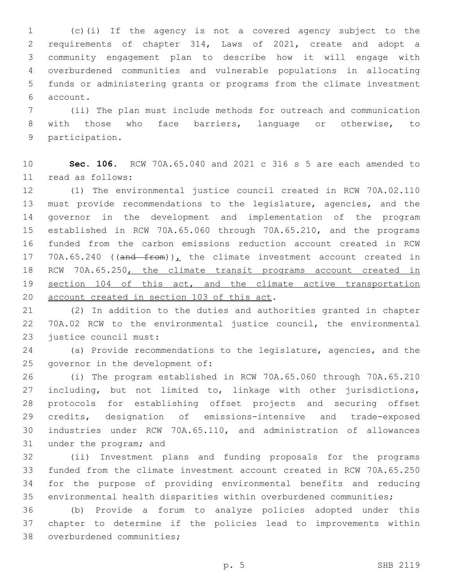(c)(i) If the agency is not a covered agency subject to the requirements of chapter 314, Laws of 2021, create and adopt a community engagement plan to describe how it will engage with overburdened communities and vulnerable populations in allocating funds or administering grants or programs from the climate investment account.6

 (ii) The plan must include methods for outreach and communication with those who face barriers, language or otherwise, to 9 participation.

 **Sec. 106.** RCW 70A.65.040 and 2021 c 316 s 5 are each amended to read as follows:11

 (1) The environmental justice council created in RCW 70A.02.110 must provide recommendations to the legislature, agencies, and the governor in the development and implementation of the program established in RCW 70A.65.060 through 70A.65.210, and the programs funded from the carbon emissions reduction account created in RCW 17 70A.65.240 ((and from)), the climate investment account created in RCW 70A.65.250, the climate transit programs account created in 19 section 104 of this act, and the climate active transportation 20 account created in section 103 of this act.

 (2) In addition to the duties and authorities granted in chapter 70A.02 RCW to the environmental justice council, the environmental 23 justice council must:

 (a) Provide recommendations to the legislature, agencies, and the 25 governor in the development of:

 (i) The program established in RCW 70A.65.060 through 70A.65.210 including, but not limited to, linkage with other jurisdictions, protocols for establishing offset projects and securing offset credits, designation of emissions-intensive and trade-exposed industries under RCW 70A.65.110, and administration of allowances 31 under the program; and

 (ii) Investment plans and funding proposals for the programs funded from the climate investment account created in RCW 70A.65.250 for the purpose of providing environmental benefits and reducing environmental health disparities within overburdened communities;

 (b) Provide a forum to analyze policies adopted under this chapter to determine if the policies lead to improvements within 38 overburdened communities;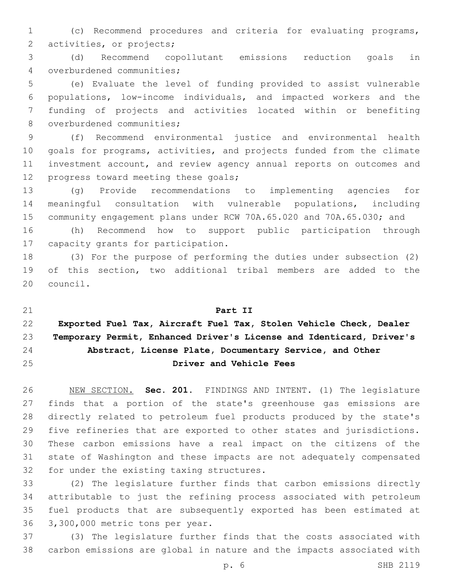(c) Recommend procedures and criteria for evaluating programs, 2 activities, or projects;

 (d) Recommend copollutant emissions reduction goals in 4 overburdened communities;

 (e) Evaluate the level of funding provided to assist vulnerable populations, low-income individuals, and impacted workers and the funding of projects and activities located within or benefiting 8 overburdened communities;

 (f) Recommend environmental justice and environmental health goals for programs, activities, and projects funded from the climate investment account, and review agency annual reports on outcomes and 12 progress toward meeting these goals;

 (g) Provide recommendations to implementing agencies for meaningful consultation with vulnerable populations, including community engagement plans under RCW 70A.65.020 and 70A.65.030; and

 (h) Recommend how to support public participation through 17 capacity grants for participation.

 (3) For the purpose of performing the duties under subsection (2) of this section, two additional tribal members are added to the 20 council.

 **Part II Exported Fuel Tax, Aircraft Fuel Tax, Stolen Vehicle Check, Dealer Temporary Permit, Enhanced Driver's License and Identicard, Driver's Abstract, License Plate, Documentary Service, and Other Driver and Vehicle Fees**

 NEW SECTION. **Sec. 201.** FINDINGS AND INTENT. (1) The legislature finds that a portion of the state's greenhouse gas emissions are directly related to petroleum fuel products produced by the state's five refineries that are exported to other states and jurisdictions. These carbon emissions have a real impact on the citizens of the state of Washington and these impacts are not adequately compensated for under the existing taxing structures.

 (2) The legislature further finds that carbon emissions directly attributable to just the refining process associated with petroleum fuel products that are subsequently exported has been estimated at 36 3,300,000 metric tons per year.

 (3) The legislature further finds that the costs associated with carbon emissions are global in nature and the impacts associated with

p. 6 SHB 2119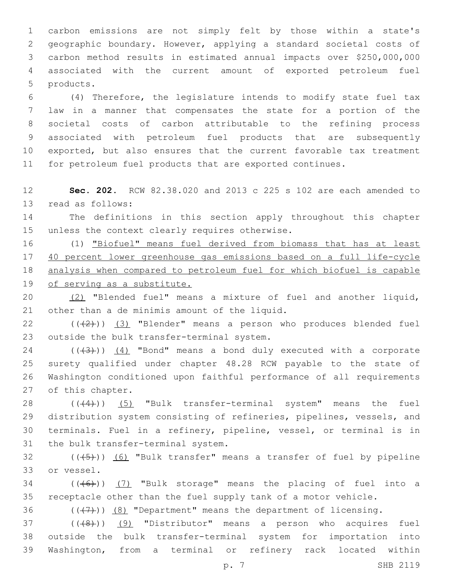carbon emissions are not simply felt by those within a state's geographic boundary. However, applying a standard societal costs of carbon method results in estimated annual impacts over \$250,000,000 associated with the current amount of exported petroleum fuel 5 products.

 (4) Therefore, the legislature intends to modify state fuel tax law in a manner that compensates the state for a portion of the societal costs of carbon attributable to the refining process associated with petroleum fuel products that are subsequently exported, but also ensures that the current favorable tax treatment for petroleum fuel products that are exported continues.

 **Sec. 202.** RCW 82.38.020 and 2013 c 225 s 102 are each amended to 13 read as follows:

 The definitions in this section apply throughout this chapter 15 unless the context clearly requires otherwise.

 (1) "Biofuel" means fuel derived from biomass that has at least 40 percent lower greenhouse gas emissions based on a full life-cycle analysis when compared to petroleum fuel for which biofuel is capable of serving as a substitute.

 (2) "Blended fuel" means a mixture of fuel and another liquid, 21 other than a de minimis amount of the liquid.

22  $((+2+))$   $(3)$  "Blender" means a person who produces blended fuel 23 outside the bulk transfer-terminal system.

 ( $(\overline{3})$ )  $(4)$  "Bond" means a bond duly executed with a corporate surety qualified under chapter 48.28 RCW payable to the state of Washington conditioned upon faithful performance of all requirements 27 of this chapter.

 $((4)$ ) (5) "Bulk transfer-terminal system" means the fuel distribution system consisting of refineries, pipelines, vessels, and terminals. Fuel in a refinery, pipeline, vessel, or terminal is in 31 the bulk transfer-terminal system.

 (( $(45)$ )) (6) "Bulk transfer" means a transfer of fuel by pipeline 33 or vessel.

 (( $(46)$ )) (7) "Bulk storage" means the placing of fuel into a receptacle other than the fuel supply tank of a motor vehicle.

36  $((+7+))$   $(8)$  "Department" means the department of licensing.

37 (((48)) (9) "Distributor" means a person who acquires fuel outside the bulk transfer-terminal system for importation into Washington, from a terminal or refinery rack located within

p. 7 SHB 2119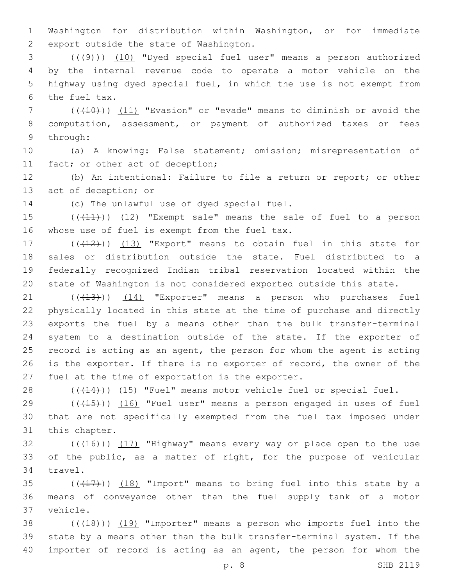1 Washington for distribution within Washington, or for immediate 2 export outside the state of Washington.

3 (((49))) (10) "Dyed special fuel user" means a person authorized 4 by the internal revenue code to operate a motor vehicle on the 5 highway using dyed special fuel, in which the use is not exempt from 6 the fuel tax.

7 (((10))) (11) "Evasion" or "evade" means to diminish or avoid the 8 computation, assessment, or payment of authorized taxes or fees 9 through:

10 (a) A knowing: False statement; omission; misrepresentation of 11 fact; or other act of deception;

12 (b) An intentional: Failure to file a return or report; or other 13 act of deception; or

14 (c) The unlawful use of dyed special fuel.

15  $((+11))$   $(12)$  "Exempt sale" means the sale of fuel to a person 16 whose use of fuel is exempt from the fuel tax.

17 (((412))) (13) "Export" means to obtain fuel in this state for sales or distribution outside the state. Fuel distributed to a federally recognized Indian tribal reservation located within the state of Washington is not considered exported outside this state.

21 ((+13))) (14) "Exporter" means a person who purchases fuel physically located in this state at the time of purchase and directly exports the fuel by a means other than the bulk transfer-terminal system to a destination outside of the state. If the exporter of record is acting as an agent, the person for whom the agent is acting is the exporter. If there is no exporter of record, the owner of the 27 fuel at the time of exportation is the exporter.

28 (((414))) (15) "Fuel" means motor vehicle fuel or special fuel.

29  $((+15))$   $(16)$  "Fuel user" means a person engaged in uses of fuel 30 that are not specifically exempted from the fuel tax imposed under 31 this chapter.

 $(16)$  (( $(16)$ )) (17) "Highway" means every way or place open to the use 33 of the public, as a matter of right, for the purpose of vehicular 34 travel.

35  $((+17))$   $(18)$  "Import" means to bring fuel into this state by a 36 means of conveyance other than the fuel supply tank of a motor 37 vehicle.

38 (((418))) (19) "Importer" means a person who imports fuel into the 39 state by a means other than the bulk transfer-terminal system. If the 40 importer of record is acting as an agent, the person for whom the

p. 8 SHB 2119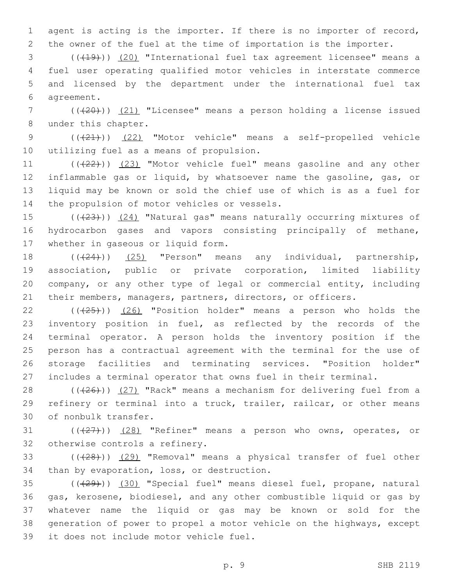1 agent is acting is the importer. If there is no importer of record, 2 the owner of the fuel at the time of importation is the importer.

3 (( $(19)$ )) (20) "International fuel tax agreement licensee" means a 4 fuel user operating qualified motor vehicles in interstate commerce 5 and licensed by the department under the international fuel tax agreement.6

7 (( $(20)$ )) (21) "Licensee" means a person holding a license issued 8 under this chapter.

9 (( $(21)$ )) (22) "Motor vehicle" means a self-propelled vehicle 10 utilizing fuel as a means of propulsion.

11 (((22))) (23) "Motor vehicle fuel" means gasoline and any other 12 inflammable gas or liquid, by whatsoever name the gasoline, gas, or 13 liquid may be known or sold the chief use of which is as a fuel for 14 the propulsion of motor vehicles or vessels.

15  $((+23))$   $(24)$  "Natural gas" means naturally occurring mixtures of 16 hydrocarbon gases and vapors consisting principally of methane, 17 whether in gaseous or liquid form.

 $((24))$   $(25)$  "Person" means any individual, partnership, association, public or private corporation, limited liability company, or any other type of legal or commercial entity, including their members, managers, partners, directors, or officers.

 $((+25))$   $(26)$  "Position holder" means a person who holds the inventory position in fuel, as reflected by the records of the terminal operator. A person holds the inventory position if the person has a contractual agreement with the terminal for the use of storage facilities and terminating services. "Position holder" includes a terminal operator that owns fuel in their terminal.

28 (((26))) (27) "Rack" means a mechanism for delivering fuel from a 29 refinery or terminal into a truck, trailer, railcar, or other means 30 of nonbulk transfer.

31  $((+27)$ )  $(28)$  "Refiner" means a person who owns, operates, or 32 otherwise controls a refinery.

33 (((28))) (29) "Removal" means a physical transfer of fuel other 34 than by evaporation, loss, or destruction.

35 (((29))) (30) "Special fuel" means diesel fuel, propane, natural 36 gas, kerosene, biodiesel, and any other combustible liquid or gas by 37 whatever name the liquid or gas may be known or sold for the 38 generation of power to propel a motor vehicle on the highways, except 39 it does not include motor vehicle fuel.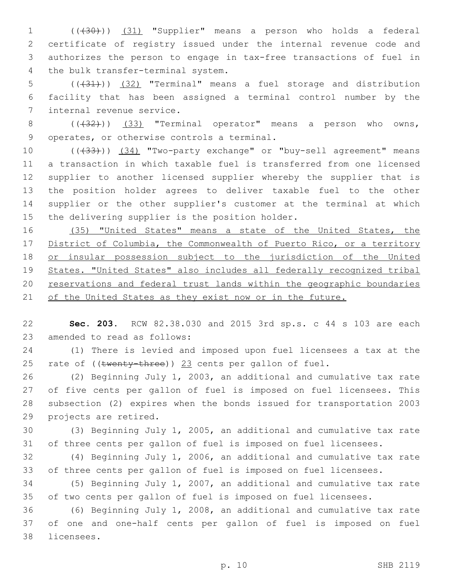(((30))) (31) "Supplier" means a person who holds a federal certificate of registry issued under the internal revenue code and authorizes the person to engage in tax-free transactions of fuel in 4 the bulk transfer-terminal system.

 (((31))) (32) "Terminal" means a fuel storage and distribution facility that has been assigned a terminal control number by the 7 internal revenue service.

8 (( $(32)$ )) (33) "Terminal operator" means a person who owns, 9 operates, or otherwise controls a terminal.

10 (( $\left(\frac{33}{1}\right)$ ) (34) "Two-party exchange" or "buy-sell agreement" means a transaction in which taxable fuel is transferred from one licensed supplier to another licensed supplier whereby the supplier that is the position holder agrees to deliver taxable fuel to the other supplier or the other supplier's customer at the terminal at which 15 the delivering supplier is the position holder.

 (35) "United States" means a state of the United States, the District of Columbia, the Commonwealth of Puerto Rico, or a territory 18 or insular possession subject to the jurisdiction of the United States. "United States" also includes all federally recognized tribal reservations and federal trust lands within the geographic boundaries 21 of the United States as they exist now or in the future.

 **Sec. 203.** RCW 82.38.030 and 2015 3rd sp.s. c 44 s 103 are each 23 amended to read as follows:

 (1) There is levied and imposed upon fuel licensees a tax at the 25 rate of ((twenty-three)) 23 cents per gallon of fuel.

 (2) Beginning July 1, 2003, an additional and cumulative tax rate of five cents per gallon of fuel is imposed on fuel licensees. This subsection (2) expires when the bonds issued for transportation 2003 29 projects are retired.

 (3) Beginning July 1, 2005, an additional and cumulative tax rate of three cents per gallon of fuel is imposed on fuel licensees.

 (4) Beginning July 1, 2006, an additional and cumulative tax rate of three cents per gallon of fuel is imposed on fuel licensees.

 (5) Beginning July 1, 2007, an additional and cumulative tax rate of two cents per gallon of fuel is imposed on fuel licensees.

 (6) Beginning July 1, 2008, an additional and cumulative tax rate of one and one-half cents per gallon of fuel is imposed on fuel 38 licensees.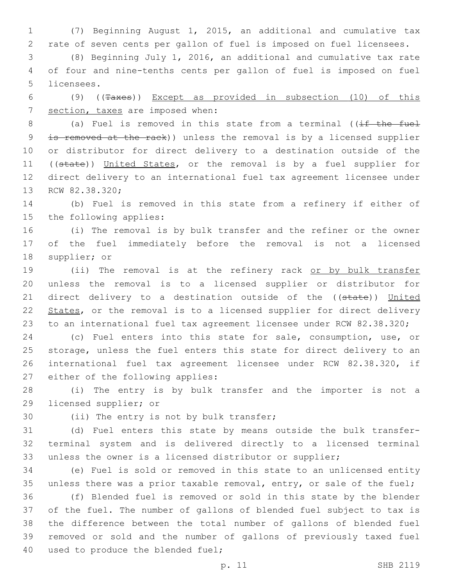1 (7) Beginning August 1, 2015, an additional and cumulative tax 2 rate of seven cents per gallon of fuel is imposed on fuel licensees.

3 (8) Beginning July 1, 2016, an additional and cumulative tax rate 4 of four and nine-tenths cents per gallon of fuel is imposed on fuel 5 licensees.

6 (9) ((Taxes)) Except as provided in subsection (10) of this 7 section, taxes are imposed when:

8 (a) Fuel is removed in this state from a terminal ((if the fuel 9 is removed at the rack)) unless the removal is by a licensed supplier 10 or distributor for direct delivery to a destination outside of the 11 ((state)) United States, or the removal is by a fuel supplier for 12 direct delivery to an international fuel tax agreement licensee under 13 RCW 82.38.320;

14 (b) Fuel is removed in this state from a refinery if either of 15 the following applies:

16 (i) The removal is by bulk transfer and the refiner or the owner 17 of the fuel immediately before the removal is not a licensed 18 supplier; or

19 (ii) The removal is at the refinery rack or by bulk transfer 20 unless the removal is to a licensed supplier or distributor for 21 direct delivery to a destination outside of the ((state)) United 22 States, or the removal is to a licensed supplier for direct delivery 23 to an international fuel tax agreement licensee under RCW 82.38.320;

 (c) Fuel enters into this state for sale, consumption, use, or storage, unless the fuel enters this state for direct delivery to an international fuel tax agreement licensee under RCW 82.38.320, if 27 either of the following applies:

28 (i) The entry is by bulk transfer and the importer is not a 29 licensed supplier; or

30 (ii) The entry is not by bulk transfer;

31 (d) Fuel enters this state by means outside the bulk transfer-32 terminal system and is delivered directly to a licensed terminal 33 unless the owner is a licensed distributor or supplier;

34 (e) Fuel is sold or removed in this state to an unlicensed entity 35 unless there was a prior taxable removal, entry, or sale of the fuel;

 (f) Blended fuel is removed or sold in this state by the blender of the fuel. The number of gallons of blended fuel subject to tax is the difference between the total number of gallons of blended fuel removed or sold and the number of gallons of previously taxed fuel 40 used to produce the blended fuel;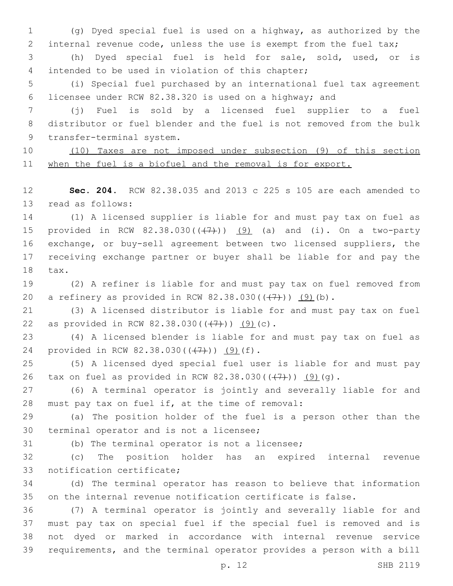(g) Dyed special fuel is used on a highway, as authorized by the internal revenue code, unless the use is exempt from the fuel tax;

 (h) Dyed special fuel is held for sale, sold, used, or is 4 intended to be used in violation of this chapter;

 (i) Special fuel purchased by an international fuel tax agreement licensee under RCW 82.38.320 is used on a highway; and

 (j) Fuel is sold by a licensed fuel supplier to a fuel distributor or fuel blender and the fuel is not removed from the bulk 9 transfer-terminal system.

 (10) Taxes are not imposed under subsection (9) of this section when the fuel is a biofuel and the removal is for export.

 **Sec. 204.** RCW 82.38.035 and 2013 c 225 s 105 are each amended to 13 read as follows:

 (1) A licensed supplier is liable for and must pay tax on fuel as 15 provided in RCW  $82.38.030((+7))$   $(9)$  (a) and (i). On a two-party exchange, or buy-sell agreement between two licensed suppliers, the receiving exchange partner or buyer shall be liable for and pay the 18 tax.

 (2) A refiner is liable for and must pay tax on fuel removed from 20 a refinery as provided in RCW  $82.38.030((\frac{7}{7}))$   $(9)(b)$ .

 (3) A licensed distributor is liable for and must pay tax on fuel 22 as provided in RCW 82.38.030( $(\frac{7}{7})$ ) (9)(c).

 (4) A licensed blender is liable for and must pay tax on fuel as 24 provided in RCW 82.38.030(((7))) (9)(f).

 (5) A licensed dyed special fuel user is liable for and must pay 26 tax on fuel as provided in RCW 82.38.030( $(\frac{7}{7})$ ) (9)(q).

 (6) A terminal operator is jointly and severally liable for and 28 must pay tax on fuel if, at the time of removal:

 (a) The position holder of the fuel is a person other than the 30 terminal operator and is not a licensee;

(b) The terminal operator is not a licensee;

 (c) The position holder has an expired internal revenue 33 notification certificate;

 (d) The terminal operator has reason to believe that information on the internal revenue notification certificate is false.

 (7) A terminal operator is jointly and severally liable for and must pay tax on special fuel if the special fuel is removed and is not dyed or marked in accordance with internal revenue service requirements, and the terminal operator provides a person with a bill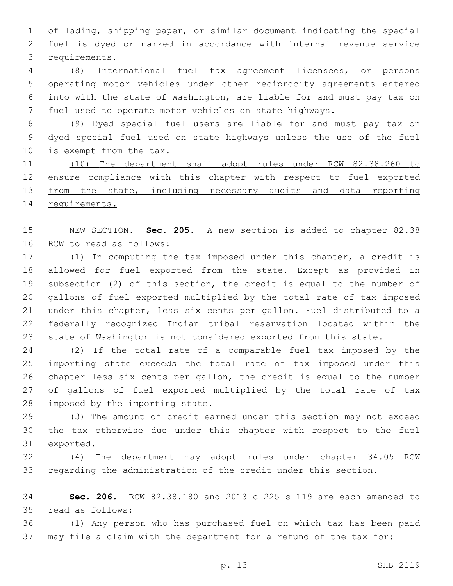of lading, shipping paper, or similar document indicating the special fuel is dyed or marked in accordance with internal revenue service 3 requirements.

 (8) International fuel tax agreement licensees, or persons operating motor vehicles under other reciprocity agreements entered into with the state of Washington, are liable for and must pay tax on fuel used to operate motor vehicles on state highways.

 (9) Dyed special fuel users are liable for and must pay tax on dyed special fuel used on state highways unless the use of the fuel 10 is exempt from the tax.

 (10) The department shall adopt rules under RCW 82.38.260 to ensure compliance with this chapter with respect to fuel exported 13 from the state, including necessary audits and data reporting requirements.

 NEW SECTION. **Sec. 205.** A new section is added to chapter 82.38 16 RCW to read as follows:

 (1) In computing the tax imposed under this chapter, a credit is allowed for fuel exported from the state. Except as provided in subsection (2) of this section, the credit is equal to the number of gallons of fuel exported multiplied by the total rate of tax imposed under this chapter, less six cents per gallon. Fuel distributed to a federally recognized Indian tribal reservation located within the state of Washington is not considered exported from this state.

 (2) If the total rate of a comparable fuel tax imposed by the importing state exceeds the total rate of tax imposed under this chapter less six cents per gallon, the credit is equal to the number of gallons of fuel exported multiplied by the total rate of tax 28 imposed by the importing state.

 (3) The amount of credit earned under this section may not exceed the tax otherwise due under this chapter with respect to the fuel 31 exported.

 (4) The department may adopt rules under chapter 34.05 RCW regarding the administration of the credit under this section.

 **Sec. 206.** RCW 82.38.180 and 2013 c 225 s 119 are each amended to read as follows:35

 (1) Any person who has purchased fuel on which tax has been paid may file a claim with the department for a refund of the tax for: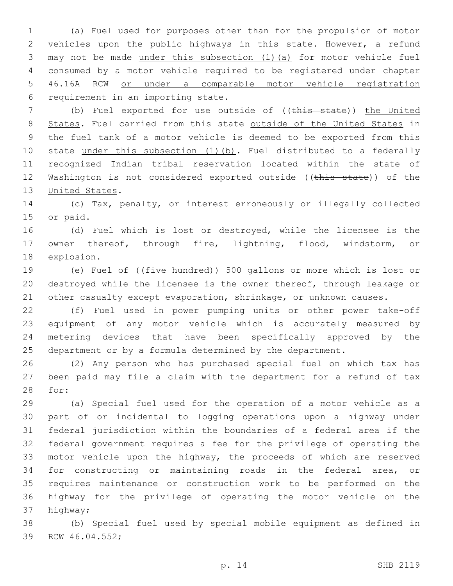(a) Fuel used for purposes other than for the propulsion of motor vehicles upon the public highways in this state. However, a refund may not be made under this subsection (1)(a) for motor vehicle fuel consumed by a motor vehicle required to be registered under chapter 46.16A RCW or under a comparable motor vehicle registration 6 requirement in an importing state.

7 (b) Fuel exported for use outside of ((this state)) the United 8 States. Fuel carried from this state outside of the United States in the fuel tank of a motor vehicle is deemed to be exported from this 10 state under this subsection (1)(b). Fuel distributed to a federally recognized Indian tribal reservation located within the state of 12 Washington is not considered exported outside ((this state)) of the 13 United States.

 (c) Tax, penalty, or interest erroneously or illegally collected 15 or paid.

 (d) Fuel which is lost or destroyed, while the licensee is the owner thereof, through fire, lightning, flood, windstorm, or 18 explosion.

19 (e) Fuel of ((<del>five hundred</del>)) 500 gallons or more which is lost or destroyed while the licensee is the owner thereof, through leakage or 21 other casualty except evaporation, shrinkage, or unknown causes.

 (f) Fuel used in power pumping units or other power take-off equipment of any motor vehicle which is accurately measured by metering devices that have been specifically approved by the department or by a formula determined by the department.

 (2) Any person who has purchased special fuel on which tax has been paid may file a claim with the department for a refund of tax 28 for:

 (a) Special fuel used for the operation of a motor vehicle as a part of or incidental to logging operations upon a highway under federal jurisdiction within the boundaries of a federal area if the federal government requires a fee for the privilege of operating the motor vehicle upon the highway, the proceeds of which are reserved for constructing or maintaining roads in the federal area, or requires maintenance or construction work to be performed on the highway for the privilege of operating the motor vehicle on the 37 highway;

 (b) Special fuel used by special mobile equipment as defined in 39 RCW 46.04.552;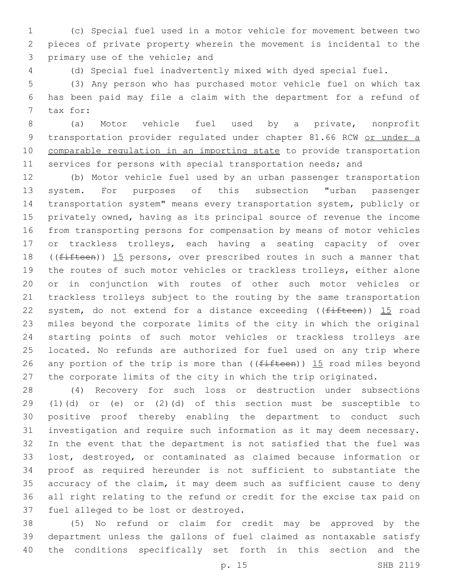(c) Special fuel used in a motor vehicle for movement between two pieces of private property wherein the movement is incidental to the 3 primary use of the vehicle; and

(d) Special fuel inadvertently mixed with dyed special fuel.

 (3) Any person who has purchased motor vehicle fuel on which tax has been paid may file a claim with the department for a refund of 7 tax for:

 (a) Motor vehicle fuel used by a private, nonprofit 9 transportation provider regulated under chapter 81.66 RCW or under a comparable regulation in an importing state to provide transportation 11 services for persons with special transportation needs; and

 (b) Motor vehicle fuel used by an urban passenger transportation system. For purposes of this subsection "urban passenger transportation system" means every transportation system, publicly or privately owned, having as its principal source of revenue the income from transporting persons for compensation by means of motor vehicles or trackless trolleys, each having a seating capacity of over 18 ((fifteen)) 15 persons, over prescribed routes in such a manner that the routes of such motor vehicles or trackless trolleys, either alone or in conjunction with routes of other such motor vehicles or trackless trolleys subject to the routing by the same transportation 22 system, do not extend for a distance exceeding ( $(fifteen)$ ) 15 road miles beyond the corporate limits of the city in which the original starting points of such motor vehicles or trackless trolleys are located. No refunds are authorized for fuel used on any trip where 26 any portion of the trip is more than ( $(f$ ifteen)) 15 road miles beyond the corporate limits of the city in which the trip originated.

 (4) Recovery for such loss or destruction under subsections (1)(d) or (e) or (2)(d) of this section must be susceptible to positive proof thereby enabling the department to conduct such investigation and require such information as it may deem necessary. In the event that the department is not satisfied that the fuel was lost, destroyed, or contaminated as claimed because information or proof as required hereunder is not sufficient to substantiate the accuracy of the claim, it may deem such as sufficient cause to deny all right relating to the refund or credit for the excise tax paid on 37 fuel alleged to be lost or destroyed.

 (5) No refund or claim for credit may be approved by the department unless the gallons of fuel claimed as nontaxable satisfy the conditions specifically set forth in this section and the

p. 15 SHB 2119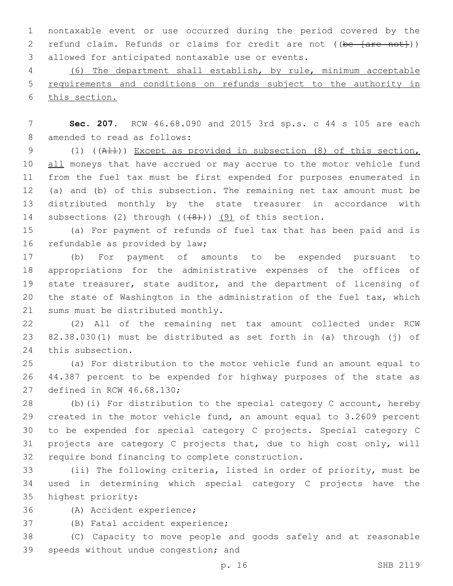nontaxable event or use occurred during the period covered by the 2 refund claim. Refunds or claims for credit are not ((be [are not])) 3 allowed for anticipated nontaxable use or events.

 (6) The department shall establish, by rule, minimum acceptable requirements and conditions on refunds subject to the authority in this section.

 **Sec. 207.** RCW 46.68.090 and 2015 3rd sp.s. c 44 s 105 are each 8 amended to read as follows:

 (1) ((All)) Except as provided in subsection (8) of this section, 10 all moneys that have accrued or may accrue to the motor vehicle fund from the fuel tax must be first expended for purposes enumerated in (a) and (b) of this subsection. The remaining net tax amount must be distributed monthly by the state treasurer in accordance with 14 subsections (2) through  $((+8+))$  (9) of this section.

 (a) For payment of refunds of fuel tax that has been paid and is 16 refundable as provided by law;

 (b) For payment of amounts to be expended pursuant to appropriations for the administrative expenses of the offices of state treasurer, state auditor, and the department of licensing of the state of Washington in the administration of the fuel tax, which 21 sums must be distributed monthly.

 (2) All of the remaining net tax amount collected under RCW 82.38.030(1) must be distributed as set forth in (a) through (j) of 24 this subsection.

 (a) For distribution to the motor vehicle fund an amount equal to 44.387 percent to be expended for highway purposes of the state as 27 defined in RCW 46.68.130;

 (b)(i) For distribution to the special category C account, hereby created in the motor vehicle fund, an amount equal to 3.2609 percent to be expended for special category C projects. Special category C projects are category C projects that, due to high cost only, will 32 require bond financing to complete construction.

 (ii) The following criteria, listed in order of priority, must be used in determining which special category C projects have the 35 highest priority:

36 (A) Accident experience;

37 (B) Fatal accident experience;

 (C) Capacity to move people and goods safely and at reasonable 39 speeds without undue congestion; and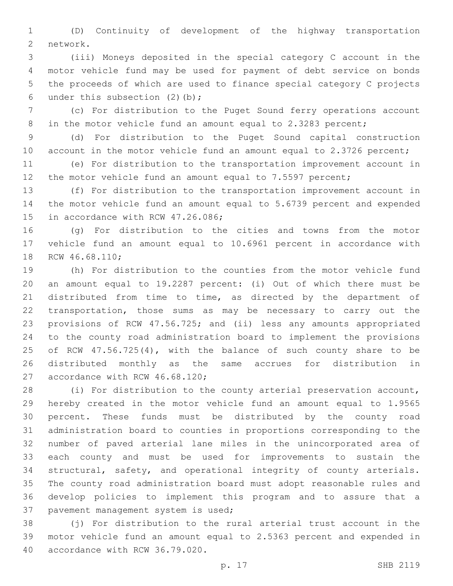(D) Continuity of development of the highway transportation 2 network.

 (iii) Moneys deposited in the special category C account in the motor vehicle fund may be used for payment of debt service on bonds the proceeds of which are used to finance special category C projects 6 under this subsection  $(2)(b)$ ;

 (c) For distribution to the Puget Sound ferry operations account 8 in the motor vehicle fund an amount equal to 2.3283 percent;

 (d) For distribution to the Puget Sound capital construction 10 account in the motor vehicle fund an amount equal to 2.3726 percent;

 (e) For distribution to the transportation improvement account in 12 the motor vehicle fund an amount equal to 7.5597 percent;

 (f) For distribution to the transportation improvement account in the motor vehicle fund an amount equal to 5.6739 percent and expended 15 in accordance with RCW 47.26.086;

 (g) For distribution to the cities and towns from the motor vehicle fund an amount equal to 10.6961 percent in accordance with 18 RCW 46.68.110;

 (h) For distribution to the counties from the motor vehicle fund an amount equal to 19.2287 percent: (i) Out of which there must be distributed from time to time, as directed by the department of transportation, those sums as may be necessary to carry out the provisions of RCW 47.56.725; and (ii) less any amounts appropriated to the county road administration board to implement the provisions of RCW 47.56.725(4), with the balance of such county share to be distributed monthly as the same accrues for distribution in 27 accordance with RCW 46.68.120;

 (i) For distribution to the county arterial preservation account, hereby created in the motor vehicle fund an amount equal to 1.9565 percent. These funds must be distributed by the county road administration board to counties in proportions corresponding to the number of paved arterial lane miles in the unincorporated area of each county and must be used for improvements to sustain the structural, safety, and operational integrity of county arterials. The county road administration board must adopt reasonable rules and develop policies to implement this program and to assure that a 37 pavement management system is used;

 (j) For distribution to the rural arterial trust account in the motor vehicle fund an amount equal to 2.5363 percent and expended in 40 accordance with RCW 36.79.020.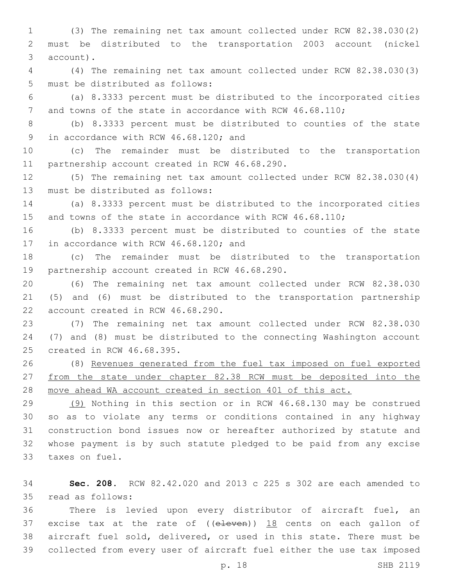(3) The remaining net tax amount collected under RCW 82.38.030(2) must be distributed to the transportation 2003 account (nickel 3 account).

 (4) The remaining net tax amount collected under RCW 82.38.030(3) 5 must be distributed as follows:

 (a) 8.3333 percent must be distributed to the incorporated cities 7 and towns of the state in accordance with RCW 46.68.110;

 (b) 8.3333 percent must be distributed to counties of the state 9 in accordance with RCW 46.68.120; and

 (c) The remainder must be distributed to the transportation 11 partnership account created in RCW 46.68.290.

 (5) The remaining net tax amount collected under RCW 82.38.030(4) 13 must be distributed as follows:

 (a) 8.3333 percent must be distributed to the incorporated cities 15 and towns of the state in accordance with RCW 46.68.110;

 (b) 8.3333 percent must be distributed to counties of the state 17 in accordance with RCW 46.68.120; and

 (c) The remainder must be distributed to the transportation 19 partnership account created in RCW 46.68.290.

 (6) The remaining net tax amount collected under RCW 82.38.030 (5) and (6) must be distributed to the transportation partnership 22 account created in RCW 46.68.290.

 (7) The remaining net tax amount collected under RCW 82.38.030 (7) and (8) must be distributed to the connecting Washington account 25 created in RCW 46.68.395.

 (8) Revenues generated from the fuel tax imposed on fuel exported from the state under chapter 82.38 RCW must be deposited into the move ahead WA account created in section 401 of this act.

 (9) Nothing in this section or in RCW 46.68.130 may be construed so as to violate any terms or conditions contained in any highway construction bond issues now or hereafter authorized by statute and whose payment is by such statute pledged to be paid from any excise 33 taxes on fuel.

 **Sec. 208.** RCW 82.42.020 and 2013 c 225 s 302 are each amended to read as follows:35

 There is levied upon every distributor of aircraft fuel, an 37 excise tax at the rate of  $($  (eleven))  $18$  cents on each gallon of aircraft fuel sold, delivered, or used in this state. There must be collected from every user of aircraft fuel either the use tax imposed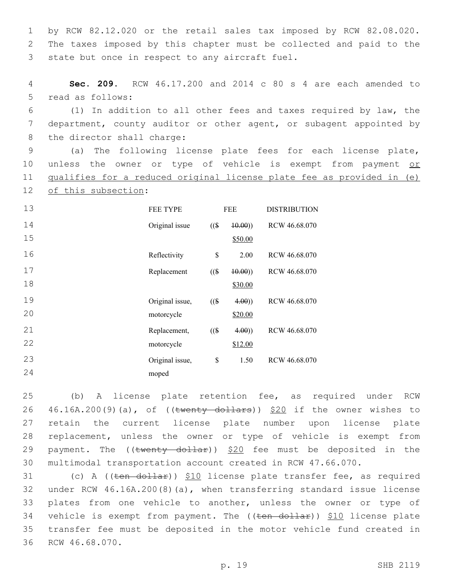1 by RCW 82.12.020 or the retail sales tax imposed by RCW 82.08.020. 2 The taxes imposed by this chapter must be collected and paid to the 3 state but once in respect to any aircraft fuel.

4 **Sec. 209.** RCW 46.17.200 and 2014 c 80 s 4 are each amended to 5 read as follows:

6 (1) In addition to all other fees and taxes required by law, the 7 department, county auditor or other agent, or subagent appointed by 8 the director shall charge:

9 (a) The following license plate fees for each license plate, 10 unless the owner or type of vehicle is exempt from payment or 11 qualifies for a reduced original license plate fee as provided in (e) 12 of this subsection:

| 13 | FEE TYPE        | <b>FEE</b> |         | <b>DISTRIBUTION</b> |
|----|-----------------|------------|---------|---------------------|
| 14 | Original issue  | $($ (\$)   | (10.00) | RCW 46.68.070       |
| 15 |                 |            | \$50.00 |                     |
| 16 | Reflectivity    | \$         | 2.00    | RCW 46.68.070       |
| 17 | Replacement     | $($ (\$)   | (10.00) | RCW 46.68.070       |
| 18 |                 |            | \$30.00 |                     |
| 19 | Original issue, | $($ (\$    | 4.00)   | RCW 46.68.070       |
| 20 | motorcycle      |            | \$20.00 |                     |
| 21 | Replacement,    | $($ (\$)   | 4.00)   | RCW 46.68.070       |
| 22 | motorcycle      |            | \$12.00 |                     |
| 23 | Original issue, | \$         | 1.50    | RCW 46.68.070       |
| 24 | moped           |            |         |                     |

 (b) A license plate retention fee, as required under RCW  $46.16A.200(9)(a)$ , of ((twenty dollars))  $$20$  if the owner wishes to retain the current license plate number upon license plate replacement, unless the owner or type of vehicle is exempt from 29 payment. The  $((\text{twenty dollar}))$  \$20 fee must be deposited in the multimodal transportation account created in RCW 47.66.070.

31 (c) A ((ten dollar)) \$10 license plate transfer fee, as required 32 under RCW 46.16A.200(8)(a), when transferring standard issue license 33 plates from one vehicle to another, unless the owner or type of 34 vehicle is exempt from payment. The ((ten dollar)) \$10 license plate 35 transfer fee must be deposited in the motor vehicle fund created in 36 RCW 46.68.070.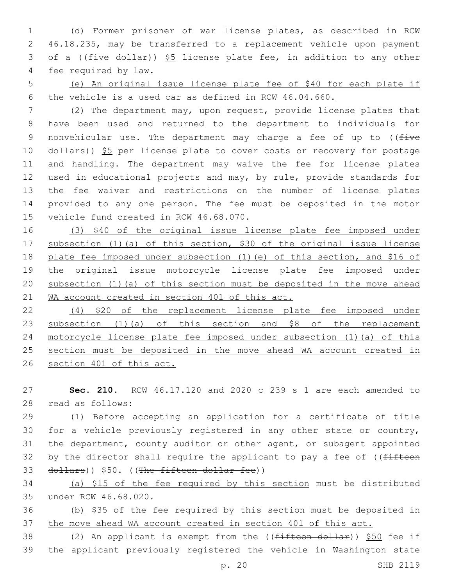(d) Former prisoner of war license plates, as described in RCW 46.18.235, may be transferred to a replacement vehicle upon payment 3 of a ((five dollar)) \$5 license plate fee, in addition to any other 4 fee required by law.

 (e) An original issue license plate fee of \$40 for each plate if the vehicle is a used car as defined in RCW 46.04.660.

 (2) The department may, upon request, provide license plates that have been used and returned to the department to individuals for 9 nonvehicular use. The department may charge a fee of up to  $($  (five 10 dollars)) \$5 per license plate to cover costs or recovery for postage and handling. The department may waive the fee for license plates used in educational projects and may, by rule, provide standards for the fee waiver and restrictions on the number of license plates provided to any one person. The fee must be deposited in the motor 15 vehicle fund created in RCW 46.68.070.

 (3) \$40 of the original issue license plate fee imposed under subsection (1)(a) of this section, \$30 of the original issue license plate fee imposed under subsection (1)(e) of this section, and \$16 of the original issue motorcycle license plate fee imposed under subsection (1)(a) of this section must be deposited in the move ahead 21 WA account created in section 401 of this act.

 (4) \$20 of the replacement license plate fee imposed under 23 subsection (1)(a) of this section and \$8 of the replacement motorcycle license plate fee imposed under subsection (1)(a) of this section must be deposited in the move ahead WA account created in section 401 of this act.

 **Sec. 210.** RCW 46.17.120 and 2020 c 239 s 1 are each amended to read as follows:28

 (1) Before accepting an application for a certificate of title for a vehicle previously registered in any other state or country, the department, county auditor or other agent, or subagent appointed 32 by the director shall require the applicant to pay a fee of  $($  (fifteen dollars)) \$50. ((The fifteen dollar fee))

 (a) \$15 of the fee required by this section must be distributed under RCW 46.68.020.35

 (b) \$35 of the fee required by this section must be deposited in the move ahead WA account created in section 401 of this act.

38 (2) An applicant is exempt from the ((fifteen dollar)) \$50 fee if the applicant previously registered the vehicle in Washington state

p. 20 SHB 2119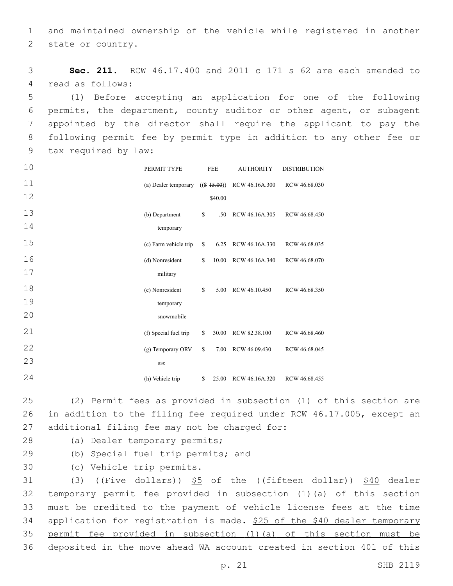1 and maintained ownership of the vehicle while registered in another 2 state or country.

3 **Sec. 211.** RCW 46.17.400 and 2011 c 171 s 62 are each amended to 4 read as follows:

 (1) Before accepting an application for one of the following permits, the department, county auditor or other agent, or subagent appointed by the director shall require the applicant to pay the following permit fee by permit type in addition to any other fee or 9 tax required by law:

| 10 | PERMIT TYPE           |    | <b>FEE</b>     | <b>AUTHORITY</b>    | <b>DISTRIBUTION</b> |
|----|-----------------------|----|----------------|---------------------|---------------------|
| 11 | (a) Dealer temporary  |    | $((\$ 15.00))$ | RCW 46.16A.300      | RCW 46.68.030       |
| 12 |                       |    | \$40.00        |                     |                     |
| 13 | (b) Department        | \$ | .50            | RCW 46.16A.305      | RCW 46.68.450       |
| 14 | temporary             |    |                |                     |                     |
| 15 | (c) Farm vehicle trip | \$ |                | 6.25 RCW 46.16A.330 | RCW 46.68.035       |
| 16 | (d) Nonresident       | S  | 10.00          | RCW 46.16A.340      | RCW 46.68.070       |
| 17 | military              |    |                |                     |                     |
| 18 | (e) Nonresident       | \$ | 5.00           | RCW 46.10.450       | RCW 46.68.350       |
| 19 | temporary             |    |                |                     |                     |
| 20 | snowmobile            |    |                |                     |                     |
| 21 | (f) Special fuel trip | \$ | 30.00          | RCW 82.38.100       | RCW 46.68.460       |
| 22 | (g) Temporary ORV     | \$ | 7.00           | RCW 46.09.430       | RCW 46.68.045       |
| 23 | use                   |    |                |                     |                     |
| 24 | (h) Vehicle trip      | \$ | 25.00          | RCW 46.16A.320      | RCW 46.68.455       |

25 (2) Permit fees as provided in subsection (1) of this section are 26 in addition to the filing fee required under RCW 46.17.005, except an 27 additional filing fee may not be charged for:

- 
- 28 (a) Dealer temporary permits;
- 29 (b) Special fuel trip permits; and
- 30 (c) Vehicle trip permits.

31 (3) ((Five dollars)) \$5 of the ((fifteen dollar)) \$40 dealer temporary permit fee provided in subsection (1)(a) of this section must be credited to the payment of vehicle license fees at the time 34 application for registration is made. \$25 of the \$40 dealer temporary permit fee provided in subsection (1)(a) of this section must be deposited in the move ahead WA account created in section 401 of this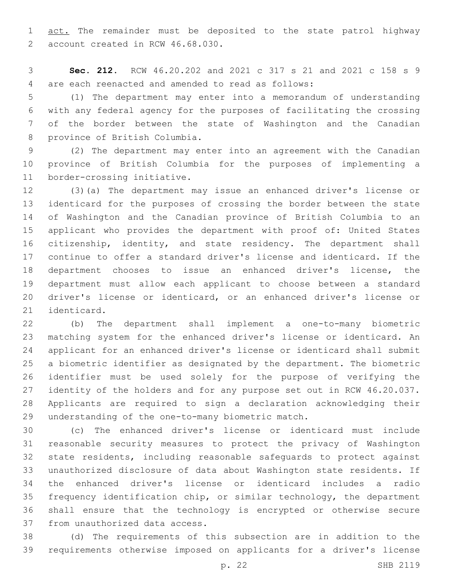1 act. The remainder must be deposited to the state patrol highway 2 account created in RCW 46.68.030.

 **Sec. 212.** RCW 46.20.202 and 2021 c 317 s 21 and 2021 c 158 s 9 are each reenacted and amended to read as follows:4

 (1) The department may enter into a memorandum of understanding with any federal agency for the purposes of facilitating the crossing of the border between the state of Washington and the Canadian 8 province of British Columbia.

 (2) The department may enter into an agreement with the Canadian province of British Columbia for the purposes of implementing a 11 border-crossing initiative.

 (3)(a) The department may issue an enhanced driver's license or identicard for the purposes of crossing the border between the state of Washington and the Canadian province of British Columbia to an applicant who provides the department with proof of: United States citizenship, identity, and state residency. The department shall continue to offer a standard driver's license and identicard. If the department chooses to issue an enhanced driver's license, the department must allow each applicant to choose between a standard driver's license or identicard, or an enhanced driver's license or 21 identicard.

 (b) The department shall implement a one-to-many biometric matching system for the enhanced driver's license or identicard. An applicant for an enhanced driver's license or identicard shall submit a biometric identifier as designated by the department. The biometric identifier must be used solely for the purpose of verifying the identity of the holders and for any purpose set out in RCW 46.20.037. Applicants are required to sign a declaration acknowledging their 29 understanding of the one-to-many biometric match.

 (c) The enhanced driver's license or identicard must include reasonable security measures to protect the privacy of Washington state residents, including reasonable safeguards to protect against unauthorized disclosure of data about Washington state residents. If the enhanced driver's license or identicard includes a radio frequency identification chip, or similar technology, the department shall ensure that the technology is encrypted or otherwise secure 37 from unauthorized data access.

 (d) The requirements of this subsection are in addition to the requirements otherwise imposed on applicants for a driver's license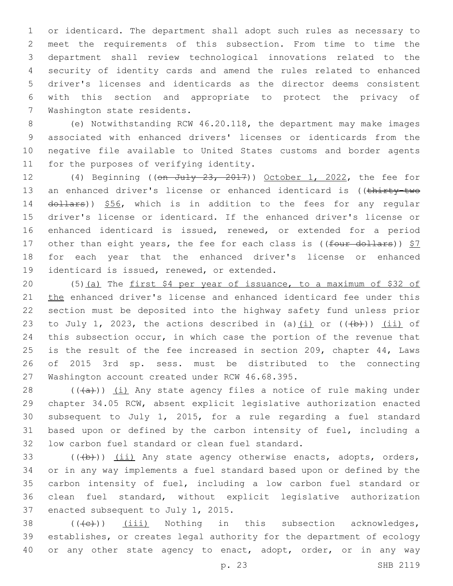or identicard. The department shall adopt such rules as necessary to meet the requirements of this subsection. From time to time the department shall review technological innovations related to the security of identity cards and amend the rules related to enhanced driver's licenses and identicards as the director deems consistent with this section and appropriate to protect the privacy of 7 Washington state residents.

 (e) Notwithstanding RCW 46.20.118, the department may make images associated with enhanced drivers' licenses or identicards from the negative file available to United States customs and border agents 11 for the purposes of verifying identity.

12 (4) Beginning ((on July 23, 2017)) October 1, 2022, the fee for 13 an enhanced driver's license or enhanced identicard is ((thirty-two 14 dollars)) \$56, which is in addition to the fees for any regular 15 driver's license or identicard. If the enhanced driver's license or 16 enhanced identicard is issued, renewed, or extended for a period 17 other than eight years, the fee for each class is ((four dollars)) \$7 18 for each year that the enhanced driver's license or enhanced 19 identicard is issued, renewed, or extended.

20 (5)(a) The first \$4 per year of issuance, to a maximum of \$32 of 21 the enhanced driver's license and enhanced identicard fee under this 22 section must be deposited into the highway safety fund unless prior 23 to July 1, 2023, the actions described in (a)(i) or  $((+b+))$  (ii) of 24 this subsection occur, in which case the portion of the revenue that 25 is the result of the fee increased in section 209, chapter 44, Laws 26 of 2015 3rd sp. sess. must be distributed to the connecting 27 Washington account created under RCW 46.68.395.

 $((+a))$   $(i)$  Any state agency files a notice of rule making under chapter 34.05 RCW, absent explicit legislative authorization enacted subsequent to July 1, 2015, for a rule regarding a fuel standard based upon or defined by the carbon intensity of fuel, including a 32 low carbon fuel standard or clean fuel standard.

33 (((b))) (ii) Any state agency otherwise enacts, adopts, orders, 34 or in any way implements a fuel standard based upon or defined by the 35 carbon intensity of fuel, including a low carbon fuel standard or 36 clean fuel standard, without explicit legislative authorization 37 enacted subsequent to July 1, 2015.

38  $((\text{(+e)}))$   $(iii)$  Nothing in this subsection acknowledges, 39 establishes, or creates legal authority for the department of ecology 40 or any other state agency to enact, adopt, order, or in any way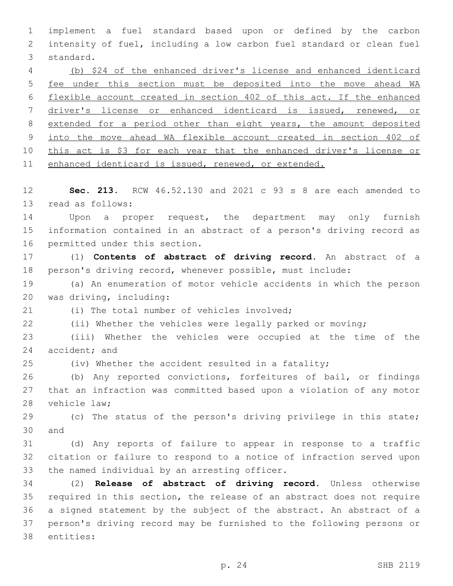implement a fuel standard based upon or defined by the carbon intensity of fuel, including a low carbon fuel standard or clean fuel 3 standard. (b) \$24 of the enhanced driver's license and enhanced identicard fee under this section must be deposited into the move ahead WA flexible account created in section 402 of this act. If the enhanced driver's license or enhanced identicard is issued, renewed, or extended for a period other than eight years, the amount deposited into the move ahead WA flexible account created in section 402 of 10 this act is \$3 for each year that the enhanced driver's license or enhanced identicard is issued, renewed, or extended. **Sec. 213.** RCW 46.52.130 and 2021 c 93 s 8 are each amended to 13 read as follows: 14 Upon a proper request, the department may only furnish information contained in an abstract of a person's driving record as 16 permitted under this section. (1) **Contents of abstract of driving record.** An abstract of a person's driving record, whenever possible, must include: (a) An enumeration of motor vehicle accidents in which the person 20 was driving, including: (i) The total number of vehicles involved; (ii) Whether the vehicles were legally parked or moving; (iii) Whether the vehicles were occupied at the time of the 24 accident; and (iv) Whether the accident resulted in a fatality; (b) Any reported convictions, forfeitures of bail, or findings that an infraction was committed based upon a violation of any motor 28 vehicle law; (c) The status of the person's driving privilege in this state; 30 and (d) Any reports of failure to appear in response to a traffic citation or failure to respond to a notice of infraction served upon 33 the named individual by an arresting officer. (2) **Release of abstract of driving record.** Unless otherwise required in this section, the release of an abstract does not require a signed statement by the subject of the abstract. An abstract of a person's driving record may be furnished to the following persons or 38 entities: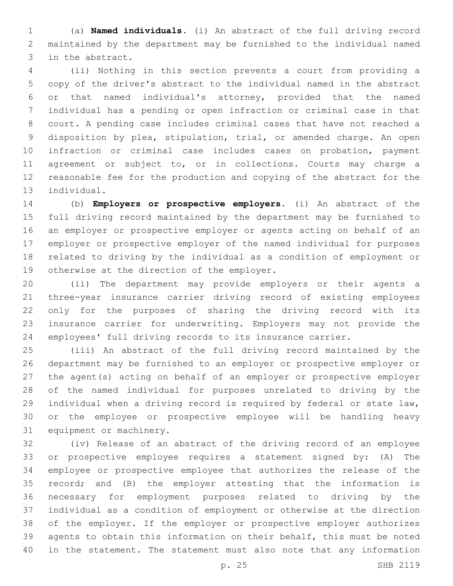(a) **Named individuals.** (i) An abstract of the full driving record maintained by the department may be furnished to the individual named 3 in the abstract.

 (ii) Nothing in this section prevents a court from providing a copy of the driver's abstract to the individual named in the abstract or that named individual's attorney, provided that the named individual has a pending or open infraction or criminal case in that court. A pending case includes criminal cases that have not reached a disposition by plea, stipulation, trial, or amended charge. An open infraction or criminal case includes cases on probation, payment agreement or subject to, or in collections. Courts may charge a reasonable fee for the production and copying of the abstract for the 13 individual.

 (b) **Employers or prospective employers.** (i) An abstract of the full driving record maintained by the department may be furnished to an employer or prospective employer or agents acting on behalf of an employer or prospective employer of the named individual for purposes related to driving by the individual as a condition of employment or 19 otherwise at the direction of the employer.

 (ii) The department may provide employers or their agents a three-year insurance carrier driving record of existing employees only for the purposes of sharing the driving record with its insurance carrier for underwriting. Employers may not provide the employees' full driving records to its insurance carrier.

 (iii) An abstract of the full driving record maintained by the department may be furnished to an employer or prospective employer or the agent(s) acting on behalf of an employer or prospective employer of the named individual for purposes unrelated to driving by the individual when a driving record is required by federal or state law, or the employee or prospective employee will be handling heavy 31 equipment or machinery.

 (iv) Release of an abstract of the driving record of an employee or prospective employee requires a statement signed by: (A) The employee or prospective employee that authorizes the release of the record; and (B) the employer attesting that the information is necessary for employment purposes related to driving by the individual as a condition of employment or otherwise at the direction of the employer. If the employer or prospective employer authorizes agents to obtain this information on their behalf, this must be noted in the statement. The statement must also note that any information

p. 25 SHB 2119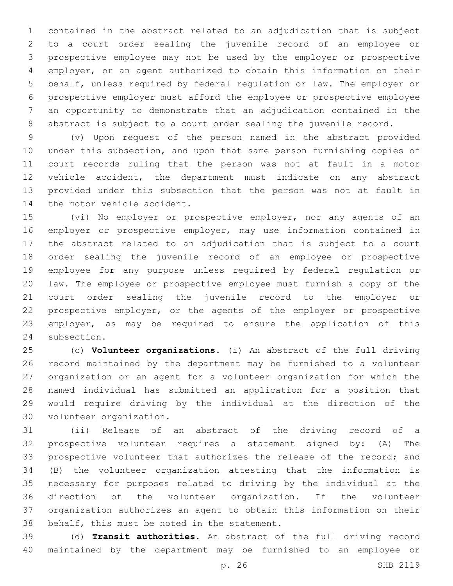contained in the abstract related to an adjudication that is subject to a court order sealing the juvenile record of an employee or prospective employee may not be used by the employer or prospective employer, or an agent authorized to obtain this information on their behalf, unless required by federal regulation or law. The employer or prospective employer must afford the employee or prospective employee an opportunity to demonstrate that an adjudication contained in the abstract is subject to a court order sealing the juvenile record.

 (v) Upon request of the person named in the abstract provided under this subsection, and upon that same person furnishing copies of court records ruling that the person was not at fault in a motor vehicle accident, the department must indicate on any abstract provided under this subsection that the person was not at fault in 14 the motor vehicle accident.

 (vi) No employer or prospective employer, nor any agents of an employer or prospective employer, may use information contained in the abstract related to an adjudication that is subject to a court order sealing the juvenile record of an employee or prospective employee for any purpose unless required by federal regulation or law. The employee or prospective employee must furnish a copy of the court order sealing the juvenile record to the employer or prospective employer, or the agents of the employer or prospective employer, as may be required to ensure the application of this 24 subsection.

 (c) **Volunteer organizations.** (i) An abstract of the full driving record maintained by the department may be furnished to a volunteer organization or an agent for a volunteer organization for which the named individual has submitted an application for a position that would require driving by the individual at the direction of the 30 volunteer organization.

 (ii) Release of an abstract of the driving record of a prospective volunteer requires a statement signed by: (A) The prospective volunteer that authorizes the release of the record; and (B) the volunteer organization attesting that the information is necessary for purposes related to driving by the individual at the direction of the volunteer organization. If the volunteer organization authorizes an agent to obtain this information on their 38 behalf, this must be noted in the statement.

 (d) **Transit authorities.** An abstract of the full driving record maintained by the department may be furnished to an employee or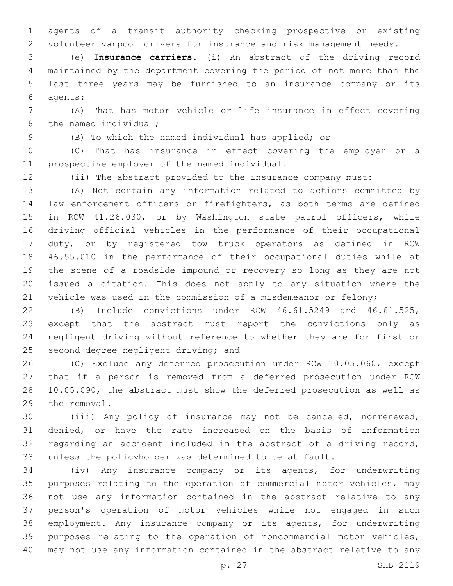agents of a transit authority checking prospective or existing volunteer vanpool drivers for insurance and risk management needs.

 (e) **Insurance carriers.** (i) An abstract of the driving record maintained by the department covering the period of not more than the last three years may be furnished to an insurance company or its agents:6

 (A) That has motor vehicle or life insurance in effect covering 8 the named individual;

(B) To which the named individual has applied; or

 (C) That has insurance in effect covering the employer or a 11 prospective employer of the named individual.

(ii) The abstract provided to the insurance company must:

 (A) Not contain any information related to actions committed by law enforcement officers or firefighters, as both terms are defined in RCW 41.26.030, or by Washington state patrol officers, while driving official vehicles in the performance of their occupational duty, or by registered tow truck operators as defined in RCW 46.55.010 in the performance of their occupational duties while at the scene of a roadside impound or recovery so long as they are not issued a citation. This does not apply to any situation where the vehicle was used in the commission of a misdemeanor or felony;

 (B) Include convictions under RCW 46.61.5249 and 46.61.525, except that the abstract must report the convictions only as negligent driving without reference to whether they are for first or 25 second degree negligent driving; and

 (C) Exclude any deferred prosecution under RCW 10.05.060, except that if a person is removed from a deferred prosecution under RCW 10.05.090, the abstract must show the deferred prosecution as well as 29 the removal.

 (iii) Any policy of insurance may not be canceled, nonrenewed, denied, or have the rate increased on the basis of information regarding an accident included in the abstract of a driving record, unless the policyholder was determined to be at fault.

 (iv) Any insurance company or its agents, for underwriting purposes relating to the operation of commercial motor vehicles, may not use any information contained in the abstract relative to any person's operation of motor vehicles while not engaged in such employment. Any insurance company or its agents, for underwriting purposes relating to the operation of noncommercial motor vehicles, may not use any information contained in the abstract relative to any

p. 27 SHB 2119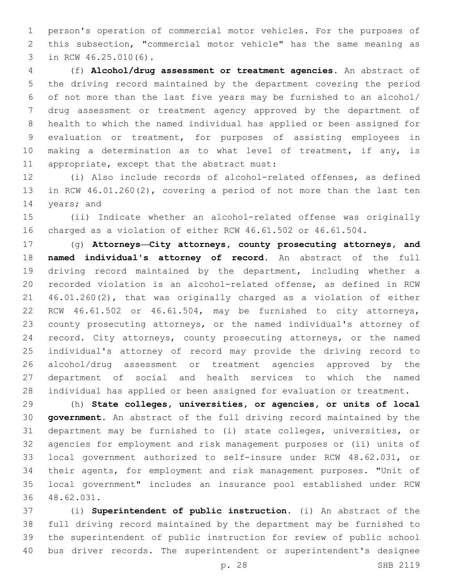person's operation of commercial motor vehicles. For the purposes of this subsection, "commercial motor vehicle" has the same meaning as 3 in RCW 46.25.010(6).

 (f) **Alcohol/drug assessment or treatment agencies.** An abstract of the driving record maintained by the department covering the period of not more than the last five years may be furnished to an alcohol/ drug assessment or treatment agency approved by the department of health to which the named individual has applied or been assigned for evaluation or treatment, for purposes of assisting employees in 10 making a determination as to what level of treatment, if any, is 11 appropriate, except that the abstract must:

 (i) Also include records of alcohol-related offenses, as defined in RCW 46.01.260(2), covering a period of not more than the last ten 14 years; and

 (ii) Indicate whether an alcohol-related offense was originally charged as a violation of either RCW 46.61.502 or 46.61.504.

 (g) **Attorneys—City attorneys, county prosecuting attorneys, and named individual's attorney of record.** An abstract of the full driving record maintained by the department, including whether a recorded violation is an alcohol-related offense, as defined in RCW 46.01.260(2), that was originally charged as a violation of either RCW 46.61.502 or 46.61.504, may be furnished to city attorneys, county prosecuting attorneys, or the named individual's attorney of record. City attorneys, county prosecuting attorneys, or the named individual's attorney of record may provide the driving record to alcohol/drug assessment or treatment agencies approved by the department of social and health services to which the named individual has applied or been assigned for evaluation or treatment.

 (h) **State colleges, universities, or agencies, or units of local government.** An abstract of the full driving record maintained by the department may be furnished to (i) state colleges, universities, or agencies for employment and risk management purposes or (ii) units of local government authorized to self-insure under RCW 48.62.031, or their agents, for employment and risk management purposes. "Unit of local government" includes an insurance pool established under RCW 48.62.031.36

 (i) **Superintendent of public instruction.** (i) An abstract of the full driving record maintained by the department may be furnished to the superintendent of public instruction for review of public school bus driver records. The superintendent or superintendent's designee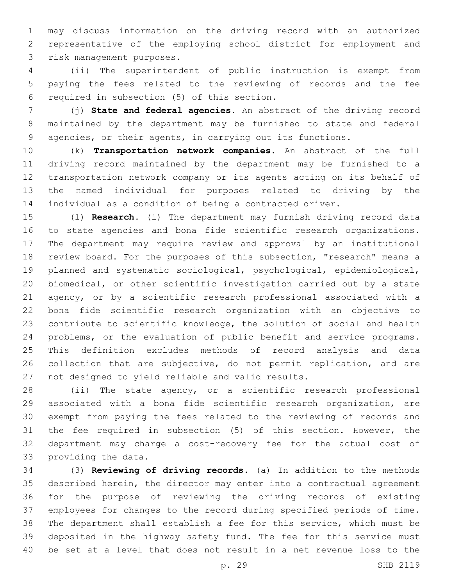may discuss information on the driving record with an authorized representative of the employing school district for employment and 3 risk management purposes.

 (ii) The superintendent of public instruction is exempt from paying the fees related to the reviewing of records and the fee 6 required in subsection (5) of this section.

 (j) **State and federal agencies.** An abstract of the driving record maintained by the department may be furnished to state and federal agencies, or their agents, in carrying out its functions.

 (k) **Transportation network companies.** An abstract of the full driving record maintained by the department may be furnished to a transportation network company or its agents acting on its behalf of the named individual for purposes related to driving by the individual as a condition of being a contracted driver.

 (l) **Research.** (i) The department may furnish driving record data to state agencies and bona fide scientific research organizations. The department may require review and approval by an institutional review board. For the purposes of this subsection, "research" means a planned and systematic sociological, psychological, epidemiological, biomedical, or other scientific investigation carried out by a state agency, or by a scientific research professional associated with a bona fide scientific research organization with an objective to contribute to scientific knowledge, the solution of social and health problems, or the evaluation of public benefit and service programs. This definition excludes methods of record analysis and data collection that are subjective, do not permit replication, and are 27 not designed to yield reliable and valid results.

 (ii) The state agency, or a scientific research professional associated with a bona fide scientific research organization, are exempt from paying the fees related to the reviewing of records and the fee required in subsection (5) of this section. However, the department may charge a cost-recovery fee for the actual cost of 33 providing the data.

 (3) **Reviewing of driving records.** (a) In addition to the methods described herein, the director may enter into a contractual agreement for the purpose of reviewing the driving records of existing employees for changes to the record during specified periods of time. The department shall establish a fee for this service, which must be deposited in the highway safety fund. The fee for this service must be set at a level that does not result in a net revenue loss to the

p. 29 SHB 2119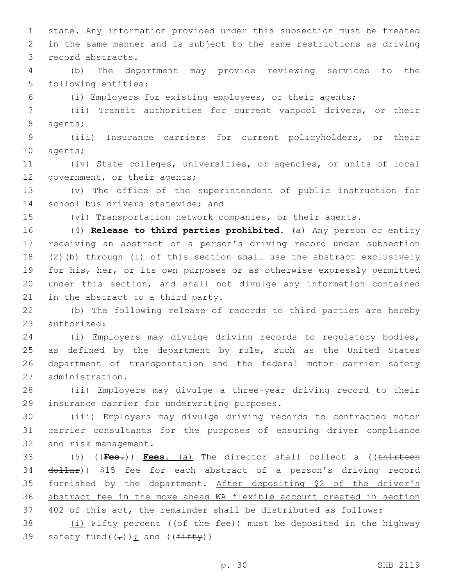1 state. Any information provided under this subsection must be treated 2 in the same manner and is subject to the same restrictions as driving 3 record abstracts.

4 (b) The department may provide reviewing services to the 5 following entities:

6 (i) Employers for existing employees, or their agents;

7 (ii) Transit authorities for current vanpool drivers, or their 8 agents;

9 (iii) Insurance carriers for current policyholders, or their 10 agents;

11 (iv) State colleges, universities, or agencies, or units of local 12 government, or their agents;

13 (v) The office of the superintendent of public instruction for 14 school bus drivers statewide; and

15 (vi) Transportation network companies, or their agents.

 (4) **Release to third parties prohibited.** (a) Any person or entity receiving an abstract of a person's driving record under subsection (2)(b) through (l) of this section shall use the abstract exclusively for his, her, or its own purposes or as otherwise expressly permitted under this section, and shall not divulge any information contained 21 in the abstract to a third party.

22 (b) The following release of records to third parties are hereby 23 authorized:

24 (i) Employers may divulge driving records to regulatory bodies, 25 as defined by the department by rule, such as the United States 26 department of transportation and the federal motor carrier safety 27 administration.

28 (ii) Employers may divulge a three-year driving record to their 29 insurance carrier for underwriting purposes.

30 (iii) Employers may divulge driving records to contracted motor 31 carrier consultants for the purposes of ensuring driver compliance 32 and risk management.

33 (5) ((**Fee.**)) **Fees.** (a) The director shall collect a ((thirteen 34 dollar)) \$15 fee for each abstract of a person's driving record 35 furnished by the department. After depositing \$2 of the driver's 36 abstract fee in the move ahead WA flexible account created in section 37 402 of this act, the remainder shall be distributed as follows:

38  $(i)$  Fifty percent ((of the fee)) must be deposited in the highway 39 safety fund( $(\tau)$ ); and ( $(f \pm f \pm f \pm y)$ )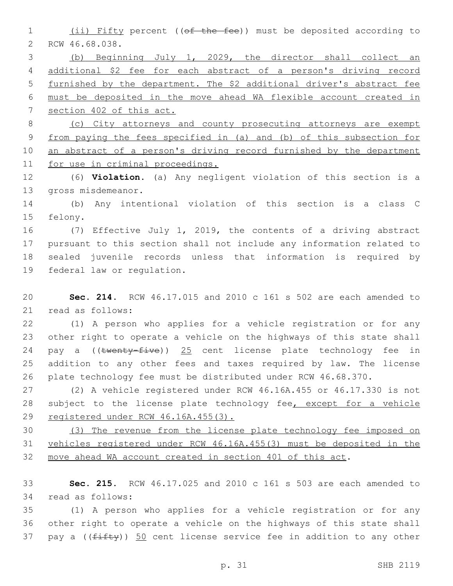(ii) Fifty percent ((of the fee)) must be deposited according to 2 RCW 46.68.038.

 (b) Beginning July 1, 2029, the director shall collect an additional \$2 fee for each abstract of a person's driving record furnished by the department. The \$2 additional driver's abstract fee must be deposited in the move ahead WA flexible account created in section 402 of this act.

 (c) City attorneys and county prosecuting attorneys are exempt from paying the fees specified in (a) and (b) of this subsection for 10 an abstract of a person's driving record furnished by the department for use in criminal proceedings.

 (6) **Violation.** (a) Any negligent violation of this section is a 13 gross misdemeanor.

 (b) Any intentional violation of this section is a class C 15 felony.

 (7) Effective July 1, 2019, the contents of a driving abstract pursuant to this section shall not include any information related to sealed juvenile records unless that information is required by 19 federal law or regulation.

 **Sec. 214.** RCW 46.17.015 and 2010 c 161 s 502 are each amended to 21 read as follows:

 (1) A person who applies for a vehicle registration or for any other right to operate a vehicle on the highways of this state shall 24 pay a ((twenty-five)) 25 cent license plate technology fee in addition to any other fees and taxes required by law. The license plate technology fee must be distributed under RCW 46.68.370.

 (2) A vehicle registered under RCW 46.16A.455 or 46.17.330 is not 28 subject to the license plate technology fee, except for a vehicle registered under RCW 46.16A.455(3).

 (3) The revenue from the license plate technology fee imposed on vehicles registered under RCW 46.16A.455(3) must be deposited in the move ahead WA account created in section 401 of this act.

 **Sec. 215.** RCW 46.17.025 and 2010 c 161 s 503 are each amended to 34 read as follows:

 (1) A person who applies for a vehicle registration or for any other right to operate a vehicle on the highways of this state shall 37 pay a  $(\text{fit} + y)$ ) 50 cent license service fee in addition to any other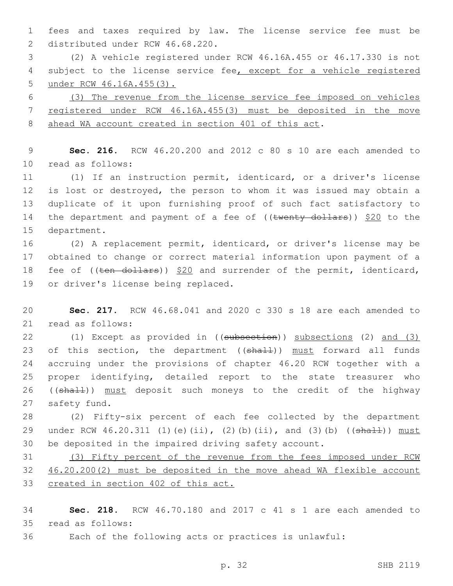fees and taxes required by law. The license service fee must be 2 distributed under RCW 46.68.220.

 (2) A vehicle registered under RCW 46.16A.455 or 46.17.330 is not 4 subject to the license service fee, except for a vehicle registered under RCW 46.16A.455(3).

 (3) The revenue from the license service fee imposed on vehicles registered under RCW 46.16A.455(3) must be deposited in the move ahead WA account created in section 401 of this act.

 **Sec. 216.** RCW 46.20.200 and 2012 c 80 s 10 are each amended to 10 read as follows:

 (1) If an instruction permit, identicard, or a driver's license is lost or destroyed, the person to whom it was issued may obtain a duplicate of it upon furnishing proof of such fact satisfactory to 14 the department and payment of a fee of ((twenty dollars)) \$20 to the 15 department.

 (2) A replacement permit, identicard, or driver's license may be obtained to change or correct material information upon payment of a 18 fee of ((ten dollars)) \$20 and surrender of the permit, identicard, 19 or driver's license being replaced.

 **Sec. 217.** RCW 46.68.041 and 2020 c 330 s 18 are each amended to 21 read as follows:

 (1) Except as provided in ((subsection)) subsections (2) and (3) 23 of this section, the department ((shall)) must forward all funds accruing under the provisions of chapter 46.20 RCW together with a proper identifying, detailed report to the state treasurer who 26 ((shall)) must deposit such moneys to the credit of the highway 27 safety fund.

 (2) Fifty-six percent of each fee collected by the department 29 under RCW 46.20.311 (1)(e)(ii), (2)(b)(ii), and (3)(b) ((shall)) must be deposited in the impaired driving safety account.

 (3) Fifty percent of the revenue from the fees imposed under RCW 46.20.200(2) must be deposited in the move ahead WA flexible account created in section 402 of this act.

 **Sec. 218.** RCW 46.70.180 and 2017 c 41 s 1 are each amended to read as follows:35

Each of the following acts or practices is unlawful: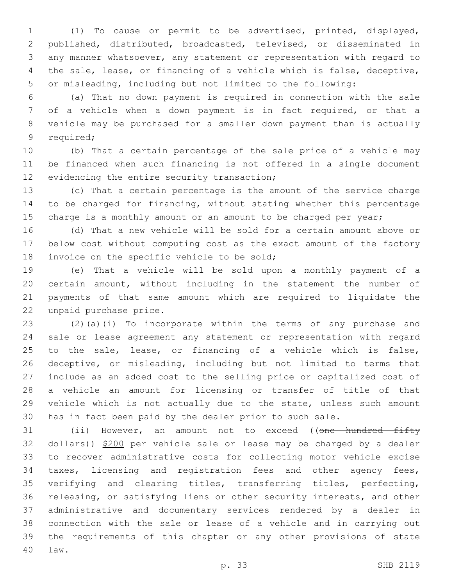(1) To cause or permit to be advertised, printed, displayed, published, distributed, broadcasted, televised, or disseminated in any manner whatsoever, any statement or representation with regard to the sale, lease, or financing of a vehicle which is false, deceptive, or misleading, including but not limited to the following:

 (a) That no down payment is required in connection with the sale of a vehicle when a down payment is in fact required, or that a vehicle may be purchased for a smaller down payment than is actually 9 required;

 (b) That a certain percentage of the sale price of a vehicle may be financed when such financing is not offered in a single document 12 evidencing the entire security transaction;

 (c) That a certain percentage is the amount of the service charge to be charged for financing, without stating whether this percentage 15 charge is a monthly amount or an amount to be charged per year;

 (d) That a new vehicle will be sold for a certain amount above or below cost without computing cost as the exact amount of the factory 18 invoice on the specific vehicle to be sold;

 (e) That a vehicle will be sold upon a monthly payment of a certain amount, without including in the statement the number of payments of that same amount which are required to liquidate the 22 unpaid purchase price.

 (2)(a)(i) To incorporate within the terms of any purchase and sale or lease agreement any statement or representation with regard to the sale, lease, or financing of a vehicle which is false, deceptive, or misleading, including but not limited to terms that include as an added cost to the selling price or capitalized cost of a vehicle an amount for licensing or transfer of title of that vehicle which is not actually due to the state, unless such amount has in fact been paid by the dealer prior to such sale.

31 (ii) However, an amount not to exceed ((<del>one hundred fifty</del> 32 dollars)) \$200 per vehicle sale or lease may be charged by a dealer to recover administrative costs for collecting motor vehicle excise taxes, licensing and registration fees and other agency fees, verifying and clearing titles, transferring titles, perfecting, releasing, or satisfying liens or other security interests, and other administrative and documentary services rendered by a dealer in connection with the sale or lease of a vehicle and in carrying out the requirements of this chapter or any other provisions of state law.40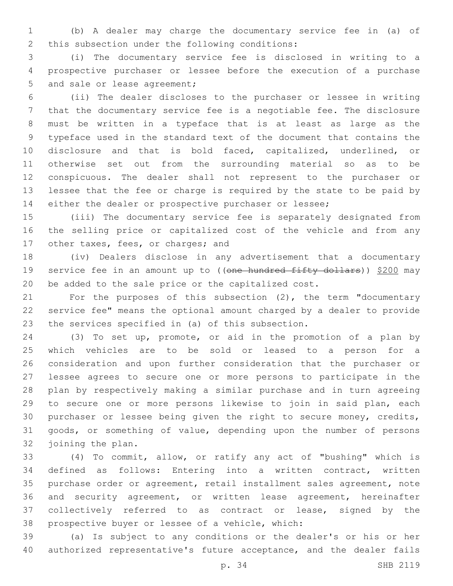(b) A dealer may charge the documentary service fee in (a) of 2 this subsection under the following conditions:

 (i) The documentary service fee is disclosed in writing to a prospective purchaser or lessee before the execution of a purchase 5 and sale or lease agreement;

 (ii) The dealer discloses to the purchaser or lessee in writing that the documentary service fee is a negotiable fee. The disclosure must be written in a typeface that is at least as large as the typeface used in the standard text of the document that contains the disclosure and that is bold faced, capitalized, underlined, or otherwise set out from the surrounding material so as to be conspicuous. The dealer shall not represent to the purchaser or lessee that the fee or charge is required by the state to be paid by either the dealer or prospective purchaser or lessee;

 (iii) The documentary service fee is separately designated from the selling price or capitalized cost of the vehicle and from any 17 other taxes, fees, or charges; and

 (iv) Dealers disclose in any advertisement that a documentary 19 service fee in an amount up to ((one hundred fifty dollars)) \$200 may be added to the sale price or the capitalized cost.

 For the purposes of this subsection (2), the term "documentary service fee" means the optional amount charged by a dealer to provide 23 the services specified in (a) of this subsection.

 (3) To set up, promote, or aid in the promotion of a plan by which vehicles are to be sold or leased to a person for a consideration and upon further consideration that the purchaser or lessee agrees to secure one or more persons to participate in the plan by respectively making a similar purchase and in turn agreeing to secure one or more persons likewise to join in said plan, each purchaser or lessee being given the right to secure money, credits, goods, or something of value, depending upon the number of persons 32 joining the plan.

 (4) To commit, allow, or ratify any act of "bushing" which is defined as follows: Entering into a written contract, written purchase order or agreement, retail installment sales agreement, note and security agreement, or written lease agreement, hereinafter collectively referred to as contract or lease, signed by the 38 prospective buyer or lessee of a vehicle, which:

 (a) Is subject to any conditions or the dealer's or his or her authorized representative's future acceptance, and the dealer fails

p. 34 SHB 2119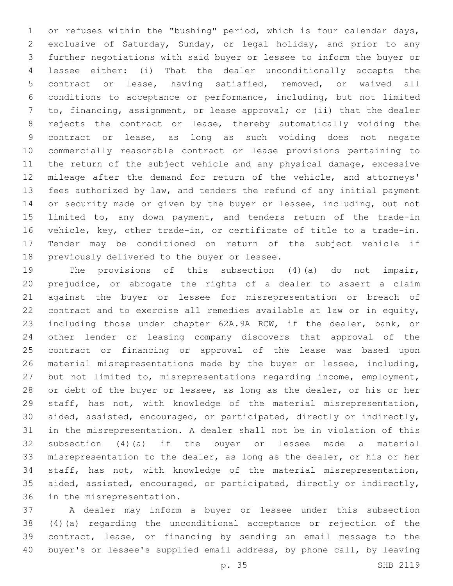or refuses within the "bushing" period, which is four calendar days, exclusive of Saturday, Sunday, or legal holiday, and prior to any further negotiations with said buyer or lessee to inform the buyer or lessee either: (i) That the dealer unconditionally accepts the contract or lease, having satisfied, removed, or waived all conditions to acceptance or performance, including, but not limited to, financing, assignment, or lease approval; or (ii) that the dealer rejects the contract or lease, thereby automatically voiding the contract or lease, as long as such voiding does not negate commercially reasonable contract or lease provisions pertaining to the return of the subject vehicle and any physical damage, excessive mileage after the demand for return of the vehicle, and attorneys' fees authorized by law, and tenders the refund of any initial payment or security made or given by the buyer or lessee, including, but not 15 limited to, any down payment, and tenders return of the trade-in vehicle, key, other trade-in, or certificate of title to a trade-in. Tender may be conditioned on return of the subject vehicle if 18 previously delivered to the buyer or lessee.

 The provisions of this subsection (4)(a) do not impair, prejudice, or abrogate the rights of a dealer to assert a claim against the buyer or lessee for misrepresentation or breach of contract and to exercise all remedies available at law or in equity, including those under chapter 62A.9A RCW, if the dealer, bank, or other lender or leasing company discovers that approval of the contract or financing or approval of the lease was based upon material misrepresentations made by the buyer or lessee, including, but not limited to, misrepresentations regarding income, employment, 28 or debt of the buyer or lessee, as long as the dealer, or his or her staff, has not, with knowledge of the material misrepresentation, aided, assisted, encouraged, or participated, directly or indirectly, in the misrepresentation. A dealer shall not be in violation of this subsection (4)(a) if the buyer or lessee made a material misrepresentation to the dealer, as long as the dealer, or his or her staff, has not, with knowledge of the material misrepresentation, aided, assisted, encouraged, or participated, directly or indirectly, 36 in the misrepresentation.

 A dealer may inform a buyer or lessee under this subsection (4)(a) regarding the unconditional acceptance or rejection of the contract, lease, or financing by sending an email message to the buyer's or lessee's supplied email address, by phone call, by leaving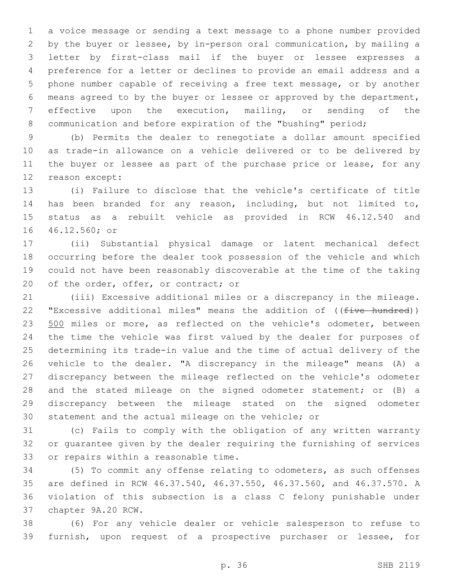a voice message or sending a text message to a phone number provided by the buyer or lessee, by in-person oral communication, by mailing a letter by first-class mail if the buyer or lessee expresses a preference for a letter or declines to provide an email address and a phone number capable of receiving a free text message, or by another means agreed to by the buyer or lessee or approved by the department, effective upon the execution, mailing, or sending of the communication and before expiration of the "bushing" period;

 (b) Permits the dealer to renegotiate a dollar amount specified as trade-in allowance on a vehicle delivered or to be delivered by 11 the buyer or lessee as part of the purchase price or lease, for any 12 reason except:

 (i) Failure to disclose that the vehicle's certificate of title has been branded for any reason, including, but not limited to, status as a rebuilt vehicle as provided in RCW 46.12.540 and 16 46.12.560; or

 (ii) Substantial physical damage or latent mechanical defect occurring before the dealer took possession of the vehicle and which could not have been reasonably discoverable at the time of the taking 20 of the order, offer, or contract; or

 (iii) Excessive additional miles or a discrepancy in the mileage. 22 "Excessive additional miles" means the addition of ((five hundred)) 23 500 miles or more, as reflected on the vehicle's odometer, between the time the vehicle was first valued by the dealer for purposes of determining its trade-in value and the time of actual delivery of the vehicle to the dealer. "A discrepancy in the mileage" means (A) a discrepancy between the mileage reflected on the vehicle's odometer 28 and the stated mileage on the signed odometer statement; or (B) a discrepancy between the mileage stated on the signed odometer statement and the actual mileage on the vehicle; or

 (c) Fails to comply with the obligation of any written warranty or guarantee given by the dealer requiring the furnishing of services 33 or repairs within a reasonable time.

 (5) To commit any offense relating to odometers, as such offenses are defined in RCW 46.37.540, 46.37.550, 46.37.560, and 46.37.570. A violation of this subsection is a class C felony punishable under 37 chapter 9A.20 RCW.

 (6) For any vehicle dealer or vehicle salesperson to refuse to furnish, upon request of a prospective purchaser or lessee, for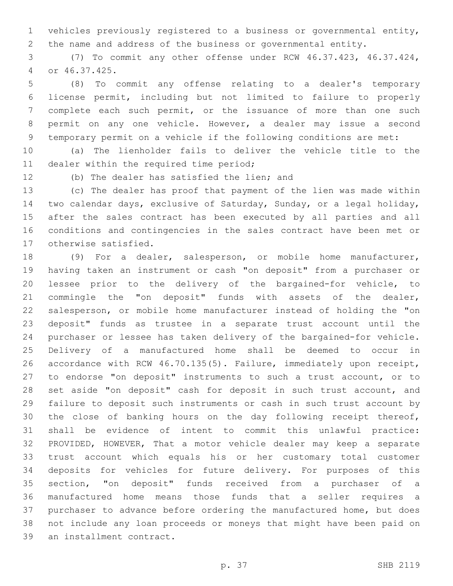vehicles previously registered to a business or governmental entity, the name and address of the business or governmental entity.

 (7) To commit any other offense under RCW 46.37.423, 46.37.424, or 46.37.425.4

 (8) To commit any offense relating to a dealer's temporary license permit, including but not limited to failure to properly complete each such permit, or the issuance of more than one such permit on any one vehicle. However, a dealer may issue a second temporary permit on a vehicle if the following conditions are met:

 (a) The lienholder fails to deliver the vehicle title to the 11 dealer within the required time period;

12 (b) The dealer has satisfied the lien; and

 (c) The dealer has proof that payment of the lien was made within two calendar days, exclusive of Saturday, Sunday, or a legal holiday, after the sales contract has been executed by all parties and all conditions and contingencies in the sales contract have been met or 17 otherwise satisfied.

 (9) For a dealer, salesperson, or mobile home manufacturer, having taken an instrument or cash "on deposit" from a purchaser or lessee prior to the delivery of the bargained-for vehicle, to commingle the "on deposit" funds with assets of the dealer, salesperson, or mobile home manufacturer instead of holding the "on deposit" funds as trustee in a separate trust account until the purchaser or lessee has taken delivery of the bargained-for vehicle. Delivery of a manufactured home shall be deemed to occur in accordance with RCW 46.70.135(5). Failure, immediately upon receipt, to endorse "on deposit" instruments to such a trust account, or to 28 set aside "on deposit" cash for deposit in such trust account, and failure to deposit such instruments or cash in such trust account by the close of banking hours on the day following receipt thereof, shall be evidence of intent to commit this unlawful practice: PROVIDED, HOWEVER, That a motor vehicle dealer may keep a separate trust account which equals his or her customary total customer deposits for vehicles for future delivery. For purposes of this section, "on deposit" funds received from a purchaser of a manufactured home means those funds that a seller requires a purchaser to advance before ordering the manufactured home, but does not include any loan proceeds or moneys that might have been paid on 39 an installment contract.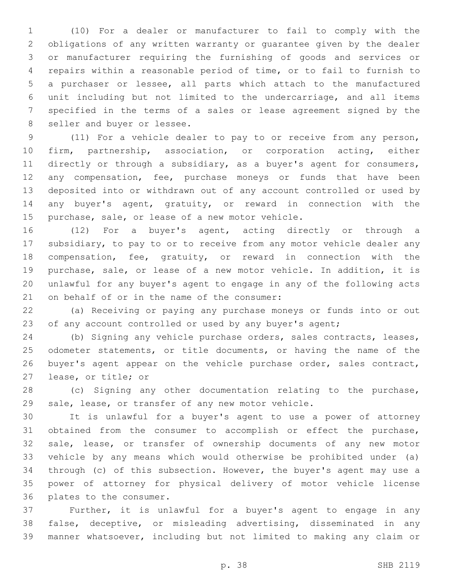(10) For a dealer or manufacturer to fail to comply with the obligations of any written warranty or guarantee given by the dealer or manufacturer requiring the furnishing of goods and services or repairs within a reasonable period of time, or to fail to furnish to a purchaser or lessee, all parts which attach to the manufactured unit including but not limited to the undercarriage, and all items specified in the terms of a sales or lease agreement signed by the 8 seller and buyer or lessee.

 (11) For a vehicle dealer to pay to or receive from any person, firm, partnership, association, or corporation acting, either directly or through a subsidiary, as a buyer's agent for consumers, any compensation, fee, purchase moneys or funds that have been deposited into or withdrawn out of any account controlled or used by any buyer's agent, gratuity, or reward in connection with the 15 purchase, sale, or lease of a new motor vehicle.

 (12) For a buyer's agent, acting directly or through a subsidiary, to pay to or to receive from any motor vehicle dealer any compensation, fee, gratuity, or reward in connection with the purchase, sale, or lease of a new motor vehicle. In addition, it is unlawful for any buyer's agent to engage in any of the following acts 21 on behalf of or in the name of the consumer:

 (a) Receiving or paying any purchase moneys or funds into or out 23 of any account controlled or used by any buyer's agent;

 (b) Signing any vehicle purchase orders, sales contracts, leases, odometer statements, or title documents, or having the name of the 26 buyer's agent appear on the vehicle purchase order, sales contract, 27 lease, or title; or

 (c) Signing any other documentation relating to the purchase, sale, lease, or transfer of any new motor vehicle.

 It is unlawful for a buyer's agent to use a power of attorney obtained from the consumer to accomplish or effect the purchase, sale, lease, or transfer of ownership documents of any new motor vehicle by any means which would otherwise be prohibited under (a) through (c) of this subsection. However, the buyer's agent may use a power of attorney for physical delivery of motor vehicle license 36 plates to the consumer.

 Further, it is unlawful for a buyer's agent to engage in any false, deceptive, or misleading advertising, disseminated in any manner whatsoever, including but not limited to making any claim or

p. 38 SHB 2119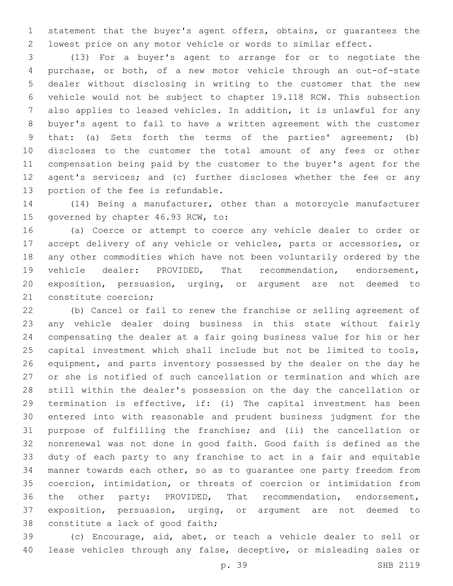statement that the buyer's agent offers, obtains, or guarantees the lowest price on any motor vehicle or words to similar effect.

 (13) For a buyer's agent to arrange for or to negotiate the purchase, or both, of a new motor vehicle through an out-of-state dealer without disclosing in writing to the customer that the new vehicle would not be subject to chapter 19.118 RCW. This subsection also applies to leased vehicles. In addition, it is unlawful for any buyer's agent to fail to have a written agreement with the customer that: (a) Sets forth the terms of the parties' agreement; (b) discloses to the customer the total amount of any fees or other compensation being paid by the customer to the buyer's agent for the agent's services; and (c) further discloses whether the fee or any 13 portion of the fee is refundable.

 (14) Being a manufacturer, other than a motorcycle manufacturer 15 governed by chapter 46.93 RCW, to:

 (a) Coerce or attempt to coerce any vehicle dealer to order or accept delivery of any vehicle or vehicles, parts or accessories, or any other commodities which have not been voluntarily ordered by the vehicle dealer: PROVIDED, That recommendation, endorsement, exposition, persuasion, urging, or argument are not deemed to 21 constitute coercion;

 (b) Cancel or fail to renew the franchise or selling agreement of any vehicle dealer doing business in this state without fairly compensating the dealer at a fair going business value for his or her capital investment which shall include but not be limited to tools, equipment, and parts inventory possessed by the dealer on the day he or she is notified of such cancellation or termination and which are still within the dealer's possession on the day the cancellation or termination is effective, if: (i) The capital investment has been entered into with reasonable and prudent business judgment for the purpose of fulfilling the franchise; and (ii) the cancellation or nonrenewal was not done in good faith. Good faith is defined as the duty of each party to any franchise to act in a fair and equitable manner towards each other, so as to guarantee one party freedom from coercion, intimidation, or threats of coercion or intimidation from the other party: PROVIDED, That recommendation, endorsement, exposition, persuasion, urging, or argument are not deemed to 38 constitute a lack of good faith;

 (c) Encourage, aid, abet, or teach a vehicle dealer to sell or lease vehicles through any false, deceptive, or misleading sales or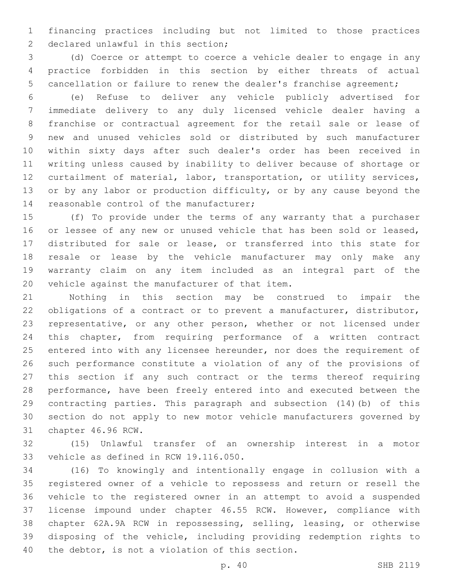financing practices including but not limited to those practices 2 declared unlawful in this section;

 (d) Coerce or attempt to coerce a vehicle dealer to engage in any practice forbidden in this section by either threats of actual cancellation or failure to renew the dealer's franchise agreement;

 (e) Refuse to deliver any vehicle publicly advertised for immediate delivery to any duly licensed vehicle dealer having a franchise or contractual agreement for the retail sale or lease of new and unused vehicles sold or distributed by such manufacturer within sixty days after such dealer's order has been received in writing unless caused by inability to deliver because of shortage or curtailment of material, labor, transportation, or utility services, 13 or by any labor or production difficulty, or by any cause beyond the 14 reasonable control of the manufacturer;

 (f) To provide under the terms of any warranty that a purchaser or lessee of any new or unused vehicle that has been sold or leased, distributed for sale or lease, or transferred into this state for resale or lease by the vehicle manufacturer may only make any warranty claim on any item included as an integral part of the 20 vehicle against the manufacturer of that item.

 Nothing in this section may be construed to impair the obligations of a contract or to prevent a manufacturer, distributor, representative, or any other person, whether or not licensed under this chapter, from requiring performance of a written contract 25 entered into with any licensee hereunder, nor does the requirement of such performance constitute a violation of any of the provisions of this section if any such contract or the terms thereof requiring performance, have been freely entered into and executed between the contracting parties. This paragraph and subsection (14)(b) of this section do not apply to new motor vehicle manufacturers governed by 31 chapter 46.96 RCW.

 (15) Unlawful transfer of an ownership interest in a motor 33 vehicle as defined in RCW 19.116.050.

 (16) To knowingly and intentionally engage in collusion with a registered owner of a vehicle to repossess and return or resell the vehicle to the registered owner in an attempt to avoid a suspended license impound under chapter 46.55 RCW. However, compliance with chapter 62A.9A RCW in repossessing, selling, leasing, or otherwise disposing of the vehicle, including providing redemption rights to 40 the debtor, is not a violation of this section.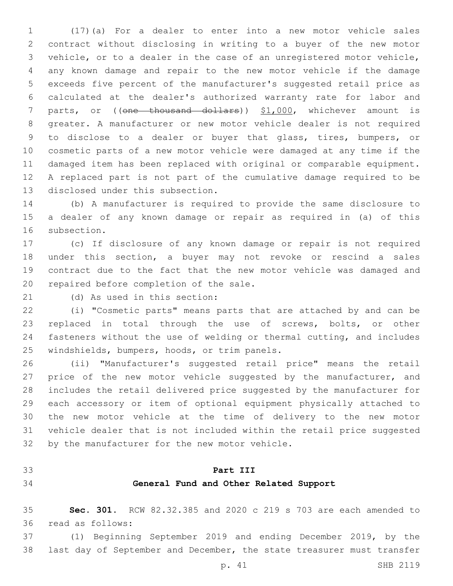(17)(a) For a dealer to enter into a new motor vehicle sales contract without disclosing in writing to a buyer of the new motor vehicle, or to a dealer in the case of an unregistered motor vehicle, any known damage and repair to the new motor vehicle if the damage exceeds five percent of the manufacturer's suggested retail price as calculated at the dealer's authorized warranty rate for labor and 7 parts, or ((one thousand dollars)) \$1,000, whichever amount is greater. A manufacturer or new motor vehicle dealer is not required to disclose to a dealer or buyer that glass, tires, bumpers, or cosmetic parts of a new motor vehicle were damaged at any time if the damaged item has been replaced with original or comparable equipment. A replaced part is not part of the cumulative damage required to be 13 disclosed under this subsection.

 (b) A manufacturer is required to provide the same disclosure to a dealer of any known damage or repair as required in (a) of this 16 subsection.

 (c) If disclosure of any known damage or repair is not required under this section, a buyer may not revoke or rescind a sales contract due to the fact that the new motor vehicle was damaged and 20 repaired before completion of the sale.

21 (d) As used in this section:

 (i) "Cosmetic parts" means parts that are attached by and can be replaced in total through the use of screws, bolts, or other fasteners without the use of welding or thermal cutting, and includes 25 windshields, bumpers, hoods, or trim panels.

 (ii) "Manufacturer's suggested retail price" means the retail 27 price of the new motor vehicle suggested by the manufacturer, and includes the retail delivered price suggested by the manufacturer for each accessory or item of optional equipment physically attached to the new motor vehicle at the time of delivery to the new motor vehicle dealer that is not included within the retail price suggested 32 by the manufacturer for the new motor vehicle.

## **Part III**

## **General Fund and Other Related Support**

 **Sec. 301.** RCW 82.32.385 and 2020 c 219 s 703 are each amended to 36 read as follows:

 (1) Beginning September 2019 and ending December 2019, by the last day of September and December, the state treasurer must transfer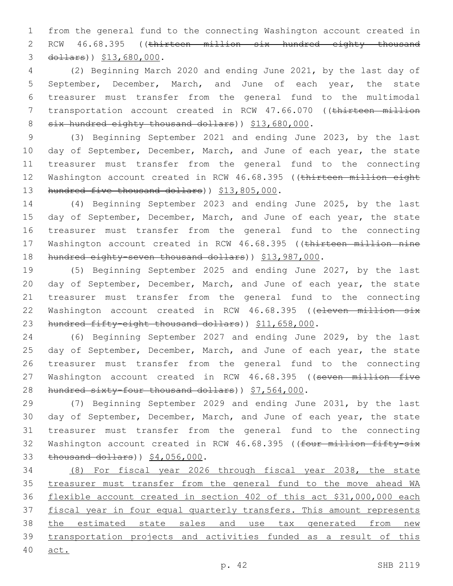1 from the general fund to the connecting Washington account created in 2 RCW 46.68.395 ((thirteen million six hundred eighty thousand 3 dollars)) \$13,680,000.

4 (2) Beginning March 2020 and ending June 2021, by the last day of 5 September, December, March, and June of each year, the state 6 treasurer must transfer from the general fund to the multimodal 7 transportation account created in RCW 47.66.070 ((thirteen million 8 six hundred eighty thousand dollars) ) \$13,680,000.

9 (3) Beginning September 2021 and ending June 2023, by the last 10 day of September, December, March, and June of each year, the state 11 treasurer must transfer from the general fund to the connecting 12 Washington account created in RCW 46.68.395 ((thirteen million eight 13 hundred five thousand dollars) ) \$13,805,000.

14 (4) Beginning September 2023 and ending June 2025, by the last 15 day of September, December, March, and June of each year, the state 16 treasurer must transfer from the general fund to the connecting 17 Washington account created in RCW 46.68.395 ((thirteen million nine 18 hundred eighty-seven thousand dollars)) \$13,987,000.

19 (5) Beginning September 2025 and ending June 2027, by the last 20 day of September, December, March, and June of each year, the state 21 treasurer must transfer from the general fund to the connecting 22 Washington account created in RCW 46.68.395 ((eleven million six 23 hundred fifty-eight thousand dollars)) \$11,658,000.

24 (6) Beginning September 2027 and ending June 2029, by the last 25 day of September, December, March, and June of each year, the state 26 treasurer must transfer from the general fund to the connecting 27 Washington account created in RCW 46.68.395 ((seven million five 28 hundred sixty-four thousand dollars) ) \$7,564,000.

29 (7) Beginning September 2029 and ending June 2031, by the last 30 day of September, December, March, and June of each year, the state 31 treasurer must transfer from the general fund to the connecting 32 Washington account created in RCW 46.68.395 ((four million fifty-six 33 thousand dollars) ) \$4,056,000.

34 (8) For fiscal year 2026 through fiscal year 2038, the state 35 treasurer must transfer from the general fund to the move ahead WA 36 flexible account created in section 402 of this act \$31,000,000 each 37 fiscal year in four equal quarterly transfers. This amount represents 38 the estimated state sales and use tax generated from new 39 transportation projects and activities funded as a result of this 40 act.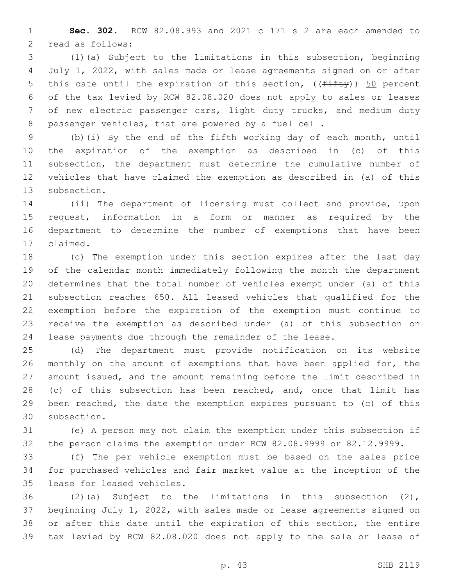**Sec. 302.** RCW 82.08.993 and 2021 c 171 s 2 are each amended to 2 read as follows:

 (1)(a) Subject to the limitations in this subsection, beginning July 1, 2022, with sales made or lease agreements signed on or after 5 this date until the expiration of this section,  $((f \text{iff } y))$  50 percent of the tax levied by RCW 82.08.020 does not apply to sales or leases of new electric passenger cars, light duty trucks, and medium duty passenger vehicles, that are powered by a fuel cell.

 (b)(i) By the end of the fifth working day of each month, until the expiration of the exemption as described in (c) of this subsection, the department must determine the cumulative number of vehicles that have claimed the exemption as described in (a) of this 13 subsection.

 (ii) The department of licensing must collect and provide, upon request, information in a form or manner as required by the department to determine the number of exemptions that have been 17 claimed.

 (c) The exemption under this section expires after the last day of the calendar month immediately following the month the department determines that the total number of vehicles exempt under (a) of this subsection reaches 650. All leased vehicles that qualified for the exemption before the expiration of the exemption must continue to receive the exemption as described under (a) of this subsection on lease payments due through the remainder of the lease.

 (d) The department must provide notification on its website 26 monthly on the amount of exemptions that have been applied for, the amount issued, and the amount remaining before the limit described in 28 (c) of this subsection has been reached, and, once that limit has been reached, the date the exemption expires pursuant to (c) of this 30 subsection.

 (e) A person may not claim the exemption under this subsection if the person claims the exemption under RCW 82.08.9999 or 82.12.9999.

 (f) The per vehicle exemption must be based on the sales price for purchased vehicles and fair market value at the inception of the 35 lease for leased vehicles.

 (2)(a) Subject to the limitations in this subsection (2), beginning July 1, 2022, with sales made or lease agreements signed on or after this date until the expiration of this section, the entire tax levied by RCW 82.08.020 does not apply to the sale or lease of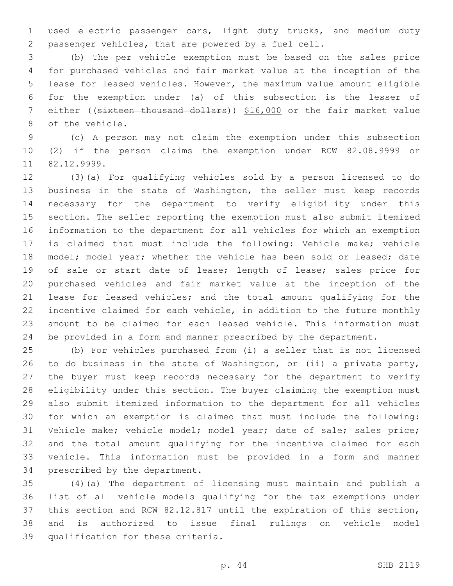used electric passenger cars, light duty trucks, and medium duty passenger vehicles, that are powered by a fuel cell.

 (b) The per vehicle exemption must be based on the sales price for purchased vehicles and fair market value at the inception of the lease for leased vehicles. However, the maximum value amount eligible for the exemption under (a) of this subsection is the lesser of either ((sixteen thousand dollars)) \$16,000 or the fair market value 8 of the vehicle.

 (c) A person may not claim the exemption under this subsection (2) if the person claims the exemption under RCW 82.08.9999 or 11 82.12.9999.

 (3)(a) For qualifying vehicles sold by a person licensed to do business in the state of Washington, the seller must keep records necessary for the department to verify eligibility under this section. The seller reporting the exemption must also submit itemized information to the department for all vehicles for which an exemption is claimed that must include the following: Vehicle make; vehicle 18 model; model year; whether the vehicle has been sold or leased; date of sale or start date of lease; length of lease; sales price for purchased vehicles and fair market value at the inception of the lease for leased vehicles; and the total amount qualifying for the incentive claimed for each vehicle, in addition to the future monthly amount to be claimed for each leased vehicle. This information must be provided in a form and manner prescribed by the department.

 (b) For vehicles purchased from (i) a seller that is not licensed to do business in the state of Washington, or (ii) a private party, the buyer must keep records necessary for the department to verify eligibility under this section. The buyer claiming the exemption must also submit itemized information to the department for all vehicles for which an exemption is claimed that must include the following: Vehicle make; vehicle model; model year; date of sale; sales price; and the total amount qualifying for the incentive claimed for each vehicle. This information must be provided in a form and manner 34 prescribed by the department.

 (4)(a) The department of licensing must maintain and publish a list of all vehicle models qualifying for the tax exemptions under this section and RCW 82.12.817 until the expiration of this section, and is authorized to issue final rulings on vehicle model 39 qualification for these criteria.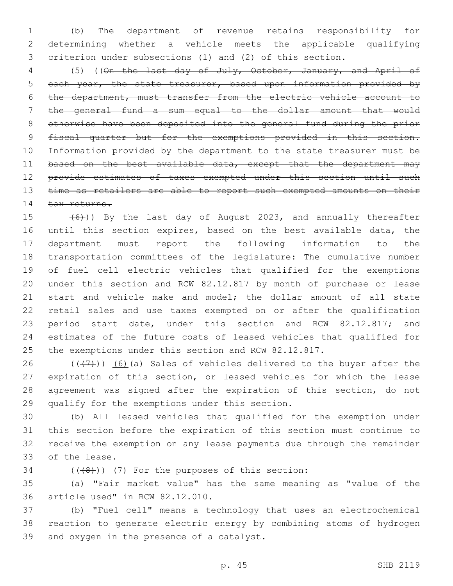(b) The department of revenue retains responsibility for determining whether a vehicle meets the applicable qualifying criterion under subsections (1) and (2) of this section.

 (5) ((On the last day of July, October, January, and April of 5 each year, the state treasurer, based upon information provided by the department, must transfer from the electric vehicle account to the general fund a sum equal to the dollar amount that would otherwise have been deposited into the general fund during the prior 9 fiscal quarter but for the exemptions provided in this section. Information provided by the department to the state treasurer must be 11 based on the best available data, except that the department may provide estimates of taxes exempted under this section until such 13 time as retailers are able to report such exempted amounts on their 14 tax returns.

 $(6)$ )) By the last day of August 2023, and annually thereafter until this section expires, based on the best available data, the department must report the following information to the transportation committees of the legislature: The cumulative number of fuel cell electric vehicles that qualified for the exemptions under this section and RCW 82.12.817 by month of purchase or lease start and vehicle make and model; the dollar amount of all state retail sales and use taxes exempted on or after the qualification period start date, under this section and RCW 82.12.817; and estimates of the future costs of leased vehicles that qualified for the exemptions under this section and RCW 82.12.817.

 $((+7+))$  (6)(a) Sales of vehicles delivered to the buyer after the expiration of this section, or leased vehicles for which the lease agreement was signed after the expiration of this section, do not 29 qualify for the exemptions under this section.

 (b) All leased vehicles that qualified for the exemption under this section before the expiration of this section must continue to receive the exemption on any lease payments due through the remainder 33 of the lease.

 $(1+8)$ )  $(7)$  For the purposes of this section:

 (a) "Fair market value" has the same meaning as "value of the 36 article used" in RCW 82.12.010.

 (b) "Fuel cell" means a technology that uses an electrochemical reaction to generate electric energy by combining atoms of hydrogen 39 and oxygen in the presence of a catalyst.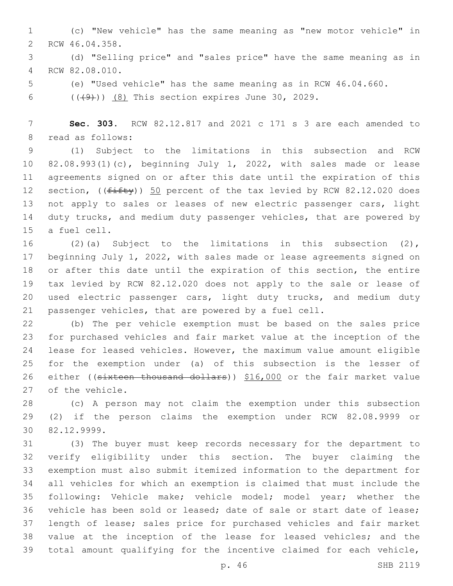(c) "New vehicle" has the same meaning as "new motor vehicle" in 2 RCW 46.04.358.

 (d) "Selling price" and "sales price" have the same meaning as in RCW 82.08.010.4

(e) "Used vehicle" has the same meaning as in RCW 46.04.660.

6  $((+9))$   $(8)$  This section expires June 30, 2029.

 **Sec. 303.** RCW 82.12.817 and 2021 c 171 s 3 are each amended to 8 read as follows:

 (1) Subject to the limitations in this subsection and RCW 82.08.993(1)(c), beginning July 1, 2022, with sales made or lease agreements signed on or after this date until the expiration of this 12 section, (( $f$ ifty)) 50 percent of the tax levied by RCW 82.12.020 does not apply to sales or leases of new electric passenger cars, light duty trucks, and medium duty passenger vehicles, that are powered by 15 a fuel cell.

 (2)(a) Subject to the limitations in this subsection (2), beginning July 1, 2022, with sales made or lease agreements signed on or after this date until the expiration of this section, the entire tax levied by RCW 82.12.020 does not apply to the sale or lease of used electric passenger cars, light duty trucks, and medium duty passenger vehicles, that are powered by a fuel cell.

 (b) The per vehicle exemption must be based on the sales price for purchased vehicles and fair market value at the inception of the lease for leased vehicles. However, the maximum value amount eligible for the exemption under (a) of this subsection is the lesser of 26 either ((sixteen thousand dollars)) \$16,000 or the fair market value 27 of the vehicle.

 (c) A person may not claim the exemption under this subsection (2) if the person claims the exemption under RCW 82.08.9999 or 82.12.9999.30

 (3) The buyer must keep records necessary for the department to verify eligibility under this section. The buyer claiming the exemption must also submit itemized information to the department for all vehicles for which an exemption is claimed that must include the following: Vehicle make; vehicle model; model year; whether the vehicle has been sold or leased; date of sale or start date of lease; length of lease; sales price for purchased vehicles and fair market value at the inception of the lease for leased vehicles; and the total amount qualifying for the incentive claimed for each vehicle,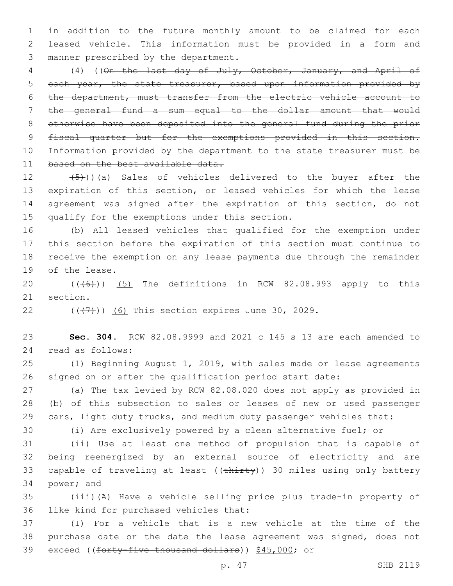in addition to the future monthly amount to be claimed for each leased vehicle. This information must be provided in a form and 3 manner prescribed by the department.

 (4) ((On the last day of July, October, January, and April of 5 each year, the state treasurer, based upon information provided by the department, must transfer from the electric vehicle account to the general fund a sum equal to the dollar amount that would otherwise have been deposited into the general fund during the prior 9 fiscal quarter but for the exemptions provided in this section. Information provided by the department to the state treasurer must be 11 based on the best available data.

 $(5)$ ))(a) Sales of vehicles delivered to the buyer after the expiration of this section, or leased vehicles for which the lease agreement was signed after the expiration of this section, do not 15 qualify for the exemptions under this section.

 (b) All leased vehicles that qualified for the exemption under this section before the expiration of this section must continue to receive the exemption on any lease payments due through the remainder 19 of the lease.

 (((6))) (5) The definitions in RCW 82.08.993 apply to this 21 section.

22  $((+7+))$   $(6)$  This section expires June 30, 2029.

 **Sec. 304.** RCW 82.08.9999 and 2021 c 145 s 13 are each amended to 24 read as follows:

 (1) Beginning August 1, 2019, with sales made or lease agreements signed on or after the qualification period start date:

 (a) The tax levied by RCW 82.08.020 does not apply as provided in (b) of this subsection to sales or leases of new or used passenger 29 cars, light duty trucks, and medium duty passenger vehicles that:

(i) Are exclusively powered by a clean alternative fuel; or

 (ii) Use at least one method of propulsion that is capable of being reenergized by an external source of electricity and are 33 capable of traveling at least ((thirty)) 30 miles using only battery 34 power; and

 (iii)(A) Have a vehicle selling price plus trade-in property of 36 like kind for purchased vehicles that:

 (I) For a vehicle that is a new vehicle at the time of the purchase date or the date the lease agreement was signed, does not exceed ((forty-five thousand dollars)) \$45,000; or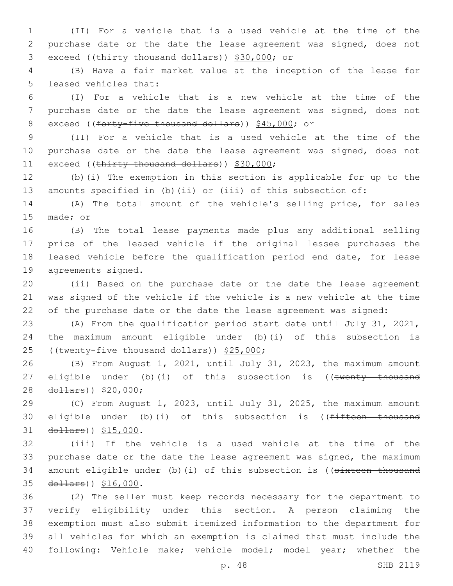(II) For a vehicle that is a used vehicle at the time of the purchase date or the date the lease agreement was signed, does not 3 exceed ((thirty thousand dollars)) \$30,000; or

 (B) Have a fair market value at the inception of the lease for 5 leased vehicles that:

 (I) For a vehicle that is a new vehicle at the time of the purchase date or the date the lease agreement was signed, does not 8 exceed ((forty-five thousand dollars)) \$45,000; or

 (II) For a vehicle that is a used vehicle at the time of the 10 purchase date or the date the lease agreement was signed, does not 11 exceed ((thirty thousand dollars)) \$30,000;

 (b)(i) The exemption in this section is applicable for up to the amounts specified in (b)(ii) or (iii) of this subsection of:

 (A) The total amount of the vehicle's selling price, for sales 15 made; or

 (B) The total lease payments made plus any additional selling price of the leased vehicle if the original lessee purchases the leased vehicle before the qualification period end date, for lease 19 agreements signed.

 (ii) Based on the purchase date or the date the lease agreement was signed of the vehicle if the vehicle is a new vehicle at the time of the purchase date or the date the lease agreement was signed:

 (A) From the qualification period start date until July 31, 2021, the maximum amount eligible under (b)(i) of this subsection is 25 ((twenty-five thousand dollars)) \$25,000;

 (B) From August 1, 2021, until July 31, 2023, the maximum amount 27 eligible under (b)(i) of this subsection is ((twenty thousand 28 dollars)) \$20,000;

 (C) From August 1, 2023, until July 31, 2025, the maximum amount 30 eligible under (b)(i) of this subsection is ((fifteen thousand 31 dollars)) \$15,000.

 (iii) If the vehicle is a used vehicle at the time of the 33 purchase date or the date the lease agreement was signed, the maximum 34 amount eligible under (b) (i) of this subsection is ((sixteen thousand 35 dollars)) \$16,000.

 (2) The seller must keep records necessary for the department to verify eligibility under this section. A person claiming the exemption must also submit itemized information to the department for all vehicles for which an exemption is claimed that must include the following: Vehicle make; vehicle model; model year; whether the

p. 48 SHB 2119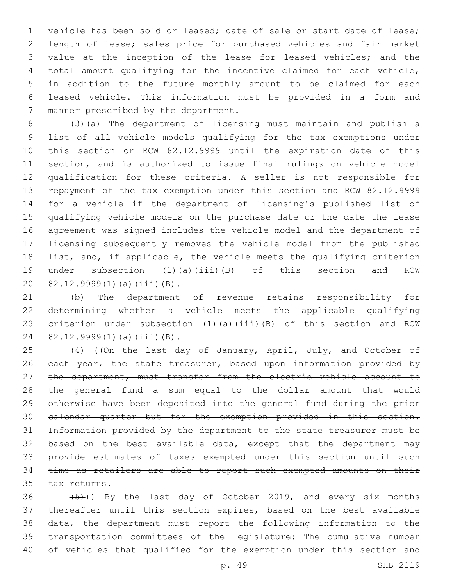vehicle has been sold or leased; date of sale or start date of lease; length of lease; sales price for purchased vehicles and fair market value at the inception of the lease for leased vehicles; and the total amount qualifying for the incentive claimed for each vehicle, in addition to the future monthly amount to be claimed for each leased vehicle. This information must be provided in a form and 7 manner prescribed by the department.

 (3)(a) The department of licensing must maintain and publish a list of all vehicle models qualifying for the tax exemptions under this section or RCW 82.12.9999 until the expiration date of this section, and is authorized to issue final rulings on vehicle model qualification for these criteria. A seller is not responsible for repayment of the tax exemption under this section and RCW 82.12.9999 for a vehicle if the department of licensing's published list of qualifying vehicle models on the purchase date or the date the lease agreement was signed includes the vehicle model and the department of licensing subsequently removes the vehicle model from the published list, and, if applicable, the vehicle meets the qualifying criterion under subsection (1)(a)(iii)(B) of this section and RCW 20 82.12.9999(1)(a)(iii)(B).

 (b) The department of revenue retains responsibility for determining whether a vehicle meets the applicable qualifying criterion under subsection (1)(a)(iii)(B) of this section and RCW 24 82.12.9999(1)(a)(iii)(B).

25 (4) ((On the last day of January, April, July, and October of 26 each year, the state treasurer, based upon information provided by 27 the department, must transfer from the electric vehicle account to the general fund a sum equal to the dollar amount that would otherwise have been deposited into the general fund during the prior calendar quarter but for the exemption provided in this section. Information provided by the department to the state treasurer must be 32 based on the best available data, except that the department may provide estimates of taxes exempted under this section until such time as retailers are able to report such exempted amounts on their 35 tax returns.

 $(5)$ )) By the last day of October 2019, and every six months thereafter until this section expires, based on the best available data, the department must report the following information to the transportation committees of the legislature: The cumulative number of vehicles that qualified for the exemption under this section and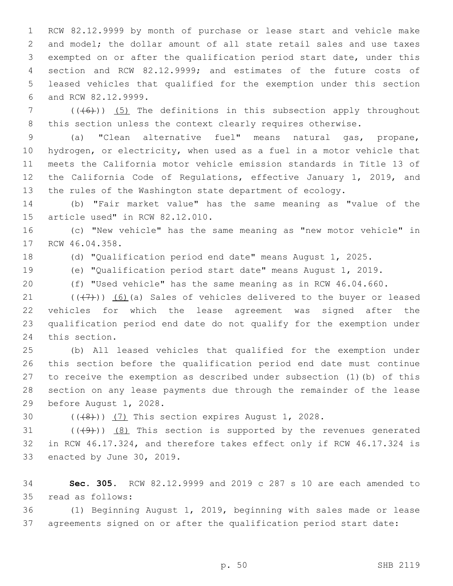RCW 82.12.9999 by month of purchase or lease start and vehicle make and model; the dollar amount of all state retail sales and use taxes exempted on or after the qualification period start date, under this section and RCW 82.12.9999; and estimates of the future costs of leased vehicles that qualified for the exemption under this section 6 and RCW 82.12.9999.

 (( $(46)$ )) (5) The definitions in this subsection apply throughout 8 this section unless the context clearly requires otherwise.

 (a) "Clean alternative fuel" means natural gas, propane, hydrogen, or electricity, when used as a fuel in a motor vehicle that meets the California motor vehicle emission standards in Title 13 of the California Code of Regulations, effective January 1, 2019, and the rules of the Washington state department of ecology.

 (b) "Fair market value" has the same meaning as "value of the 15 article used" in RCW  $82.12.010$ .

 (c) "New vehicle" has the same meaning as "new motor vehicle" in 17 RCW 46.04.358.

(d) "Qualification period end date" means August 1, 2025.

- (e) "Qualification period start date" means August 1, 2019.
- (f) "Used vehicle" has the same meaning as in RCW 46.04.660.

 $((+7+))$  (6)(a) Sales of vehicles delivered to the buyer or leased vehicles for which the lease agreement was signed after the qualification period end date do not qualify for the exemption under 24 this section.

 (b) All leased vehicles that qualified for the exemption under this section before the qualification period end date must continue to receive the exemption as described under subsection (1)(b) of this section on any lease payments due through the remainder of the lease 29 before August 1, 2028.

30  $((+8))$   $(7)$  This section expires August 1, 2028.

31  $((+9+))$   $(8)$  This section is supported by the revenues generated in RCW 46.17.324, and therefore takes effect only if RCW 46.17.324 is 33 enacted by June 30, 2019.

 **Sec. 305.** RCW 82.12.9999 and 2019 c 287 s 10 are each amended to 35 read as follows:

 (1) Beginning August 1, 2019, beginning with sales made or lease agreements signed on or after the qualification period start date: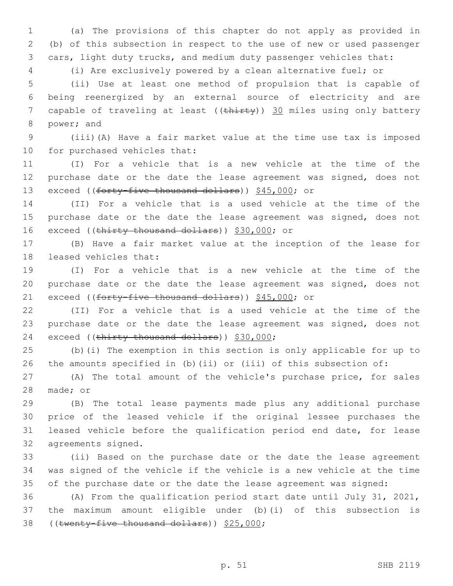(a) The provisions of this chapter do not apply as provided in (b) of this subsection in respect to the use of new or used passenger cars, light duty trucks, and medium duty passenger vehicles that:

(i) Are exclusively powered by a clean alternative fuel; or

 (ii) Use at least one method of propulsion that is capable of being reenergized by an external source of electricity and are 7 capable of traveling at least ((thirty)) 30 miles using only battery 8 power; and

 (iii)(A) Have a fair market value at the time use tax is imposed 10 for purchased vehicles that:

 (I) For a vehicle that is a new vehicle at the time of the purchase date or the date the lease agreement was signed, does not 13 exceed ((forty-five thousand dollars)) \$45,000; or

 (II) For a vehicle that is a used vehicle at the time of the 15 purchase date or the date the lease agreement was signed, does not 16 exceed ((thirty thousand dollars)) \$30,000; or

 (B) Have a fair market value at the inception of the lease for 18 leased vehicles that:

 (I) For a vehicle that is a new vehicle at the time of the purchase date or the date the lease agreement was signed, does not 21 exceed ((forty-five thousand dollars)) \$45,000; or

 (II) For a vehicle that is a used vehicle at the time of the purchase date or the date the lease agreement was signed, does not 24 exceed ((thirty thousand dollars)) \$30,000;

 (b)(i) The exemption in this section is only applicable for up to the amounts specified in (b)(ii) or (iii) of this subsection of:

 (A) The total amount of the vehicle's purchase price, for sales 28 made; or

 (B) The total lease payments made plus any additional purchase price of the leased vehicle if the original lessee purchases the leased vehicle before the qualification period end date, for lease 32 agreements signed.

 (ii) Based on the purchase date or the date the lease agreement was signed of the vehicle if the vehicle is a new vehicle at the time 35 of the purchase date or the date the lease agreement was signed:

 (A) From the qualification period start date until July 31, 2021, the maximum amount eligible under (b)(i) of this subsection is 38 ((twenty-five thousand dollars)) \$25,000;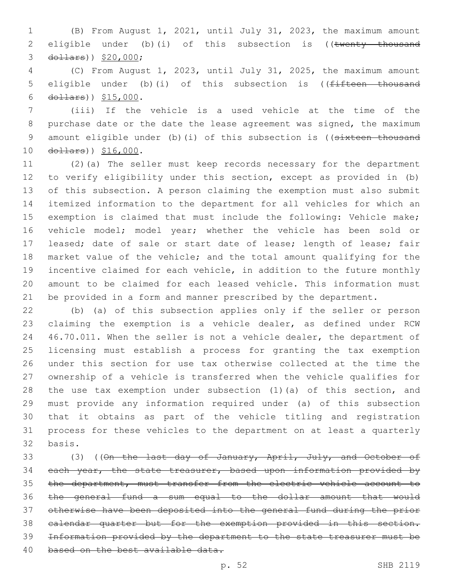(B) From August 1, 2021, until July 31, 2023, the maximum amount 2 eligible under (b)(i) of this subsection is ((twenty thousand 3 dollars)) \$20,000;

 (C) From August 1, 2023, until July 31, 2025, the maximum amount 5 eligible under (b)(i) of this subsection is ((<del>fifteen thousand</del> 6  $d$ ollars))  $$15,000$ .

 (iii) If the vehicle is a used vehicle at the time of the purchase date or the date the lease agreement was signed, the maximum 9 amount eligible under (b)(i) of this subsection is ((sixteen thousand 10 dollars)) \$16,000.

 (2)(a) The seller must keep records necessary for the department to verify eligibility under this section, except as provided in (b) of this subsection. A person claiming the exemption must also submit itemized information to the department for all vehicles for which an exemption is claimed that must include the following: Vehicle make; vehicle model; model year; whether the vehicle has been sold or leased; date of sale or start date of lease; length of lease; fair market value of the vehicle; and the total amount qualifying for the incentive claimed for each vehicle, in addition to the future monthly amount to be claimed for each leased vehicle. This information must be provided in a form and manner prescribed by the department.

 (b) (a) of this subsection applies only if the seller or person claiming the exemption is a vehicle dealer, as defined under RCW 46.70.011. When the seller is not a vehicle dealer, the department of licensing must establish a process for granting the tax exemption under this section for use tax otherwise collected at the time the ownership of a vehicle is transferred when the vehicle qualifies for the use tax exemption under subsection (1)(a) of this section, and must provide any information required under (a) of this subsection that it obtains as part of the vehicle titling and registration process for these vehicles to the department on at least a quarterly 32 basis.

33 (3) ((On the last day of January, April, July, and October of 34 each year, the state treasurer, based upon information provided by the department, must transfer from the electric vehicle account to the general fund a sum equal to the dollar amount that would otherwise have been deposited into the general fund during the prior calendar quarter but for the exemption provided in this section. Information provided by the department to the state treasurer must be 40 based on the best available data.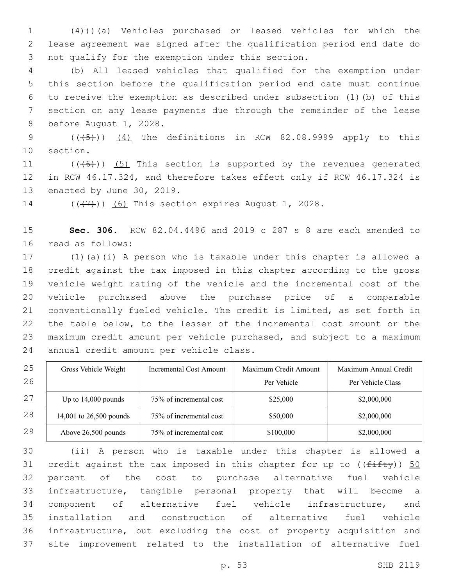(4)))(a) Vehicles purchased or leased vehicles for which the lease agreement was signed after the qualification period end date do 3 not qualify for the exemption under this section.

 (b) All leased vehicles that qualified for the exemption under this section before the qualification period end date must continue to receive the exemption as described under subsection (1)(b) of this section on any lease payments due through the remainder of the lease 8 before August 1, 2028.

 $((\overline{5}))$   $(4)$  The definitions in RCW 82.08.9999 apply to this 10 section.

11  $((+6))$   $(5)$  This section is supported by the revenues generated in RCW 46.17.324, and therefore takes effect only if RCW 46.17.324 is 13 enacted by June 30, 2019.

14  $((\langle 7 \rangle)(6)$  This section expires August 1, 2028.

 **Sec. 306.** RCW 82.04.4496 and 2019 c 287 s 8 are each amended to 16 read as follows:

 (1)(a)(i) A person who is taxable under this chapter is allowed a credit against the tax imposed in this chapter according to the gross vehicle weight rating of the vehicle and the incremental cost of the vehicle purchased above the purchase price of a comparable conventionally fueled vehicle. The credit is limited, as set forth in the table below, to the lesser of the incremental cost amount or the maximum credit amount per vehicle purchased, and subject to a maximum 24 annual credit amount per vehicle class.

| 25 | Gross Vehicle Weight    | Incremental Cost Amount | Maximum Credit Amount | Maximum Annual Credit |
|----|-------------------------|-------------------------|-----------------------|-----------------------|
| 26 |                         |                         | Per Vehicle           | Per Vehicle Class     |
| 27 | Up to $14,000$ pounds   | 75% of incremental cost | \$25,000              | \$2,000,000           |
| 28 | 14,001 to 26,500 pounds | 75% of incremental cost | \$50,000              | \$2,000,000           |
| 29 | Above 26,500 pounds     | 75% of incremental cost | \$100,000             | \$2,000,000           |

 (ii) A person who is taxable under this chapter is allowed a 31 credit against the tax imposed in this chapter for up to  $((f\text{iff}\psi))$  50 percent of the cost to purchase alternative fuel vehicle infrastructure, tangible personal property that will become a component of alternative fuel vehicle infrastructure, and installation and construction of alternative fuel vehicle infrastructure, but excluding the cost of property acquisition and site improvement related to the installation of alternative fuel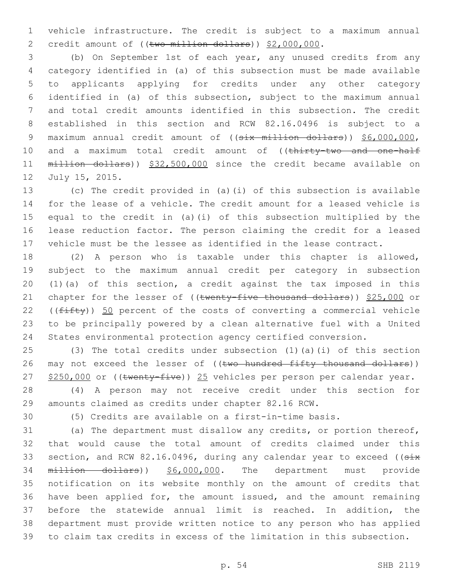vehicle infrastructure. The credit is subject to a maximum annual 2 credit amount of ((two million dollars)) \$2,000,000.

 (b) On September 1st of each year, any unused credits from any category identified in (a) of this subsection must be made available to applicants applying for credits under any other category identified in (a) of this subsection, subject to the maximum annual and total credit amounts identified in this subsection. The credit established in this section and RCW 82.16.0496 is subject to a 9 maximum annual credit amount of ((six million dollars)) \$6,000,000, 10 and a maximum total credit amount of ((thirty-two and one-half million dollars)) \$32,500,000 since the credit became available on 12 July 15, 2015.

 (c) The credit provided in (a)(i) of this subsection is available for the lease of a vehicle. The credit amount for a leased vehicle is equal to the credit in (a)(i) of this subsection multiplied by the lease reduction factor. The person claiming the credit for a leased vehicle must be the lessee as identified in the lease contract.

 (2) A person who is taxable under this chapter is allowed, subject to the maximum annual credit per category in subsection (1)(a) of this section, a credit against the tax imposed in this 21 chapter for the lesser of ((twenty-five thousand dollars)) \$25,000 or 22 ( $(fiff(y))$  50 percent of the costs of converting a commercial vehicle to be principally powered by a clean alternative fuel with a United States environmental protection agency certified conversion.

 (3) The total credits under subsection (1)(a)(i) of this section 26 may not exceed the lesser of ((two hundred fifty thousand dollars)) 27 \$250,000 or ((twenty-five)) 25 vehicles per person per calendar year.

 (4) A person may not receive credit under this section for amounts claimed as credits under chapter 82.16 RCW.

(5) Credits are available on a first-in-time basis.

 (a) The department must disallow any credits, or portion thereof, that would cause the total amount of credits claimed under this 33 section, and RCW 82.16.0496, during any calendar year to exceed ((six million dollars)) \$6,000,000. The department must provide notification on its website monthly on the amount of credits that have been applied for, the amount issued, and the amount remaining before the statewide annual limit is reached. In addition, the department must provide written notice to any person who has applied to claim tax credits in excess of the limitation in this subsection.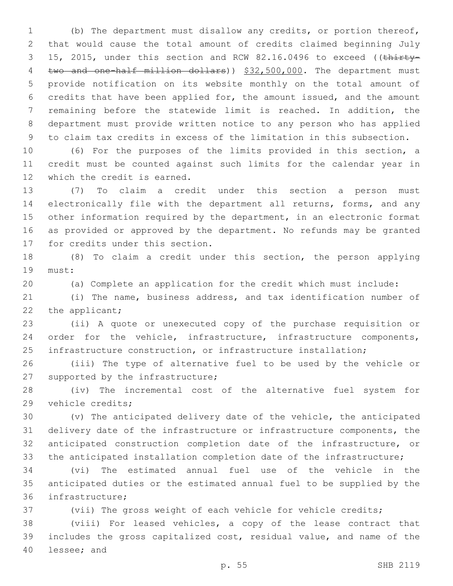(b) The department must disallow any credits, or portion thereof, that would cause the total amount of credits claimed beginning July 3 15, 2015, under this section and RCW 82.16.0496 to exceed ((thirty-4 two and one-half million dollars)) \$32,500,000. The department must provide notification on its website monthly on the total amount of credits that have been applied for, the amount issued, and the amount remaining before the statewide limit is reached. In addition, the department must provide written notice to any person who has applied to claim tax credits in excess of the limitation in this subsection.

 (6) For the purposes of the limits provided in this section, a credit must be counted against such limits for the calendar year in 12 which the credit is earned.

 (7) To claim a credit under this section a person must electronically file with the department all returns, forms, and any other information required by the department, in an electronic format as provided or approved by the department. No refunds may be granted 17 for credits under this section.

 (8) To claim a credit under this section, the person applying 19 must:

(a) Complete an application for the credit which must include:

 (i) The name, business address, and tax identification number of 22 the applicant;

 (ii) A quote or unexecuted copy of the purchase requisition or order for the vehicle, infrastructure, infrastructure components, infrastructure construction, or infrastructure installation;

 (iii) The type of alternative fuel to be used by the vehicle or 27 supported by the infrastructure;

 (iv) The incremental cost of the alternative fuel system for 29 vehicle credits;

 (v) The anticipated delivery date of the vehicle, the anticipated delivery date of the infrastructure or infrastructure components, the anticipated construction completion date of the infrastructure, or the anticipated installation completion date of the infrastructure;

 (vi) The estimated annual fuel use of the vehicle in the anticipated duties or the estimated annual fuel to be supplied by the 36 infrastructure;

(vii) The gross weight of each vehicle for vehicle credits;

 (viii) For leased vehicles, a copy of the lease contract that includes the gross capitalized cost, residual value, and name of the 40 lessee; and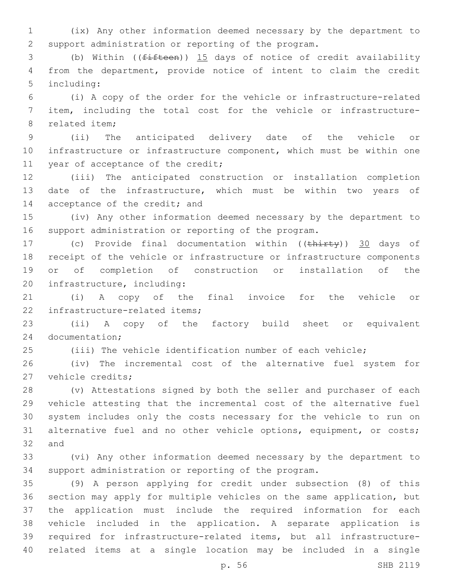(ix) Any other information deemed necessary by the department to support administration or reporting of the program.

 (b) Within ((fifteen)) 15 days of notice of credit availability from the department, provide notice of intent to claim the credit 5 including:

 (i) A copy of the order for the vehicle or infrastructure-related item, including the total cost for the vehicle or infrastructure-8 related item:

 (ii) The anticipated delivery date of the vehicle or infrastructure or infrastructure component, which must be within one 11 year of acceptance of the credit;

 (iii) The anticipated construction or installation completion date of the infrastructure, which must be within two years of 14 acceptance of the credit; and

 (iv) Any other information deemed necessary by the department to support administration or reporting of the program.

17 (c) Provide final documentation within ((thirty)) 30 days of receipt of the vehicle or infrastructure or infrastructure components or of completion of construction or installation of the 20 infrastructure, including:

 (i) A copy of the final invoice for the vehicle or 22 infrastructure-related items;

 (ii) A copy of the factory build sheet or equivalent 24 documentation;

(iii) The vehicle identification number of each vehicle;

 (iv) The incremental cost of the alternative fuel system for 27 vehicle credits;

 (v) Attestations signed by both the seller and purchaser of each vehicle attesting that the incremental cost of the alternative fuel system includes only the costs necessary for the vehicle to run on 31 alternative fuel and no other vehicle options, equipment, or costs; 32 and

 (vi) Any other information deemed necessary by the department to support administration or reporting of the program.

 (9) A person applying for credit under subsection (8) of this section may apply for multiple vehicles on the same application, but the application must include the required information for each vehicle included in the application. A separate application is required for infrastructure-related items, but all infrastructure-related items at a single location may be included in a single

p. 56 SHB 2119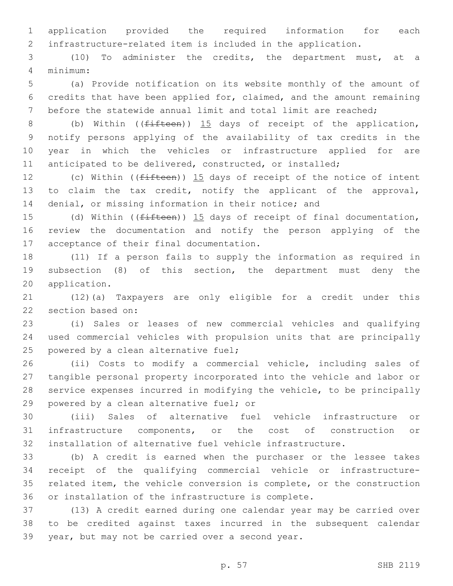application provided the required information for each infrastructure-related item is included in the application.

 (10) To administer the credits, the department must, at a minimum:4

 (a) Provide notification on its website monthly of the amount of credits that have been applied for, claimed, and the amount remaining before the statewide annual limit and total limit are reached;

8 (b) Within ((fifteen)) 15 days of receipt of the application, notify persons applying of the availability of tax credits in the year in which the vehicles or infrastructure applied for are anticipated to be delivered, constructed, or installed;

12 (c) Within ((<del>fifteen</del>)) 15 days of receipt of the notice of intent to claim the tax credit, notify the applicant of the approval, 14 denial, or missing information in their notice; and

15 (d) Within ((<del>fifteen</del>)) 15 days of receipt of final documentation, review the documentation and notify the person applying of the 17 acceptance of their final documentation.

 (11) If a person fails to supply the information as required in subsection (8) of this section, the department must deny the 20 application.

 (12)(a) Taxpayers are only eligible for a credit under this 22 section based on:

 (i) Sales or leases of new commercial vehicles and qualifying used commercial vehicles with propulsion units that are principally 25 powered by a clean alternative fuel;

 (ii) Costs to modify a commercial vehicle, including sales of tangible personal property incorporated into the vehicle and labor or service expenses incurred in modifying the vehicle, to be principally 29 powered by a clean alternative fuel; or

 (iii) Sales of alternative fuel vehicle infrastructure or infrastructure components, or the cost of construction or installation of alternative fuel vehicle infrastructure.

 (b) A credit is earned when the purchaser or the lessee takes receipt of the qualifying commercial vehicle or infrastructure- related item, the vehicle conversion is complete, or the construction or installation of the infrastructure is complete.

 (13) A credit earned during one calendar year may be carried over to be credited against taxes incurred in the subsequent calendar 39 year, but may not be carried over a second year.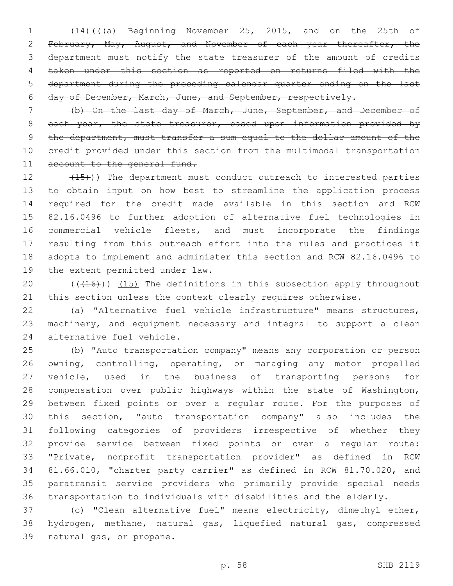(14)(((a) Beginning November 25, 2015, and on the 25th of February, May, August, and November of each year thereafter, the department must notify the state treasurer of the amount of credits taken under this section as reported on returns filed with the department during the preceding calendar quarter ending on the last day of December, March, June, and September, respectively.

 (b) On the last day of March, June, September, and December of 8 each year, the state treasurer, based upon information provided by the department, must transfer a sum equal to the dollar amount of the credit provided under this section from the multimodal transportation 11 account to the general fund.

12 (15)) The department must conduct outreach to interested parties to obtain input on how best to streamline the application process required for the credit made available in this section and RCW 82.16.0496 to further adoption of alternative fuel technologies in commercial vehicle fleets, and must incorporate the findings resulting from this outreach effort into the rules and practices it adopts to implement and administer this section and RCW 82.16.0496 to 19 the extent permitted under law.

20  $((+16))$   $(15)$  The definitions in this subsection apply throughout 21 this section unless the context clearly requires otherwise.

 (a) "Alternative fuel vehicle infrastructure" means structures, machinery, and equipment necessary and integral to support a clean 24 alternative fuel vehicle.

 (b) "Auto transportation company" means any corporation or person owning, controlling, operating, or managing any motor propelled vehicle, used in the business of transporting persons for compensation over public highways within the state of Washington, between fixed points or over a regular route. For the purposes of this section, "auto transportation company" also includes the following categories of providers irrespective of whether they provide service between fixed points or over a regular route: "Private, nonprofit transportation provider" as defined in RCW 81.66.010, "charter party carrier" as defined in RCW 81.70.020, and paratransit service providers who primarily provide special needs transportation to individuals with disabilities and the elderly.

 (c) "Clean alternative fuel" means electricity, dimethyl ether, hydrogen, methane, natural gas, liquefied natural gas, compressed 39 natural gas, or propane.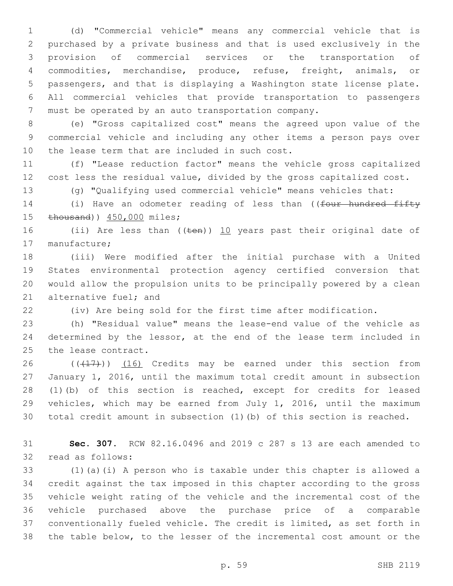(d) "Commercial vehicle" means any commercial vehicle that is purchased by a private business and that is used exclusively in the provision of commercial services or the transportation of commodities, merchandise, produce, refuse, freight, animals, or passengers, and that is displaying a Washington state license plate. All commercial vehicles that provide transportation to passengers must be operated by an auto transportation company.

 (e) "Gross capitalized cost" means the agreed upon value of the commercial vehicle and including any other items a person pays over 10 the lease term that are included in such cost.

 (f) "Lease reduction factor" means the vehicle gross capitalized cost less the residual value, divided by the gross capitalized cost.

(g) "Qualifying used commercial vehicle" means vehicles that:

14 (i) Have an odometer reading of less than ((four hundred fifty 15 thousand)) 450,000 miles;

16 (ii) Are less than ((ten)) 10 years past their original date of 17 manufacture;

 (iii) Were modified after the initial purchase with a United States environmental protection agency certified conversion that would allow the propulsion units to be principally powered by a clean 21 alternative fuel; and

(iv) Are being sold for the first time after modification.

 (h) "Residual value" means the lease-end value of the vehicle as 24 determined by the lessor, at the end of the lease term included in 25 the lease contract.

 $((+17))$   $(16)$  Credits may be earned under this section from January 1, 2016, until the maximum total credit amount in subsection (1)(b) of this section is reached, except for credits for leased vehicles, which may be earned from July 1, 2016, until the maximum total credit amount in subsection (1)(b) of this section is reached.

 **Sec. 307.** RCW 82.16.0496 and 2019 c 287 s 13 are each amended to 32 read as follows:

 (1)(a)(i) A person who is taxable under this chapter is allowed a credit against the tax imposed in this chapter according to the gross vehicle weight rating of the vehicle and the incremental cost of the vehicle purchased above the purchase price of a comparable conventionally fueled vehicle. The credit is limited, as set forth in the table below, to the lesser of the incremental cost amount or the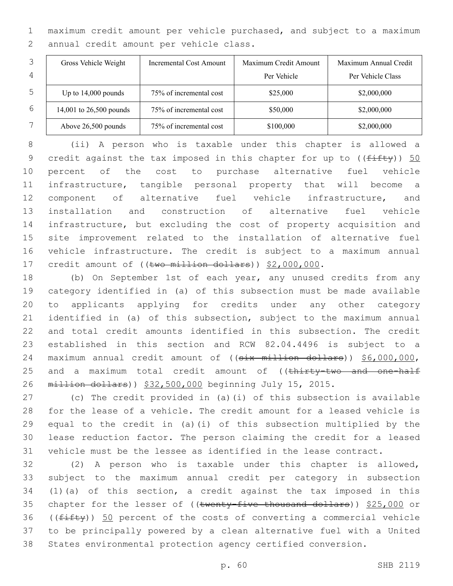maximum credit amount per vehicle purchased, and subject to a maximum 2 annual credit amount per vehicle class.

|   | Gross Vehicle Weight    | Incremental Cost Amount | Maximum Credit Amount | Maximum Annual Credit |
|---|-------------------------|-------------------------|-----------------------|-----------------------|
| 4 |                         |                         | Per Vehicle           | Per Vehicle Class     |
| 5 | Up to $14,000$ pounds   | 75% of incremental cost | \$25,000              | \$2,000,000           |
| 6 | 14,001 to 26,500 pounds | 75% of incremental cost | \$50,000              | \$2,000,000           |
|   | Above 26,500 pounds     | 75% of incremental cost | \$100,000             | \$2,000,000           |

 (ii) A person who is taxable under this chapter is allowed a 9 credit against the tax imposed in this chapter for up to  $((f\text{iff}\psi))$  50 percent of the cost to purchase alternative fuel vehicle infrastructure, tangible personal property that will become a component of alternative fuel vehicle infrastructure, and installation and construction of alternative fuel vehicle infrastructure, but excluding the cost of property acquisition and site improvement related to the installation of alternative fuel vehicle infrastructure. The credit is subject to a maximum annual 17 credit amount of ((two million dollars)) \$2,000,000.

 (b) On September 1st of each year, any unused credits from any category identified in (a) of this subsection must be made available to applicants applying for credits under any other category identified in (a) of this subsection, subject to the maximum annual and total credit amounts identified in this subsection. The credit established in this section and RCW 82.04.4496 is subject to a 24 maximum annual credit amount of ((six million dollars)) \$6,000,000, 25 and a maximum total credit amount of ((thirty-two and one-half million dollars)) \$32,500,000 beginning July 15, 2015.

 (c) The credit provided in (a)(i) of this subsection is available for the lease of a vehicle. The credit amount for a leased vehicle is equal to the credit in (a)(i) of this subsection multiplied by the lease reduction factor. The person claiming the credit for a leased vehicle must be the lessee as identified in the lease contract.

 (2) A person who is taxable under this chapter is allowed, subject to the maximum annual credit per category in subsection (1)(a) of this section, a credit against the tax imposed in this 35 chapter for the lesser of ((twenty-five thousand dollars)) \$25,000 or (( $f$ ifty)) 50 percent of the costs of converting a commercial vehicle to be principally powered by a clean alternative fuel with a United States environmental protection agency certified conversion.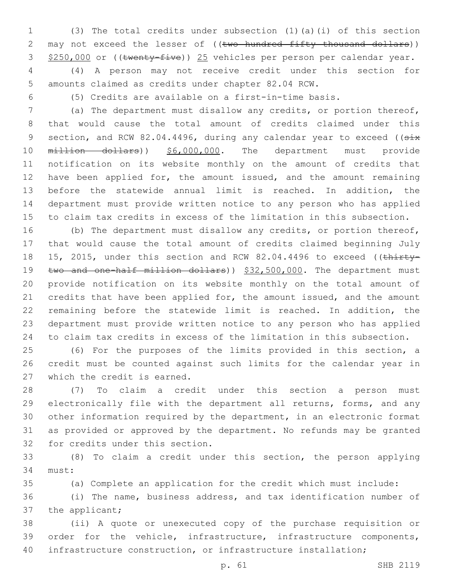(3) The total credits under subsection (1)(a)(i) of this section 2 may not exceed the lesser of ((two hundred fifty thousand dollars)) 3 \$250,000 or ((twenty-five)) 25 vehicles per person per calendar year.

 (4) A person may not receive credit under this section for amounts claimed as credits under chapter 82.04 RCW.

(5) Credits are available on a first-in-time basis.

 (a) The department must disallow any credits, or portion thereof, that would cause the total amount of credits claimed under this 9 section, and RCW 82.04.4496, during any calendar year to exceed ((six 10 million dollars)) \$6,000,000. The department must provide notification on its website monthly on the amount of credits that 12 have been applied for, the amount issued, and the amount remaining before the statewide annual limit is reached. In addition, the department must provide written notice to any person who has applied to claim tax credits in excess of the limitation in this subsection.

 (b) The department must disallow any credits, or portion thereof, that would cause the total amount of credits claimed beginning July 18 15, 2015, under this section and RCW 82.04.4496 to exceed ((thirty-19 two and one-half million dollars)) \$32,500,000. The department must provide notification on its website monthly on the total amount of 21 credits that have been applied for, the amount issued, and the amount remaining before the statewide limit is reached. In addition, the department must provide written notice to any person who has applied to claim tax credits in excess of the limitation in this subsection.

 (6) For the purposes of the limits provided in this section, a credit must be counted against such limits for the calendar year in 27 which the credit is earned.

 (7) To claim a credit under this section a person must electronically file with the department all returns, forms, and any other information required by the department, in an electronic format as provided or approved by the department. No refunds may be granted 32 for credits under this section.

 (8) To claim a credit under this section, the person applying 34 must:

(a) Complete an application for the credit which must include:

 (i) The name, business address, and tax identification number of 37 the applicant;

 (ii) A quote or unexecuted copy of the purchase requisition or order for the vehicle, infrastructure, infrastructure components, infrastructure construction, or infrastructure installation;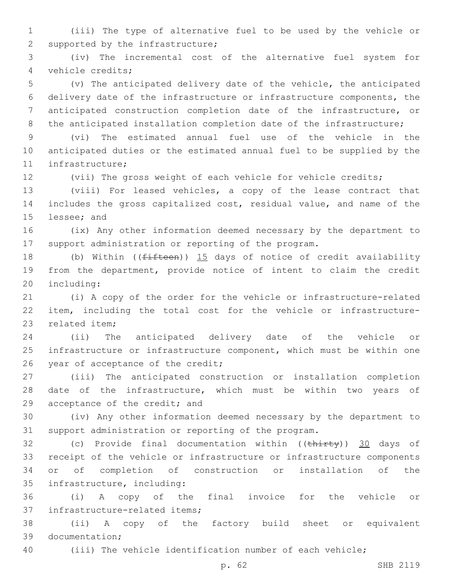(iii) The type of alternative fuel to be used by the vehicle or 2 supported by the infrastructure;

 (iv) The incremental cost of the alternative fuel system for vehicle credits;4

 (v) The anticipated delivery date of the vehicle, the anticipated delivery date of the infrastructure or infrastructure components, the anticipated construction completion date of the infrastructure, or 8 the anticipated installation completion date of the infrastructure;

 (vi) The estimated annual fuel use of the vehicle in the anticipated duties or the estimated annual fuel to be supplied by the 11 infrastructure;

(vii) The gross weight of each vehicle for vehicle credits;

 (viii) For leased vehicles, a copy of the lease contract that includes the gross capitalized cost, residual value, and name of the 15 lessee; and

 (ix) Any other information deemed necessary by the department to support administration or reporting of the program.

18 (b) Within ((fifteen)) 15 days of notice of credit availability from the department, provide notice of intent to claim the credit 20 including:

 (i) A copy of the order for the vehicle or infrastructure-related item, including the total cost for the vehicle or infrastructure-23 related item:

 (ii) The anticipated delivery date of the vehicle or infrastructure or infrastructure component, which must be within one 26 year of acceptance of the credit;

 (iii) The anticipated construction or installation completion date of the infrastructure, which must be within two years of 29 acceptance of the credit; and

 (iv) Any other information deemed necessary by the department to support administration or reporting of the program.

32 (c) Provide final documentation within ((thirty)) 30 days of receipt of the vehicle or infrastructure or infrastructure components or of completion of construction or installation of the 35 infrastructure, including:

 (i) A copy of the final invoice for the vehicle or 37 infrastructure-related items;

 (ii) A copy of the factory build sheet or equivalent 39 documentation;

(iii) The vehicle identification number of each vehicle;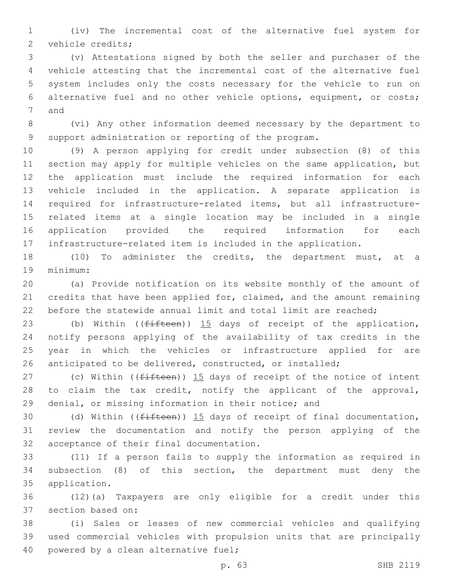(iv) The incremental cost of the alternative fuel system for 2 vehicle credits;

 (v) Attestations signed by both the seller and purchaser of the vehicle attesting that the incremental cost of the alternative fuel system includes only the costs necessary for the vehicle to run on alternative fuel and no other vehicle options, equipment, or costs; 7 and

 (vi) Any other information deemed necessary by the department to support administration or reporting of the program.

 (9) A person applying for credit under subsection (8) of this section may apply for multiple vehicles on the same application, but the application must include the required information for each vehicle included in the application. A separate application is required for infrastructure-related items, but all infrastructure- related items at a single location may be included in a single application provided the required information for each infrastructure-related item is included in the application.

 (10) To administer the credits, the department must, at a 19 minimum:

 (a) Provide notification on its website monthly of the amount of credits that have been applied for, claimed, and the amount remaining before the statewide annual limit and total limit are reached;

23 (b) Within ((fifteen)) 15 days of receipt of the application, notify persons applying of the availability of tax credits in the year in which the vehicles or infrastructure applied for are anticipated to be delivered, constructed, or installed;

27 (c) Within ( $(fifteen)$ )  $15$  days of receipt of the notice of intent 28 to claim the tax credit, notify the applicant of the approval, denial, or missing information in their notice; and

30 (d) Within ((<del>fifteen</del>)) 15 days of receipt of final documentation, review the documentation and notify the person applying of the 32 acceptance of their final documentation.

 (11) If a person fails to supply the information as required in subsection (8) of this section, the department must deny the 35 application.

 (12)(a) Taxpayers are only eligible for a credit under this 37 section based on:

 (i) Sales or leases of new commercial vehicles and qualifying used commercial vehicles with propulsion units that are principally 40 powered by a clean alternative fuel;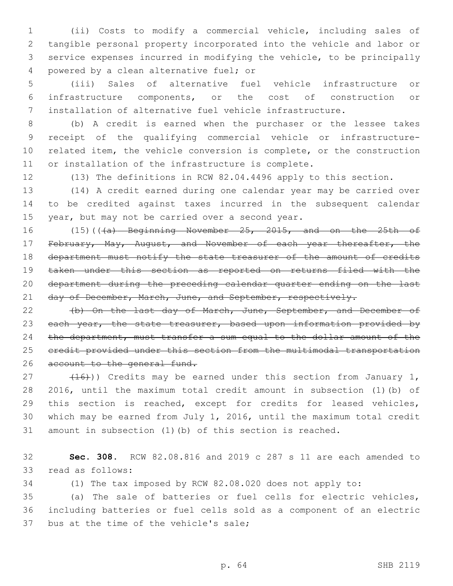(ii) Costs to modify a commercial vehicle, including sales of tangible personal property incorporated into the vehicle and labor or service expenses incurred in modifying the vehicle, to be principally 4 powered by a clean alternative fuel; or

 (iii) Sales of alternative fuel vehicle infrastructure or infrastructure components, or the cost of construction or installation of alternative fuel vehicle infrastructure.

 (b) A credit is earned when the purchaser or the lessee takes receipt of the qualifying commercial vehicle or infrastructure- related item, the vehicle conversion is complete, or the construction or installation of the infrastructure is complete.

(13) The definitions in RCW 82.04.4496 apply to this section.

 (14) A credit earned during one calendar year may be carried over to be credited against taxes incurred in the subsequent calendar 15 year, but may not be carried over a second year.

16 (15)(((a) Beginning November 25, 2015, and on the 25th of 17 February, May, August, and November of each year thereafter, the 18 department must notify the state treasurer of the amount of credits taken under this section as reported on returns filed with the department during the preceding calendar quarter ending on the last 21 day of December, March, June, and September, respectively.

 (b) On the last day of March, June, September, and December of 23 each year, the state treasurer, based upon information provided by 24 the department, must transfer a sum equal to the dollar amount of the credit provided under this section from the multimodal transportation 26 account to the general fund.

 $(16)$ ) Credits may be earned under this section from January 1, 2016, until the maximum total credit amount in subsection (1)(b) of this section is reached, except for credits for leased vehicles, which may be earned from July 1, 2016, until the maximum total credit amount in subsection (1)(b) of this section is reached.

 **Sec. 308.** RCW 82.08.816 and 2019 c 287 s 11 are each amended to 33 read as follows:

(1) The tax imposed by RCW 82.08.020 does not apply to:

 (a) The sale of batteries or fuel cells for electric vehicles, including batteries or fuel cells sold as a component of an electric 37 bus at the time of the vehicle's sale;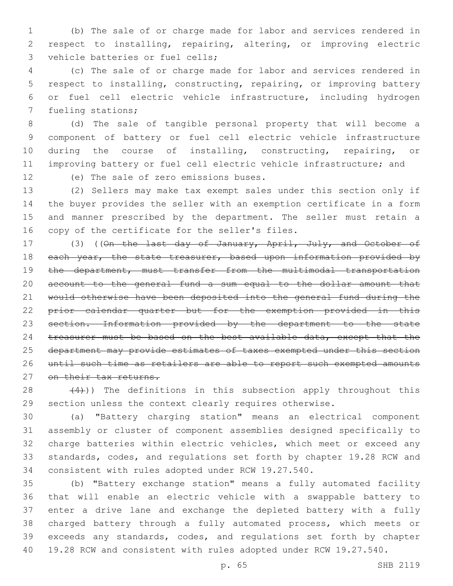(b) The sale of or charge made for labor and services rendered in respect to installing, repairing, altering, or improving electric 3 vehicle batteries or fuel cells;

 (c) The sale of or charge made for labor and services rendered in respect to installing, constructing, repairing, or improving battery or fuel cell electric vehicle infrastructure, including hydrogen 7 fueling stations;

 (d) The sale of tangible personal property that will become a component of battery or fuel cell electric vehicle infrastructure during the course of installing, constructing, repairing, or improving battery or fuel cell electric vehicle infrastructure; and

12 (e) The sale of zero emissions buses.

 (2) Sellers may make tax exempt sales under this section only if the buyer provides the seller with an exemption certificate in a form and manner prescribed by the department. The seller must retain a 16 copy of the certificate for the seller's files.

17 (3) ((On the last day of January, April, July, and October of 18 each year, the state treasurer, based upon information provided by 19 the department, must transfer from the multimodal transportation account to the general fund a sum equal to the dollar amount that would otherwise have been deposited into the general fund during the prior calendar quarter but for the exemption provided in this section. Information provided by the department to the state 24 treasurer must be based on the best available data, except that the department may provide estimates of taxes exempted under this section until such time as retailers are able to report such exempted amounts 27 on their tax returns.

28  $(4)$ )) The definitions in this subsection apply throughout this section unless the context clearly requires otherwise.

 (a) "Battery charging station" means an electrical component assembly or cluster of component assemblies designed specifically to charge batteries within electric vehicles, which meet or exceed any standards, codes, and regulations set forth by chapter 19.28 RCW and consistent with rules adopted under RCW 19.27.540.

 (b) "Battery exchange station" means a fully automated facility that will enable an electric vehicle with a swappable battery to enter a drive lane and exchange the depleted battery with a fully charged battery through a fully automated process, which meets or exceeds any standards, codes, and regulations set forth by chapter 19.28 RCW and consistent with rules adopted under RCW 19.27.540.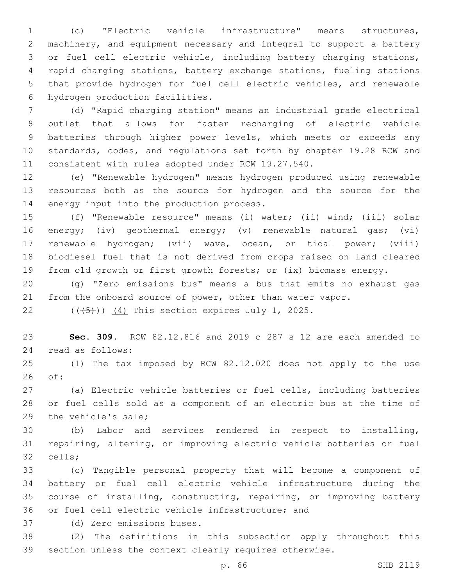(c) "Electric vehicle infrastructure" means structures, machinery, and equipment necessary and integral to support a battery or fuel cell electric vehicle, including battery charging stations, rapid charging stations, battery exchange stations, fueling stations that provide hydrogen for fuel cell electric vehicles, and renewable 6 hydrogen production facilities.

 (d) "Rapid charging station" means an industrial grade electrical outlet that allows for faster recharging of electric vehicle batteries through higher power levels, which meets or exceeds any standards, codes, and regulations set forth by chapter 19.28 RCW and consistent with rules adopted under RCW 19.27.540.

 (e) "Renewable hydrogen" means hydrogen produced using renewable resources both as the source for hydrogen and the source for the 14 energy input into the production process.

 (f) "Renewable resource" means (i) water; (ii) wind; (iii) solar energy; (iv) geothermal energy; (v) renewable natural gas; (vi) renewable hydrogen; (vii) wave, ocean, or tidal power; (viii) biodiesel fuel that is not derived from crops raised on land cleared from old growth or first growth forests; or (ix) biomass energy.

 (g) "Zero emissions bus" means a bus that emits no exhaust gas 21 from the onboard source of power, other than water vapor.

22  $((\overline{5}))(\overline{4})$  This section expires July 1, 2025.

 **Sec. 309.** RCW 82.12.816 and 2019 c 287 s 12 are each amended to 24 read as follows:

 (1) The tax imposed by RCW 82.12.020 does not apply to the use of:26

 (a) Electric vehicle batteries or fuel cells, including batteries or fuel cells sold as a component of an electric bus at the time of 29 the vehicle's sale;

 (b) Labor and services rendered in respect to installing, repairing, altering, or improving electric vehicle batteries or fuel 32 cells;

 (c) Tangible personal property that will become a component of battery or fuel cell electric vehicle infrastructure during the course of installing, constructing, repairing, or improving battery 36 or fuel cell electric vehicle infrastructure; and

(d) Zero emissions buses.37

 (2) The definitions in this subsection apply throughout this section unless the context clearly requires otherwise.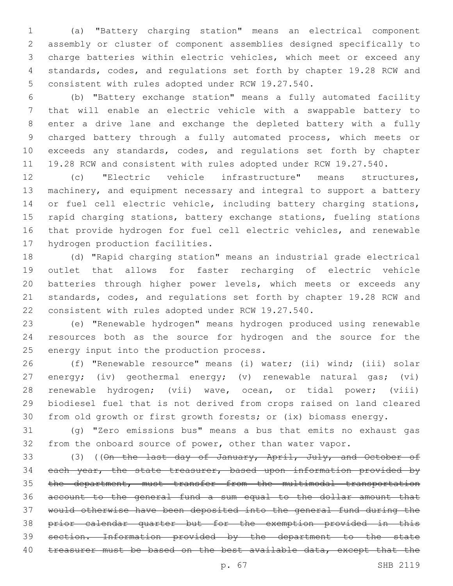(a) "Battery charging station" means an electrical component assembly or cluster of component assemblies designed specifically to charge batteries within electric vehicles, which meet or exceed any standards, codes, and regulations set forth by chapter 19.28 RCW and 5 consistent with rules adopted under RCW 19.27.540.

 (b) "Battery exchange station" means a fully automated facility that will enable an electric vehicle with a swappable battery to enter a drive lane and exchange the depleted battery with a fully charged battery through a fully automated process, which meets or exceeds any standards, codes, and regulations set forth by chapter 19.28 RCW and consistent with rules adopted under RCW 19.27.540.

 (c) "Electric vehicle infrastructure" means structures, machinery, and equipment necessary and integral to support a battery 14 or fuel cell electric vehicle, including battery charging stations, rapid charging stations, battery exchange stations, fueling stations that provide hydrogen for fuel cell electric vehicles, and renewable 17 hydrogen production facilities.

 (d) "Rapid charging station" means an industrial grade electrical outlet that allows for faster recharging of electric vehicle batteries through higher power levels, which meets or exceeds any standards, codes, and regulations set forth by chapter 19.28 RCW and consistent with rules adopted under RCW 19.27.540.

 (e) "Renewable hydrogen" means hydrogen produced using renewable resources both as the source for hydrogen and the source for the 25 energy input into the production process.

 (f) "Renewable resource" means (i) water; (ii) wind; (iii) solar energy; (iv) geothermal energy; (v) renewable natural gas; (vi) renewable hydrogen; (vii) wave, ocean, or tidal power; (viii) biodiesel fuel that is not derived from crops raised on land cleared from old growth or first growth forests; or (ix) biomass energy.

 (g) "Zero emissions bus" means a bus that emits no exhaust gas from the onboard source of power, other than water vapor.

33 (3) ((On the last day of January, April, July, and October of 34 each year, the state treasurer, based upon information provided by the department, must transfer from the multimodal transportation account to the general fund a sum equal to the dollar amount that would otherwise have been deposited into the general fund during the prior calendar quarter but for the exemption provided in this section. Information provided by the department to the state 40 treasurer must be based on the best available data, except that the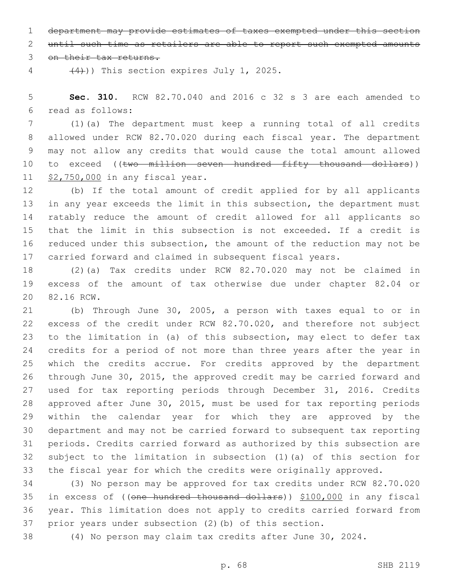department may provide estimates of taxes exempted under this section

until such time as retailers are able to report such exempted amounts

3 on their tax returns.

 $(4)$ )) This section expires July 1, 2025.

 **Sec. 310.** RCW 82.70.040 and 2016 c 32 s 3 are each amended to read as follows:6

 (1)(a) The department must keep a running total of all credits allowed under RCW 82.70.020 during each fiscal year. The department may not allow any credits that would cause the total amount allowed 10 to exceed ((two million seven hundred fifty thousand dollars)) 11 \$2,750,000 in any fiscal year.

 (b) If the total amount of credit applied for by all applicants in any year exceeds the limit in this subsection, the department must ratably reduce the amount of credit allowed for all applicants so that the limit in this subsection is not exceeded. If a credit is reduced under this subsection, the amount of the reduction may not be carried forward and claimed in subsequent fiscal years.

 (2)(a) Tax credits under RCW 82.70.020 may not be claimed in excess of the amount of tax otherwise due under chapter 82.04 or 20 82.16 RCW.

 (b) Through June 30, 2005, a person with taxes equal to or in excess of the credit under RCW 82.70.020, and therefore not subject to the limitation in (a) of this subsection, may elect to defer tax credits for a period of not more than three years after the year in which the credits accrue. For credits approved by the department through June 30, 2015, the approved credit may be carried forward and used for tax reporting periods through December 31, 2016. Credits approved after June 30, 2015, must be used for tax reporting periods within the calendar year for which they are approved by the department and may not be carried forward to subsequent tax reporting periods. Credits carried forward as authorized by this subsection are subject to the limitation in subsection (1)(a) of this section for the fiscal year for which the credits were originally approved.

 (3) No person may be approved for tax credits under RCW 82.70.020 in excess of ((one hundred thousand dollars)) \$100,000 in any fiscal year. This limitation does not apply to credits carried forward from prior years under subsection (2)(b) of this section.

(4) No person may claim tax credits after June 30, 2024.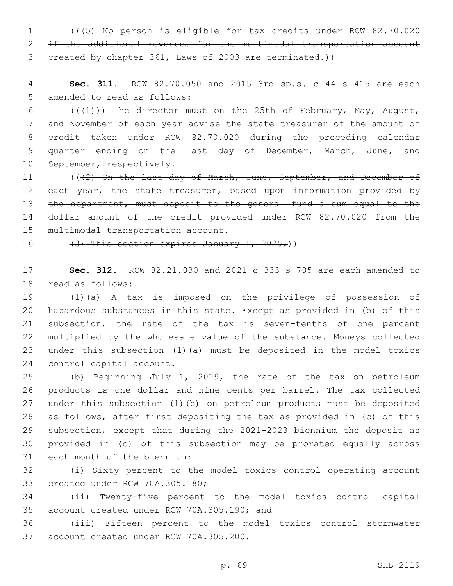1 (((5) No person is eligible for tax credits under RCW 82.70.020 2 if the additional revenues for the multimodal transportation account 3 created by chapter 361, Laws of 2003 are terminated.))

4 **Sec. 311.** RCW 82.70.050 and 2015 3rd sp.s. c 44 s 415 are each 5 amended to read as follows:

6 ( $(\frac{1}{1})$ ) The director must on the 25th of February, May, August, 7 and November of each year advise the state treasurer of the amount of 8 credit taken under RCW 82.70.020 during the preceding calendar 9 quarter ending on the last day of December, March, June, and 10 September, respectively.

11 (((2) On the last day of March, June, September, and December of 12 each year, the state treasurer, based upon information provided by 13 the department, must deposit to the general fund a sum equal to the 14 dollar amount of the credit provided under RCW 82.70.020 from the 15 multimodal transportation account.

16 (3) This section expires January 1, 2025.)

17 **Sec. 312.** RCW 82.21.030 and 2021 c 333 s 705 are each amended to 18 read as follows:

 (1)(a) A tax is imposed on the privilege of possession of hazardous substances in this state. Except as provided in (b) of this subsection, the rate of the tax is seven-tenths of one percent multiplied by the wholesale value of the substance. Moneys collected under this subsection (1)(a) must be deposited in the model toxics 24 control capital account.

 (b) Beginning July 1, 2019, the rate of the tax on petroleum products is one dollar and nine cents per barrel. The tax collected under this subsection (1)(b) on petroleum products must be deposited as follows, after first depositing the tax as provided in (c) of this subsection, except that during the 2021-2023 biennium the deposit as provided in (c) of this subsection may be prorated equally across 31 each month of the biennium:

32 (i) Sixty percent to the model toxics control operating account 33 created under RCW 70A.305.180;

34 (ii) Twenty-five percent to the model toxics control capital 35 account created under RCW 70A.305.190; and

36 (iii) Fifteen percent to the model toxics control stormwater 37 account created under RCW 70A.305.200.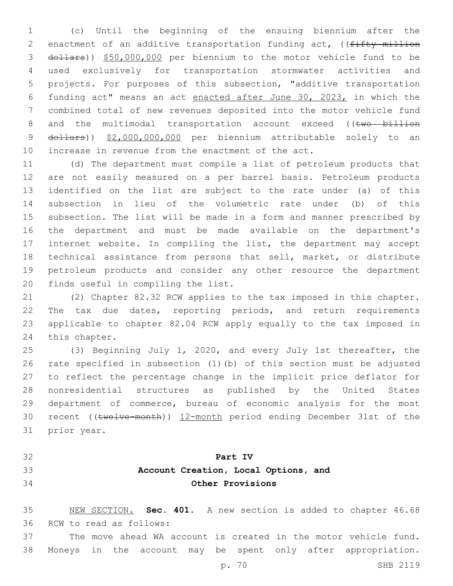(c) Until the beginning of the ensuing biennium after the 2 enactment of an additive transportation funding act, ((fifty million dollars)) \$50,000,000 per biennium to the motor vehicle fund to be used exclusively for transportation stormwater activities and projects. For purposes of this subsection, "additive transportation funding act" means an act enacted after June 30, 2023, in which the combined total of new revenues deposited into the motor vehicle fund 8 and the multimodal transportation account exceed ((two billion 9 dollars)) \$2,000,000,000 per biennium attributable solely to an increase in revenue from the enactment of the act.

 (d) The department must compile a list of petroleum products that are not easily measured on a per barrel basis. Petroleum products identified on the list are subject to the rate under (a) of this subsection in lieu of the volumetric rate under (b) of this subsection. The list will be made in a form and manner prescribed by the department and must be made available on the department's internet website. In compiling the list, the department may accept technical assistance from persons that sell, market, or distribute petroleum products and consider any other resource the department 20 finds useful in compiling the list.

 (2) Chapter 82.32 RCW applies to the tax imposed in this chapter. The tax due dates, reporting periods, and return requirements applicable to chapter 82.04 RCW apply equally to the tax imposed in 24 this chapter.

 (3) Beginning July 1, 2020, and every July 1st thereafter, the rate specified in subsection (1)(b) of this section must be adjusted to reflect the percentage change in the implicit price deflator for nonresidential structures as published by the United States department of commerce, bureau of economic analysis for the most recent ((twelve-month)) 12-month period ending December 31st of the 31 prior year.

- 
- 

## **Part IV**

## **Account Creation, Local Options, and Other Provisions**

 NEW SECTION. **Sec. 401.** A new section is added to chapter 46.68 36 RCW to read as follows:

 The move ahead WA account is created in the motor vehicle fund. Moneys in the account may be spent only after appropriation.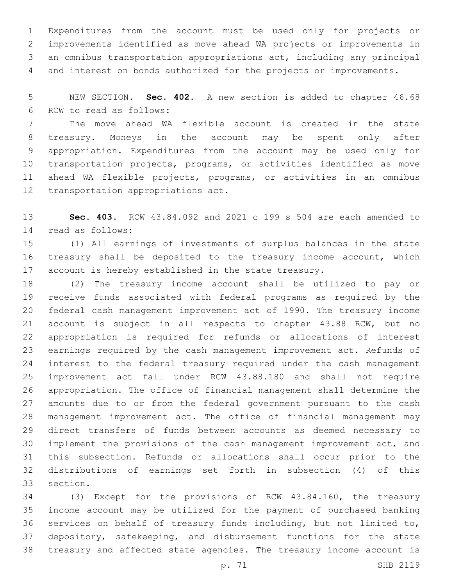Expenditures from the account must be used only for projects or improvements identified as move ahead WA projects or improvements in an omnibus transportation appropriations act, including any principal and interest on bonds authorized for the projects or improvements.

 NEW SECTION. **Sec. 402.** A new section is added to chapter 46.68 6 RCW to read as follows:

 The move ahead WA flexible account is created in the state treasury. Moneys in the account may be spent only after appropriation. Expenditures from the account may be used only for transportation projects, programs, or activities identified as move ahead WA flexible projects, programs, or activities in an omnibus 12 transportation appropriations act.

 **Sec. 403.** RCW 43.84.092 and 2021 c 199 s 504 are each amended to 14 read as follows:

 (1) All earnings of investments of surplus balances in the state treasury shall be deposited to the treasury income account, which account is hereby established in the state treasury.

 (2) The treasury income account shall be utilized to pay or receive funds associated with federal programs as required by the federal cash management improvement act of 1990. The treasury income account is subject in all respects to chapter 43.88 RCW, but no appropriation is required for refunds or allocations of interest earnings required by the cash management improvement act. Refunds of interest to the federal treasury required under the cash management improvement act fall under RCW 43.88.180 and shall not require appropriation. The office of financial management shall determine the amounts due to or from the federal government pursuant to the cash management improvement act. The office of financial management may direct transfers of funds between accounts as deemed necessary to implement the provisions of the cash management improvement act, and this subsection. Refunds or allocations shall occur prior to the distributions of earnings set forth in subsection (4) of this 33 section.

 (3) Except for the provisions of RCW 43.84.160, the treasury income account may be utilized for the payment of purchased banking services on behalf of treasury funds including, but not limited to, depository, safekeeping, and disbursement functions for the state treasury and affected state agencies. The treasury income account is

p. 71 SHB 2119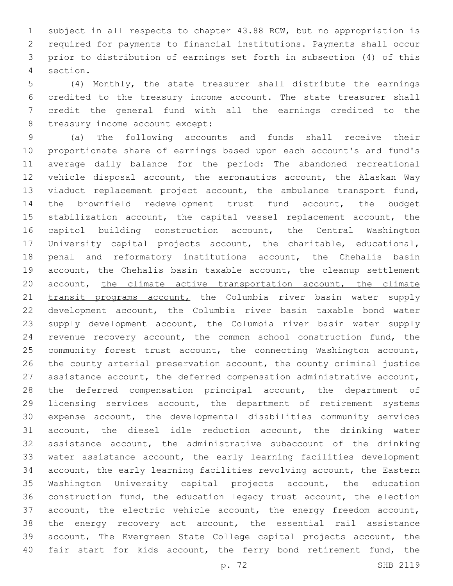subject in all respects to chapter 43.88 RCW, but no appropriation is required for payments to financial institutions. Payments shall occur prior to distribution of earnings set forth in subsection (4) of this section.4

 (4) Monthly, the state treasurer shall distribute the earnings credited to the treasury income account. The state treasurer shall credit the general fund with all the earnings credited to the 8 treasury income account except:

 (a) The following accounts and funds shall receive their proportionate share of earnings based upon each account's and fund's average daily balance for the period: The abandoned recreational vehicle disposal account, the aeronautics account, the Alaskan Way viaduct replacement project account, the ambulance transport fund, the brownfield redevelopment trust fund account, the budget stabilization account, the capital vessel replacement account, the capitol building construction account, the Central Washington University capital projects account, the charitable, educational, penal and reformatory institutions account, the Chehalis basin account, the Chehalis basin taxable account, the cleanup settlement 20 account, the climate active transportation account, the climate 21 transit programs account, the Columbia river basin water supply development account, the Columbia river basin taxable bond water supply development account, the Columbia river basin water supply revenue recovery account, the common school construction fund, the community forest trust account, the connecting Washington account, the county arterial preservation account, the county criminal justice assistance account, the deferred compensation administrative account, the deferred compensation principal account, the department of licensing services account, the department of retirement systems expense account, the developmental disabilities community services account, the diesel idle reduction account, the drinking water assistance account, the administrative subaccount of the drinking water assistance account, the early learning facilities development account, the early learning facilities revolving account, the Eastern Washington University capital projects account, the education construction fund, the education legacy trust account, the election account, the electric vehicle account, the energy freedom account, the energy recovery act account, the essential rail assistance account, The Evergreen State College capital projects account, the 40 fair start for kids account, the ferry bond retirement fund, the

p. 72 SHB 2119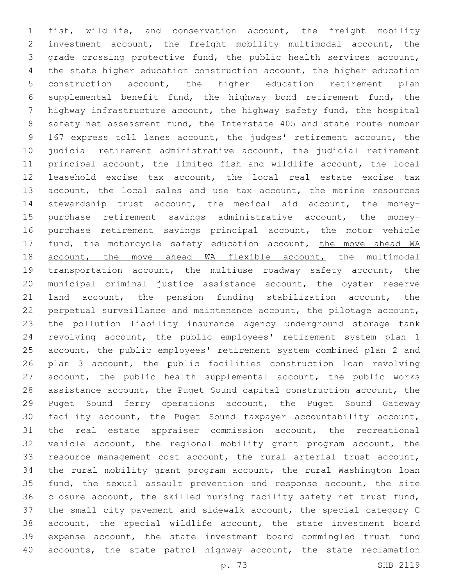fish, wildlife, and conservation account, the freight mobility investment account, the freight mobility multimodal account, the grade crossing protective fund, the public health services account, the state higher education construction account, the higher education construction account, the higher education retirement plan supplemental benefit fund, the highway bond retirement fund, the highway infrastructure account, the highway safety fund, the hospital safety net assessment fund, the Interstate 405 and state route number 167 express toll lanes account, the judges' retirement account, the judicial retirement administrative account, the judicial retirement principal account, the limited fish and wildlife account, the local leasehold excise tax account, the local real estate excise tax 13 account, the local sales and use tax account, the marine resources stewardship trust account, the medical aid account, the money- purchase retirement savings administrative account, the money- purchase retirement savings principal account, the motor vehicle 17 fund, the motorcycle safety education account, the move ahead WA 18 account, the move ahead WA flexible account, the multimodal transportation account, the multiuse roadway safety account, the municipal criminal justice assistance account, the oyster reserve land account, the pension funding stabilization account, the perpetual surveillance and maintenance account, the pilotage account, the pollution liability insurance agency underground storage tank revolving account, the public employees' retirement system plan 1 account, the public employees' retirement system combined plan 2 and plan 3 account, the public facilities construction loan revolving account, the public health supplemental account, the public works assistance account, the Puget Sound capital construction account, the Puget Sound ferry operations account, the Puget Sound Gateway facility account, the Puget Sound taxpayer accountability account, the real estate appraiser commission account, the recreational vehicle account, the regional mobility grant program account, the resource management cost account, the rural arterial trust account, the rural mobility grant program account, the rural Washington loan fund, the sexual assault prevention and response account, the site closure account, the skilled nursing facility safety net trust fund, the small city pavement and sidewalk account, the special category C account, the special wildlife account, the state investment board expense account, the state investment board commingled trust fund 40 accounts, the state patrol highway account, the state reclamation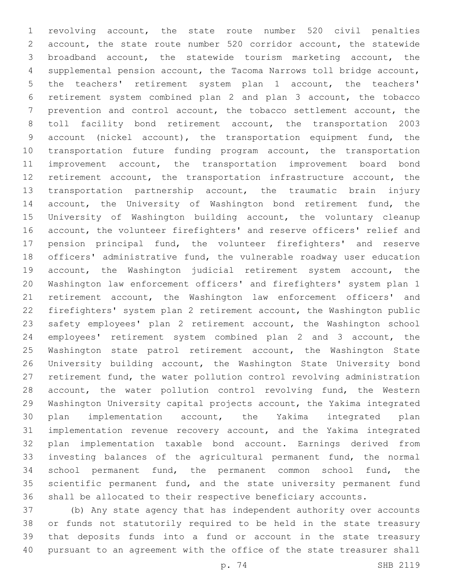revolving account, the state route number 520 civil penalties account, the state route number 520 corridor account, the statewide broadband account, the statewide tourism marketing account, the supplemental pension account, the Tacoma Narrows toll bridge account, the teachers' retirement system plan 1 account, the teachers' retirement system combined plan 2 and plan 3 account, the tobacco prevention and control account, the tobacco settlement account, the toll facility bond retirement account, the transportation 2003 account (nickel account), the transportation equipment fund, the transportation future funding program account, the transportation improvement account, the transportation improvement board bond retirement account, the transportation infrastructure account, the transportation partnership account, the traumatic brain injury 14 account, the University of Washington bond retirement fund, the University of Washington building account, the voluntary cleanup account, the volunteer firefighters' and reserve officers' relief and pension principal fund, the volunteer firefighters' and reserve officers' administrative fund, the vulnerable roadway user education account, the Washington judicial retirement system account, the Washington law enforcement officers' and firefighters' system plan 1 retirement account, the Washington law enforcement officers' and firefighters' system plan 2 retirement account, the Washington public safety employees' plan 2 retirement account, the Washington school employees' retirement system combined plan 2 and 3 account, the 25 Washington state patrol retirement account, the Washington State University building account, the Washington State University bond retirement fund, the water pollution control revolving administration 28 account, the water pollution control revolving fund, the Western Washington University capital projects account, the Yakima integrated plan implementation account, the Yakima integrated plan implementation revenue recovery account, and the Yakima integrated plan implementation taxable bond account. Earnings derived from investing balances of the agricultural permanent fund, the normal school permanent fund, the permanent common school fund, the scientific permanent fund, and the state university permanent fund shall be allocated to their respective beneficiary accounts.

 (b) Any state agency that has independent authority over accounts or funds not statutorily required to be held in the state treasury that deposits funds into a fund or account in the state treasury pursuant to an agreement with the office of the state treasurer shall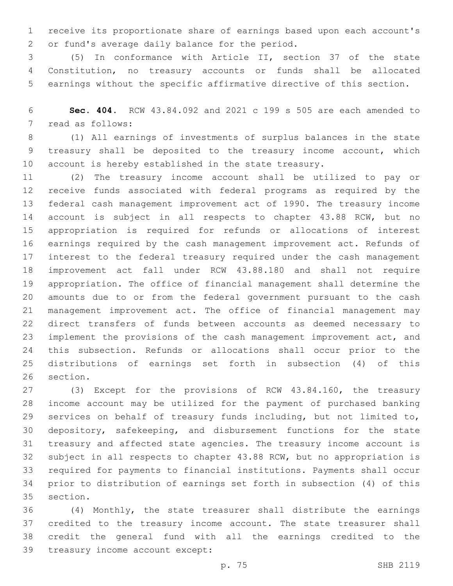receive its proportionate share of earnings based upon each account's 2 or fund's average daily balance for the period.

 (5) In conformance with Article II, section 37 of the state Constitution, no treasury accounts or funds shall be allocated earnings without the specific affirmative directive of this section.

 **Sec. 404.** RCW 43.84.092 and 2021 c 199 s 505 are each amended to 7 read as follows:

 (1) All earnings of investments of surplus balances in the state treasury shall be deposited to the treasury income account, which account is hereby established in the state treasury.

 (2) The treasury income account shall be utilized to pay or receive funds associated with federal programs as required by the federal cash management improvement act of 1990. The treasury income account is subject in all respects to chapter 43.88 RCW, but no appropriation is required for refunds or allocations of interest earnings required by the cash management improvement act. Refunds of interest to the federal treasury required under the cash management improvement act fall under RCW 43.88.180 and shall not require appropriation. The office of financial management shall determine the amounts due to or from the federal government pursuant to the cash management improvement act. The office of financial management may direct transfers of funds between accounts as deemed necessary to implement the provisions of the cash management improvement act, and this subsection. Refunds or allocations shall occur prior to the distributions of earnings set forth in subsection (4) of this 26 section.

 (3) Except for the provisions of RCW 43.84.160, the treasury income account may be utilized for the payment of purchased banking services on behalf of treasury funds including, but not limited to, depository, safekeeping, and disbursement functions for the state treasury and affected state agencies. The treasury income account is subject in all respects to chapter 43.88 RCW, but no appropriation is required for payments to financial institutions. Payments shall occur prior to distribution of earnings set forth in subsection (4) of this 35 section.

 (4) Monthly, the state treasurer shall distribute the earnings credited to the treasury income account. The state treasurer shall credit the general fund with all the earnings credited to the 39 treasury income account except: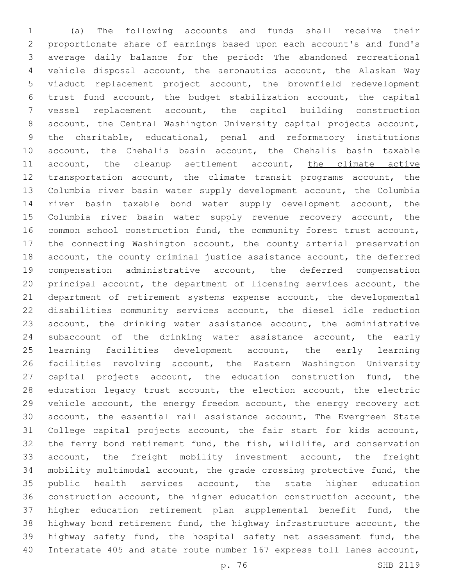(a) The following accounts and funds shall receive their proportionate share of earnings based upon each account's and fund's average daily balance for the period: The abandoned recreational vehicle disposal account, the aeronautics account, the Alaskan Way viaduct replacement project account, the brownfield redevelopment trust fund account, the budget stabilization account, the capital vessel replacement account, the capitol building construction account, the Central Washington University capital projects account, the charitable, educational, penal and reformatory institutions account, the Chehalis basin account, the Chehalis basin taxable 11 account, the cleanup settlement account, the climate active 12 transportation account, the climate transit programs account, the Columbia river basin water supply development account, the Columbia river basin taxable bond water supply development account, the 15 Columbia river basin water supply revenue recovery account, the common school construction fund, the community forest trust account, the connecting Washington account, the county arterial preservation account, the county criminal justice assistance account, the deferred compensation administrative account, the deferred compensation principal account, the department of licensing services account, the department of retirement systems expense account, the developmental disabilities community services account, the diesel idle reduction account, the drinking water assistance account, the administrative subaccount of the drinking water assistance account, the early learning facilities development account, the early learning facilities revolving account, the Eastern Washington University 27 capital projects account, the education construction fund, the 28 education legacy trust account, the election account, the electric vehicle account, the energy freedom account, the energy recovery act account, the essential rail assistance account, The Evergreen State College capital projects account, the fair start for kids account, the ferry bond retirement fund, the fish, wildlife, and conservation account, the freight mobility investment account, the freight mobility multimodal account, the grade crossing protective fund, the 35 public health services account, the state higher education construction account, the higher education construction account, the higher education retirement plan supplemental benefit fund, the highway bond retirement fund, the highway infrastructure account, the highway safety fund, the hospital safety net assessment fund, the Interstate 405 and state route number 167 express toll lanes account,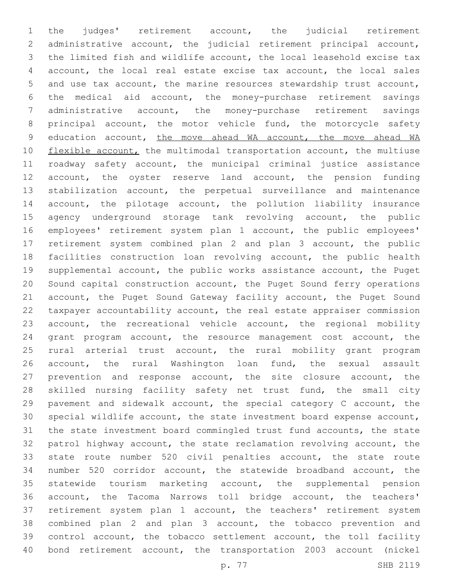the judges' retirement account, the judicial retirement administrative account, the judicial retirement principal account, the limited fish and wildlife account, the local leasehold excise tax account, the local real estate excise tax account, the local sales and use tax account, the marine resources stewardship trust account, the medical aid account, the money-purchase retirement savings administrative account, the money-purchase retirement savings principal account, the motor vehicle fund, the motorcycle safety education account, the move ahead WA account, the move ahead WA 10 flexible account, the multimodal transportation account, the multiuse roadway safety account, the municipal criminal justice assistance account, the oyster reserve land account, the pension funding stabilization account, the perpetual surveillance and maintenance account, the pilotage account, the pollution liability insurance agency underground storage tank revolving account, the public employees' retirement system plan 1 account, the public employees' retirement system combined plan 2 and plan 3 account, the public 18 facilities construction loan revolving account, the public health supplemental account, the public works assistance account, the Puget Sound capital construction account, the Puget Sound ferry operations account, the Puget Sound Gateway facility account, the Puget Sound taxpayer accountability account, the real estate appraiser commission account, the recreational vehicle account, the regional mobility grant program account, the resource management cost account, the rural arterial trust account, the rural mobility grant program account, the rural Washington loan fund, the sexual assault prevention and response account, the site closure account, the skilled nursing facility safety net trust fund, the small city pavement and sidewalk account, the special category C account, the special wildlife account, the state investment board expense account, the state investment board commingled trust fund accounts, the state patrol highway account, the state reclamation revolving account, the state route number 520 civil penalties account, the state route number 520 corridor account, the statewide broadband account, the statewide tourism marketing account, the supplemental pension account, the Tacoma Narrows toll bridge account, the teachers' retirement system plan 1 account, the teachers' retirement system combined plan 2 and plan 3 account, the tobacco prevention and control account, the tobacco settlement account, the toll facility bond retirement account, the transportation 2003 account (nickel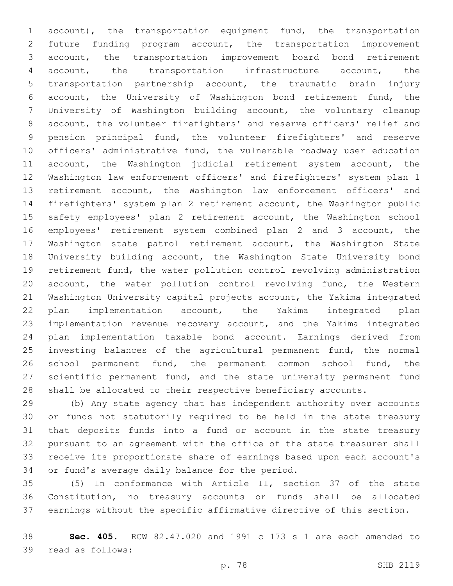account), the transportation equipment fund, the transportation future funding program account, the transportation improvement account, the transportation improvement board bond retirement account, the transportation infrastructure account, the transportation partnership account, the traumatic brain injury account, the University of Washington bond retirement fund, the University of Washington building account, the voluntary cleanup account, the volunteer firefighters' and reserve officers' relief and pension principal fund, the volunteer firefighters' and reserve officers' administrative fund, the vulnerable roadway user education 11 account, the Washington judicial retirement system account, the Washington law enforcement officers' and firefighters' system plan 1 retirement account, the Washington law enforcement officers' and firefighters' system plan 2 retirement account, the Washington public safety employees' plan 2 retirement account, the Washington school employees' retirement system combined plan 2 and 3 account, the Washington state patrol retirement account, the Washington State University building account, the Washington State University bond retirement fund, the water pollution control revolving administration account, the water pollution control revolving fund, the Western Washington University capital projects account, the Yakima integrated plan implementation account, the Yakima integrated plan implementation revenue recovery account, and the Yakima integrated plan implementation taxable bond account. Earnings derived from investing balances of the agricultural permanent fund, the normal school permanent fund, the permanent common school fund, the scientific permanent fund, and the state university permanent fund shall be allocated to their respective beneficiary accounts.

 (b) Any state agency that has independent authority over accounts or funds not statutorily required to be held in the state treasury that deposits funds into a fund or account in the state treasury pursuant to an agreement with the office of the state treasurer shall receive its proportionate share of earnings based upon each account's 34 or fund's average daily balance for the period.

 (5) In conformance with Article II, section 37 of the state Constitution, no treasury accounts or funds shall be allocated earnings without the specific affirmative directive of this section.

 **Sec. 405.** RCW 82.47.020 and 1991 c 173 s 1 are each amended to 39 read as follows: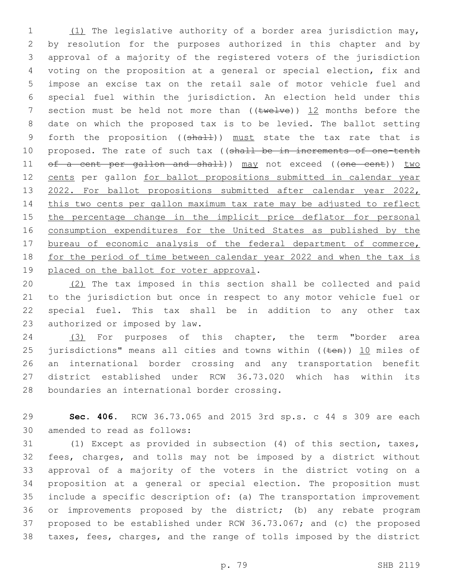(1) The legislative authority of a border area jurisdiction may, by resolution for the purposes authorized in this chapter and by approval of a majority of the registered voters of the jurisdiction voting on the proposition at a general or special election, fix and impose an excise tax on the retail sale of motor vehicle fuel and special fuel within the jurisdiction. An election held under this 7 section must be held not more than  $((\text{true+ve}))$  12 months before the date on which the proposed tax is to be levied. The ballot setting 9 forth the proposition ((shall)) must state the tax rate that is 10 proposed. The rate of such tax ((shall be in increments of one-tenth 11 of a cent per gallon and shall)) may not exceed ((one cent)) two cents per gallon for ballot propositions submitted in calendar year 13 2022. For ballot propositions submitted after calendar year 2022, this two cents per gallon maximum tax rate may be adjusted to reflect 15 the percentage change in the implicit price deflator for personal consumption expenditures for the United States as published by the 17 bureau of economic analysis of the federal department of commerce, for the period of time between calendar year 2022 and when the tax is 19 placed on the ballot for voter approval.

 (2) The tax imposed in this section shall be collected and paid to the jurisdiction but once in respect to any motor vehicle fuel or special fuel. This tax shall be in addition to any other tax 23 authorized or imposed by law.

 (3) For purposes of this chapter, the term "border area 25 jurisdictions" means all cities and towns within  $($ ( $t$ en))  $\underline{10}$  miles of an international border crossing and any transportation benefit district established under RCW 36.73.020 which has within its 28 boundaries an international border crossing.

 **Sec. 406.** RCW 36.73.065 and 2015 3rd sp.s. c 44 s 309 are each 30 amended to read as follows:

 (1) Except as provided in subsection (4) of this section, taxes, fees, charges, and tolls may not be imposed by a district without approval of a majority of the voters in the district voting on a proposition at a general or special election. The proposition must include a specific description of: (a) The transportation improvement or improvements proposed by the district; (b) any rebate program proposed to be established under RCW 36.73.067; and (c) the proposed taxes, fees, charges, and the range of tolls imposed by the district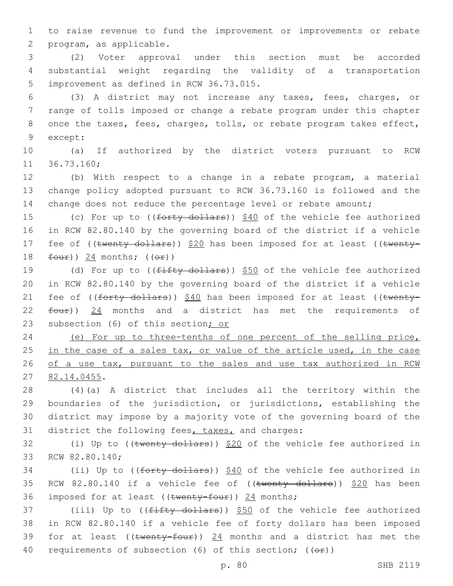1 to raise revenue to fund the improvement or improvements or rebate 2 program, as applicable.

3 (2) Voter approval under this section must be accorded 4 substantial weight regarding the validity of a transportation 5 improvement as defined in RCW 36.73.015.

6 (3) A district may not increase any taxes, fees, charges, or 7 range of tolls imposed or change a rebate program under this chapter 8 once the taxes, fees, charges, tolls, or rebate program takes effect, 9 except:

10 (a) If authorized by the district voters pursuant to RCW 11 36.73.160;

12 (b) With respect to a change in a rebate program, a material 13 change policy adopted pursuant to RCW 36.73.160 is followed and the 14 change does not reduce the percentage level or rebate amount;

15 (c) For up to ((forty dollars)) \$40 of the vehicle fee authorized 16 in RCW 82.80.140 by the governing board of the district if a vehicle 17 fee of ((twenty dollars)) \$20 has been imposed for at least ((twenty-18  $f_{\text{out}}$ ) 24 months; (( $\Theta$  $f$ ))

19 (d) For up to ((fifty dollars)) \$50 of the vehicle fee authorized 20 in RCW 82.80.140 by the governing board of the district if a vehicle 21 fee of ((forty dollars)) \$40 has been imposed for at least ((twenty- $22$   $f_{\text{out}}$ ) 24 months and a district has met the requirements of 23 subsection (6) of this section; or

24 (e) For up to three-tenths of one percent of the selling price, 25 in the case of a sales tax, or value of the article used, in the case 26 of a use tax, pursuant to the sales and use tax authorized in RCW 27 82.14.0455.

 (4)(a) A district that includes all the territory within the boundaries of the jurisdiction, or jurisdictions, establishing the district may impose by a majority vote of the governing board of the 31 district the following fees, taxes, and charges:

32 (i) Up to ((twenty dollars)) \$20 of the vehicle fee authorized in 33 RCW 82.80.140;

34 (ii) Up to ((forty dollars)) \$40 of the vehicle fee authorized in 35 RCW 82.80.140 if a vehicle fee of  $((\text{twenty dollars}))$  \$20 has been 36 imposed for at least ((twenty-four)) 24 months;

37 (iii) Up to ((fifty dollars)) \$50 of the vehicle fee authorized 38 in RCW 82.80.140 if a vehicle fee of forty dollars has been imposed 39 for at least (( $t$ wenty-four)) 24 months and a district has met the 40 requirements of subsection (6) of this section;  $((\Theta \oplus))$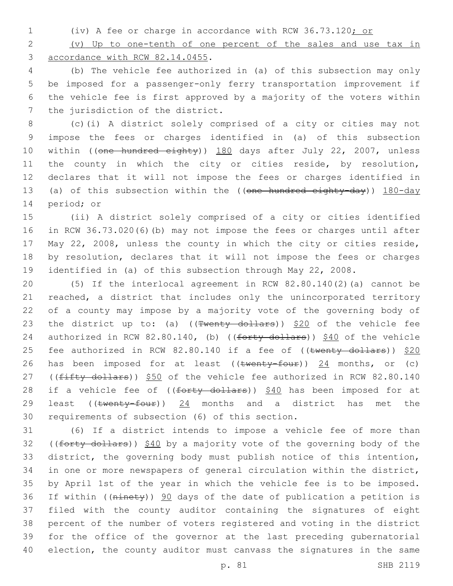(iv) A fee or charge in accordance with RCW 36.73.120; or

 (v) Up to one-tenth of one percent of the sales and use tax in 3 accordance with RCW 82.14.0455.

 (b) The vehicle fee authorized in (a) of this subsection may only be imposed for a passenger-only ferry transportation improvement if the vehicle fee is first approved by a majority of the voters within 7 the jurisdiction of the district.

 (c)(i) A district solely comprised of a city or cities may not impose the fees or charges identified in (a) of this subsection 10 within ((one hundred eighty)) 180 days after July 22, 2007, unless 11 the county in which the city or cities reside, by resolution, declares that it will not impose the fees or charges identified in 13 (a) of this subsection within the ((one hundred eighty-day)) 180-day 14 period; or

 (ii) A district solely comprised of a city or cities identified in RCW 36.73.020(6)(b) may not impose the fees or charges until after May 22, 2008, unless the county in which the city or cities reside, by resolution, declares that it will not impose the fees or charges identified in (a) of this subsection through May 22, 2008.

 (5) If the interlocal agreement in RCW 82.80.140(2)(a) cannot be reached, a district that includes only the unincorporated territory of a county may impose by a majority vote of the governing body of 23 the district up to: (a) ( $(\text{Fwenty-dollars})$ ) \$20 of the vehicle fee 24 authorized in RCW 82.80.140, (b) ((forty dollars)) \$40 of the vehicle 25 fee authorized in RCW 82.80.140 if a fee of ((twenty dollars)) \$20 26 has been imposed for at least ((twenty-four)) 24 months, or (c) 27 ((fifty dollars)) \$50 of the vehicle fee authorized in RCW 82.80.140 28 if a vehicle fee of ((forty dollars)) \$40 has been imposed for at 29 least ((twenty-four)) 24 months and a district has met the 30 requirements of subsection (6) of this section.

 (6) If a district intends to impose a vehicle fee of more than 32 ((forty dollars)) \$40 by a majority vote of the governing body of the district, the governing body must publish notice of this intention, in one or more newspapers of general circulation within the district, by April 1st of the year in which the vehicle fee is to be imposed. If within ((ninety)) 90 days of the date of publication a petition is filed with the county auditor containing the signatures of eight percent of the number of voters registered and voting in the district for the office of the governor at the last preceding gubernatorial election, the county auditor must canvass the signatures in the same

p. 81 SHB 2119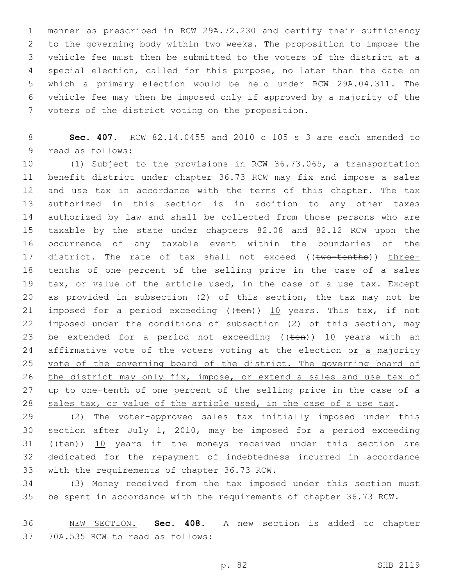manner as prescribed in RCW 29A.72.230 and certify their sufficiency to the governing body within two weeks. The proposition to impose the vehicle fee must then be submitted to the voters of the district at a special election, called for this purpose, no later than the date on which a primary election would be held under RCW 29A.04.311. The vehicle fee may then be imposed only if approved by a majority of the 7 voters of the district voting on the proposition.

 **Sec. 407.** RCW 82.14.0455 and 2010 c 105 s 3 are each amended to 9 read as follows:

 (1) Subject to the provisions in RCW 36.73.065, a transportation benefit district under chapter 36.73 RCW may fix and impose a sales and use tax in accordance with the terms of this chapter. The tax authorized in this section is in addition to any other taxes authorized by law and shall be collected from those persons who are taxable by the state under chapters 82.08 and 82.12 RCW upon the occurrence of any taxable event within the boundaries of the 17 district. The rate of tax shall not exceed ((two-tenths)) three-18 tenths of one percent of the selling price in the case of a sales tax, or value of the article used, in the case of a use tax. Except as provided in subsection (2) of this section, the tax may not be 21 imposed for a period exceeding  $((\text{ten}))$  10 years. This tax, if not imposed under the conditions of subsection (2) of this section, may 23 be extended for a period not exceeding  $((\text{ten}))$  10 years with an 24 affirmative vote of the voters voting at the election or a majority 25 vote of the governing board of the district. The governing board of 26 the district may only fix, impose, or extend a sales and use tax of 27 up to one-tenth of one percent of the selling price in the case of a sales tax, or value of the article used, in the case of a use tax.

 (2) The voter-approved sales tax initially imposed under this section after July 1, 2010, may be imposed for a period exceeding 31 (( $t_{en}$ )) 10 years if the moneys received under this section are dedicated for the repayment of indebtedness incurred in accordance 33 with the requirements of chapter 36.73 RCW.

 (3) Money received from the tax imposed under this section must be spent in accordance with the requirements of chapter 36.73 RCW.

 NEW SECTION. **Sec. 408.** A new section is added to chapter 37 70A.535 RCW to read as follows: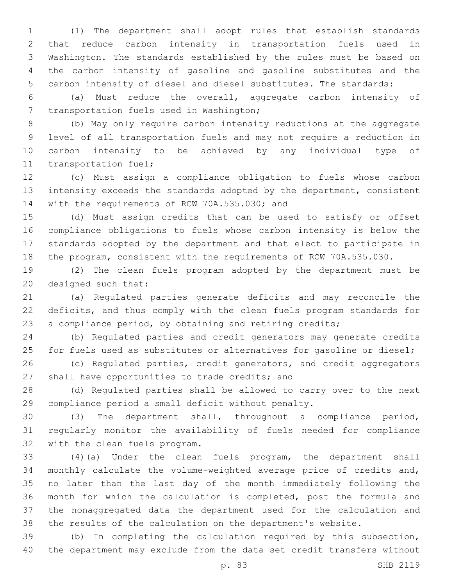(1) The department shall adopt rules that establish standards that reduce carbon intensity in transportation fuels used in Washington. The standards established by the rules must be based on the carbon intensity of gasoline and gasoline substitutes and the carbon intensity of diesel and diesel substitutes. The standards:

 (a) Must reduce the overall, aggregate carbon intensity of 7 transportation fuels used in Washington;

 (b) May only require carbon intensity reductions at the aggregate level of all transportation fuels and may not require a reduction in carbon intensity to be achieved by any individual type of 11 transportation fuel;

 (c) Must assign a compliance obligation to fuels whose carbon intensity exceeds the standards adopted by the department, consistent 14 with the requirements of RCW 70A.535.030; and

 (d) Must assign credits that can be used to satisfy or offset compliance obligations to fuels whose carbon intensity is below the standards adopted by the department and that elect to participate in the program, consistent with the requirements of RCW 70A.535.030.

 (2) The clean fuels program adopted by the department must be 20 designed such that:

 (a) Regulated parties generate deficits and may reconcile the deficits, and thus comply with the clean fuels program standards for a compliance period, by obtaining and retiring credits;

 (b) Regulated parties and credit generators may generate credits 25 for fuels used as substitutes or alternatives for gasoline or diesel;

 (c) Regulated parties, credit generators, and credit aggregators 27 shall have opportunities to trade credits; and

 (d) Regulated parties shall be allowed to carry over to the next compliance period a small deficit without penalty.

 (3) The department shall, throughout a compliance period, regularly monitor the availability of fuels needed for compliance 32 with the clean fuels program.

 (4)(a) Under the clean fuels program, the department shall monthly calculate the volume-weighted average price of credits and, no later than the last day of the month immediately following the month for which the calculation is completed, post the formula and the nonaggregated data the department used for the calculation and the results of the calculation on the department's website.

 (b) In completing the calculation required by this subsection, the department may exclude from the data set credit transfers without

p. 83 SHB 2119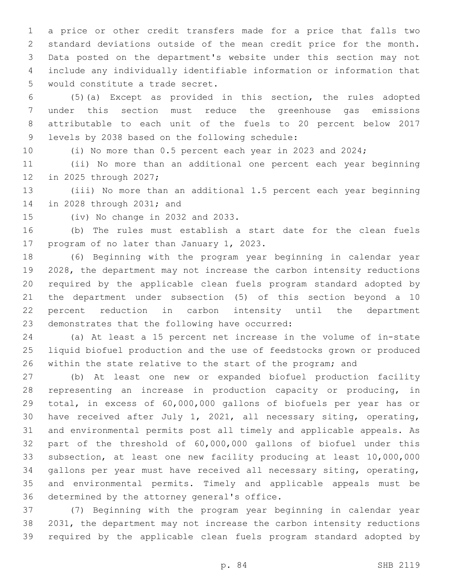a price or other credit transfers made for a price that falls two standard deviations outside of the mean credit price for the month. Data posted on the department's website under this section may not include any individually identifiable information or information that 5 would constitute a trade secret.

 (5)(a) Except as provided in this section, the rules adopted under this section must reduce the greenhouse gas emissions attributable to each unit of the fuels to 20 percent below 2017 9 levels by 2038 based on the following schedule:

(i) No more than 0.5 percent each year in 2023 and 2024;

 (ii) No more than an additional one percent each year beginning 12 in 2025 through 2027;

 (iii) No more than an additional 1.5 percent each year beginning 14 in 2028 through 2031; and

(iv) No change in 2032 and 2033.

 (b) The rules must establish a start date for the clean fuels 17 program of no later than January 1, 2023.

 (6) Beginning with the program year beginning in calendar year 2028, the department may not increase the carbon intensity reductions required by the applicable clean fuels program standard adopted by the department under subsection (5) of this section beyond a 10 percent reduction in carbon intensity until the department 23 demonstrates that the following have occurred:

 (a) At least a 15 percent net increase in the volume of in-state liquid biofuel production and the use of feedstocks grown or produced 26 within the state relative to the start of the program; and

 (b) At least one new or expanded biofuel production facility representing an increase in production capacity or producing, in total, in excess of 60,000,000 gallons of biofuels per year has or have received after July 1, 2021, all necessary siting, operating, and environmental permits post all timely and applicable appeals. As part of the threshold of 60,000,000 gallons of biofuel under this subsection, at least one new facility producing at least 10,000,000 gallons per year must have received all necessary siting, operating, and environmental permits. Timely and applicable appeals must be 36 determined by the attorney general's office.

 (7) Beginning with the program year beginning in calendar year 2031, the department may not increase the carbon intensity reductions required by the applicable clean fuels program standard adopted by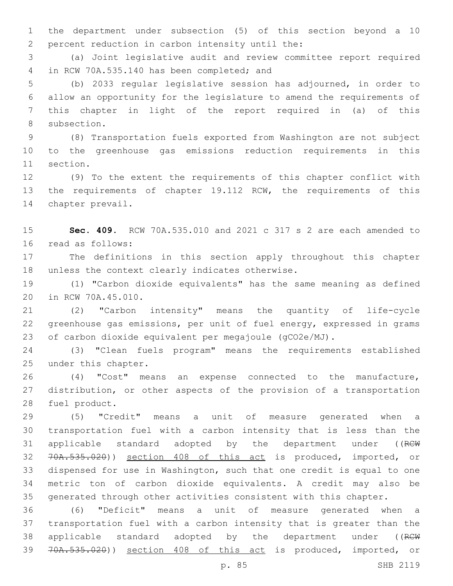the department under subsection (5) of this section beyond a 10 2 percent reduction in carbon intensity until the:

 (a) Joint legislative audit and review committee report required 4 in RCW 70A.535.140 has been completed; and

 (b) 2033 regular legislative session has adjourned, in order to allow an opportunity for the legislature to amend the requirements of this chapter in light of the report required in (a) of this 8 subsection.

 (8) Transportation fuels exported from Washington are not subject to the greenhouse gas emissions reduction requirements in this 11 section.

 (9) To the extent the requirements of this chapter conflict with the requirements of chapter 19.112 RCW, the requirements of this 14 chapter prevail.

 **Sec. 409.** RCW 70A.535.010 and 2021 c 317 s 2 are each amended to 16 read as follows:

 The definitions in this section apply throughout this chapter 18 unless the context clearly indicates otherwise.

 (1) "Carbon dioxide equivalents" has the same meaning as defined 20 in RCW 70A.45.010.

 (2) "Carbon intensity" means the quantity of life-cycle greenhouse gas emissions, per unit of fuel energy, expressed in grams of carbon dioxide equivalent per megajoule (gCO2e/MJ).

 (3) "Clean fuels program" means the requirements established 25 under this chapter.

 (4) "Cost" means an expense connected to the manufacture, distribution, or other aspects of the provision of a transportation 28 fuel product.

 (5) "Credit" means a unit of measure generated when a transportation fuel with a carbon intensity that is less than the 31 applicable standard adopted by the department under ((RCW 70A.535.020)) section 408 of this act is produced, imported, or dispensed for use in Washington, such that one credit is equal to one metric ton of carbon dioxide equivalents. A credit may also be generated through other activities consistent with this chapter.

 (6) "Deficit" means a unit of measure generated when a transportation fuel with a carbon intensity that is greater than the 38 applicable standard adopted by the department under ((RCW 70A.535.020)) section 408 of this act is produced, imported, or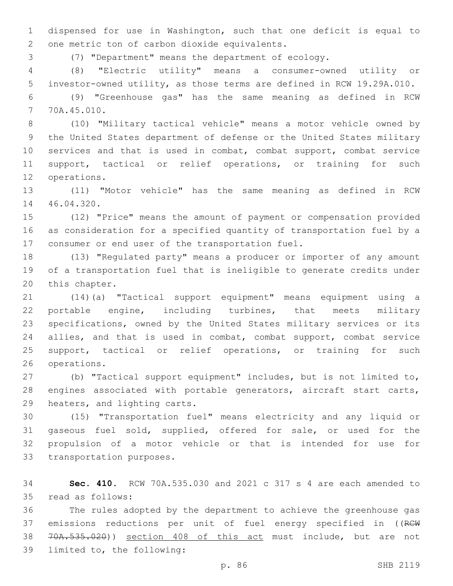dispensed for use in Washington, such that one deficit is equal to 2 one metric ton of carbon dioxide equivalents.

(7) "Department" means the department of ecology.

 (8) "Electric utility" means a consumer-owned utility or investor-owned utility, as those terms are defined in RCW 19.29A.010.

 (9) "Greenhouse gas" has the same meaning as defined in RCW 70A.45.010.7

 (10) "Military tactical vehicle" means a motor vehicle owned by the United States department of defense or the United States military services and that is used in combat, combat support, combat service support, tactical or relief operations, or training for such 12 operations.

 (11) "Motor vehicle" has the same meaning as defined in RCW 14 46.04.320.

 (12) "Price" means the amount of payment or compensation provided as consideration for a specified quantity of transportation fuel by a 17 consumer or end user of the transportation fuel.

 (13) "Regulated party" means a producer or importer of any amount of a transportation fuel that is ineligible to generate credits under 20 this chapter.

 (14)(a) "Tactical support equipment" means equipment using a portable engine, including turbines, that meets military specifications, owned by the United States military services or its allies, and that is used in combat, combat support, combat service 25 support, tactical or relief operations, or training for such 26 operations.

 (b) "Tactical support equipment" includes, but is not limited to, engines associated with portable generators, aircraft start carts, 29 heaters, and lighting carts.

 (15) "Transportation fuel" means electricity and any liquid or gaseous fuel sold, supplied, offered for sale, or used for the propulsion of a motor vehicle or that is intended for use for 33 transportation purposes.

 **Sec. 410.** RCW 70A.535.030 and 2021 c 317 s 4 are each amended to 35 read as follows:

 The rules adopted by the department to achieve the greenhouse gas 37 emissions reductions per unit of fuel energy specified in ((RCW 70A.535.020)) section 408 of this act must include, but are not 39 limited to, the following: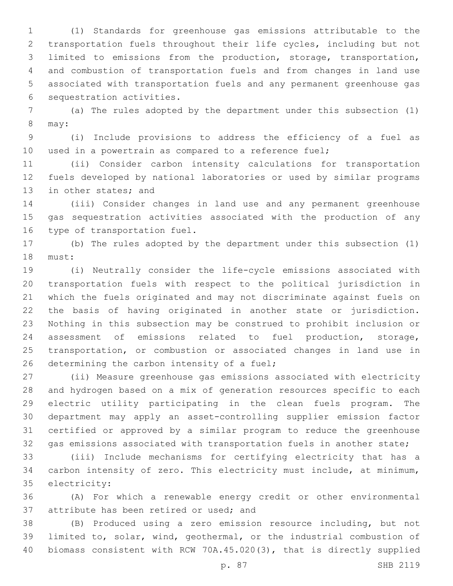(1) Standards for greenhouse gas emissions attributable to the transportation fuels throughout their life cycles, including but not limited to emissions from the production, storage, transportation, and combustion of transportation fuels and from changes in land use associated with transportation fuels and any permanent greenhouse gas 6 sequestration activities.

 (a) The rules adopted by the department under this subsection (1) 8 may:

 (i) Include provisions to address the efficiency of a fuel as used in a powertrain as compared to a reference fuel;

 (ii) Consider carbon intensity calculations for transportation fuels developed by national laboratories or used by similar programs 13 in other states; and

 (iii) Consider changes in land use and any permanent greenhouse gas sequestration activities associated with the production of any 16 type of transportation fuel.

 (b) The rules adopted by the department under this subsection (1) 18 must:

 (i) Neutrally consider the life-cycle emissions associated with transportation fuels with respect to the political jurisdiction in which the fuels originated and may not discriminate against fuels on the basis of having originated in another state or jurisdiction. Nothing in this subsection may be construed to prohibit inclusion or assessment of emissions related to fuel production, storage, transportation, or combustion or associated changes in land use in 26 determining the carbon intensity of a fuel;

 (ii) Measure greenhouse gas emissions associated with electricity and hydrogen based on a mix of generation resources specific to each electric utility participating in the clean fuels program. The department may apply an asset-controlling supplier emission factor certified or approved by a similar program to reduce the greenhouse gas emissions associated with transportation fuels in another state;

 (iii) Include mechanisms for certifying electricity that has a carbon intensity of zero. This electricity must include, at minimum, 35 electricity:

 (A) For which a renewable energy credit or other environmental 37 attribute has been retired or used; and

 (B) Produced using a zero emission resource including, but not limited to, solar, wind, geothermal, or the industrial combustion of biomass consistent with RCW 70A.45.020(3), that is directly supplied

p. 87 SHB 2119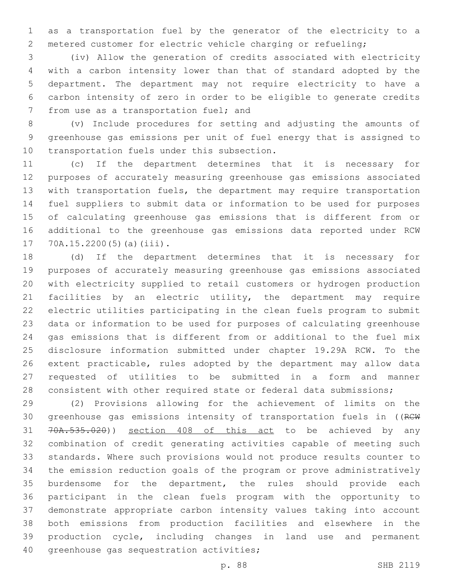as a transportation fuel by the generator of the electricity to a metered customer for electric vehicle charging or refueling;

 (iv) Allow the generation of credits associated with electricity with a carbon intensity lower than that of standard adopted by the department. The department may not require electricity to have a carbon intensity of zero in order to be eligible to generate credits 7 from use as a transportation fuel; and

 (v) Include procedures for setting and adjusting the amounts of greenhouse gas emissions per unit of fuel energy that is assigned to 10 transportation fuels under this subsection.

 (c) If the department determines that it is necessary for purposes of accurately measuring greenhouse gas emissions associated 13 with transportation fuels, the department may require transportation fuel suppliers to submit data or information to be used for purposes of calculating greenhouse gas emissions that is different from or additional to the greenhouse gas emissions data reported under RCW  $70A.15.2200(5)(a)(iii)$ .

 (d) If the department determines that it is necessary for purposes of accurately measuring greenhouse gas emissions associated with electricity supplied to retail customers or hydrogen production facilities by an electric utility, the department may require electric utilities participating in the clean fuels program to submit data or information to be used for purposes of calculating greenhouse gas emissions that is different from or additional to the fuel mix disclosure information submitted under chapter 19.29A RCW. To the extent practicable, rules adopted by the department may allow data requested of utilities to be submitted in a form and manner consistent with other required state or federal data submissions;

 (2) Provisions allowing for the achievement of limits on the 30 greenhouse gas emissions intensity of transportation fuels in ((RCW 70A.535.020)) section 408 of this act to be achieved by any combination of credit generating activities capable of meeting such standards. Where such provisions would not produce results counter to the emission reduction goals of the program or prove administratively burdensome for the department, the rules should provide each participant in the clean fuels program with the opportunity to demonstrate appropriate carbon intensity values taking into account both emissions from production facilities and elsewhere in the production cycle, including changes in land use and permanent 40 greenhouse gas sequestration activities;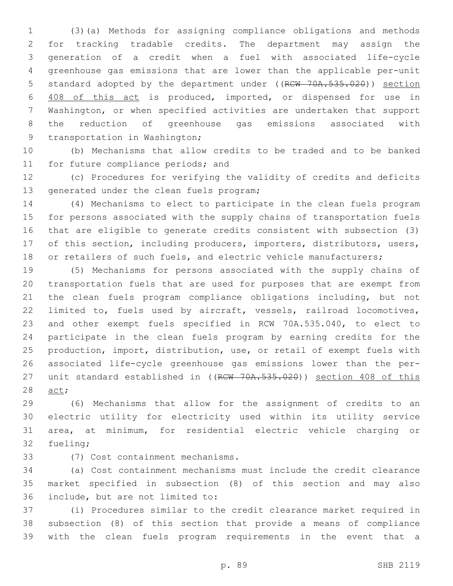(3)(a) Methods for assigning compliance obligations and methods for tracking tradable credits. The department may assign the generation of a credit when a fuel with associated life-cycle greenhouse gas emissions that are lower than the applicable per-unit 5 standard adopted by the department under ((RCW 70A.535.020)) section 408 of this act is produced, imported, or dispensed for use in Washington, or when specified activities are undertaken that support the reduction of greenhouse gas emissions associated with 9 transportation in Washington;

 (b) Mechanisms that allow credits to be traded and to be banked 11 for future compliance periods; and

 (c) Procedures for verifying the validity of credits and deficits 13 generated under the clean fuels program;

 (4) Mechanisms to elect to participate in the clean fuels program for persons associated with the supply chains of transportation fuels that are eligible to generate credits consistent with subsection (3) of this section, including producers, importers, distributors, users, 18 or retailers of such fuels, and electric vehicle manufacturers;

 (5) Mechanisms for persons associated with the supply chains of transportation fuels that are used for purposes that are exempt from the clean fuels program compliance obligations including, but not limited to, fuels used by aircraft, vessels, railroad locomotives, and other exempt fuels specified in RCW 70A.535.040, to elect to participate in the clean fuels program by earning credits for the production, import, distribution, use, or retail of exempt fuels with associated life-cycle greenhouse gas emissions lower than the per-27 unit standard established in ((RCW 70A.535.020)) section 408 of this 28 act;

 (6) Mechanisms that allow for the assignment of credits to an electric utility for electricity used within its utility service area, at minimum, for residential electric vehicle charging or 32 fueling;

(7) Cost containment mechanisms.33

 (a) Cost containment mechanisms must include the credit clearance market specified in subsection (8) of this section and may also 36 include, but are not limited to:

 (i) Procedures similar to the credit clearance market required in subsection (8) of this section that provide a means of compliance with the clean fuels program requirements in the event that a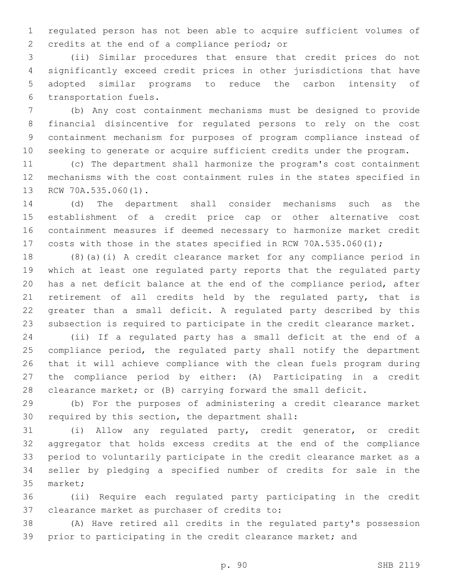regulated person has not been able to acquire sufficient volumes of 2 credits at the end of a compliance period; or

 (ii) Similar procedures that ensure that credit prices do not significantly exceed credit prices in other jurisdictions that have adopted similar programs to reduce the carbon intensity of 6 transportation fuels.

 (b) Any cost containment mechanisms must be designed to provide financial disincentive for regulated persons to rely on the cost containment mechanism for purposes of program compliance instead of seeking to generate or acquire sufficient credits under the program.

 (c) The department shall harmonize the program's cost containment mechanisms with the cost containment rules in the states specified in 13 RCW 70A.535.060(1).

 (d) The department shall consider mechanisms such as the establishment of a credit price cap or other alternative cost containment measures if deemed necessary to harmonize market credit 17 costs with those in the states specified in RCW 70A.535.060(1);

 (8)(a)(i) A credit clearance market for any compliance period in which at least one regulated party reports that the regulated party has a net deficit balance at the end of the compliance period, after retirement of all credits held by the regulated party, that is greater than a small deficit. A regulated party described by this subsection is required to participate in the credit clearance market.

 (ii) If a regulated party has a small deficit at the end of a compliance period, the regulated party shall notify the department that it will achieve compliance with the clean fuels program during the compliance period by either: (A) Participating in a credit clearance market; or (B) carrying forward the small deficit.

 (b) For the purposes of administering a credit clearance market 30 required by this section, the department shall:

 (i) Allow any regulated party, credit generator, or credit aggregator that holds excess credits at the end of the compliance period to voluntarily participate in the credit clearance market as a seller by pledging a specified number of credits for sale in the 35 market;

 (ii) Require each regulated party participating in the credit 37 clearance market as purchaser of credits to:

 (A) Have retired all credits in the regulated party's possession prior to participating in the credit clearance market; and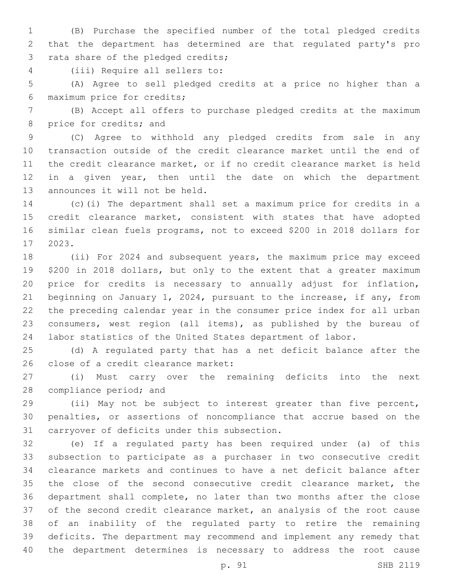(B) Purchase the specified number of the total pledged credits that the department has determined are that regulated party's pro 3 rata share of the pledged credits;

(iii) Require all sellers to:4

 (A) Agree to sell pledged credits at a price no higher than a 6 maximum price for credits;

 (B) Accept all offers to purchase pledged credits at the maximum 8 price for credits; and

 (C) Agree to withhold any pledged credits from sale in any transaction outside of the credit clearance market until the end of the credit clearance market, or if no credit clearance market is held in a given year, then until the date on which the department 13 announces it will not be held.

 (c)(i) The department shall set a maximum price for credits in a credit clearance market, consistent with states that have adopted similar clean fuels programs, not to exceed \$200 in 2018 dollars for 2023.17

 (ii) For 2024 and subsequent years, the maximum price may exceed \$200 in 2018 dollars, but only to the extent that a greater maximum price for credits is necessary to annually adjust for inflation, beginning on January 1, 2024, pursuant to the increase, if any, from the preceding calendar year in the consumer price index for all urban consumers, west region (all items), as published by the bureau of labor statistics of the United States department of labor.

 (d) A regulated party that has a net deficit balance after the 26 close of a credit clearance market:

 (i) Must carry over the remaining deficits into the next 28 compliance period; and

 (ii) May not be subject to interest greater than five percent, penalties, or assertions of noncompliance that accrue based on the 31 carryover of deficits under this subsection.

 (e) If a regulated party has been required under (a) of this subsection to participate as a purchaser in two consecutive credit clearance markets and continues to have a net deficit balance after the close of the second consecutive credit clearance market, the department shall complete, no later than two months after the close of the second credit clearance market, an analysis of the root cause of an inability of the regulated party to retire the remaining deficits. The department may recommend and implement any remedy that the department determines is necessary to address the root cause

p. 91 SHB 2119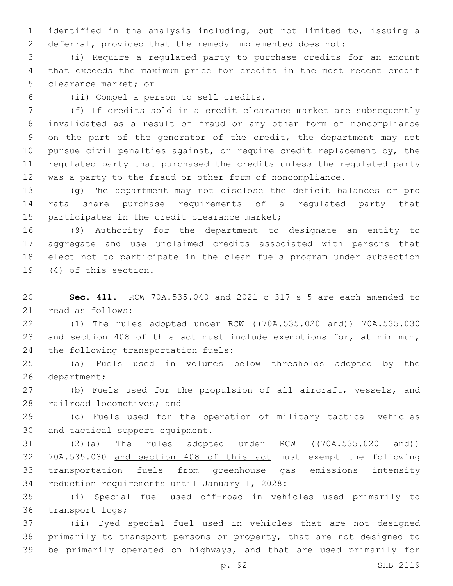identified in the analysis including, but not limited to, issuing a deferral, provided that the remedy implemented does not:

 (i) Require a regulated party to purchase credits for an amount that exceeds the maximum price for credits in the most recent credit 5 clearance market; or

(ii) Compel a person to sell credits.6

 (f) If credits sold in a credit clearance market are subsequently invalidated as a result of fraud or any other form of noncompliance on the part of the generator of the credit, the department may not pursue civil penalties against, or require credit replacement by, the regulated party that purchased the credits unless the regulated party was a party to the fraud or other form of noncompliance.

 (g) The department may not disclose the deficit balances or pro rata share purchase requirements of a regulated party that 15 participates in the credit clearance market;

 (9) Authority for the department to designate an entity to aggregate and use unclaimed credits associated with persons that elect not to participate in the clean fuels program under subsection 19 (4) of this section.

 **Sec. 411.** RCW 70A.535.040 and 2021 c 317 s 5 are each amended to 21 read as follows:

 (1) The rules adopted under RCW ((70A.535.020 and)) 70A.535.030 and section 408 of this act must include exemptions for, at minimum, 24 the following transportation fuels:

 (a) Fuels used in volumes below thresholds adopted by the 26 department;

 (b) Fuels used for the propulsion of all aircraft, vessels, and 28 railroad locomotives; and

 (c) Fuels used for the operation of military tactical vehicles 30 and tactical support equipment.

31 (2)(a) The rules adopted under RCW ((70A.535.020 and)) 70A.535.030 and section 408 of this act must exempt the following transportation fuels from greenhouse gas emissions intensity 34 reduction requirements until January 1, 2028:

 (i) Special fuel used off-road in vehicles used primarily to 36 transport logs;

 (ii) Dyed special fuel used in vehicles that are not designed primarily to transport persons or property, that are not designed to be primarily operated on highways, and that are used primarily for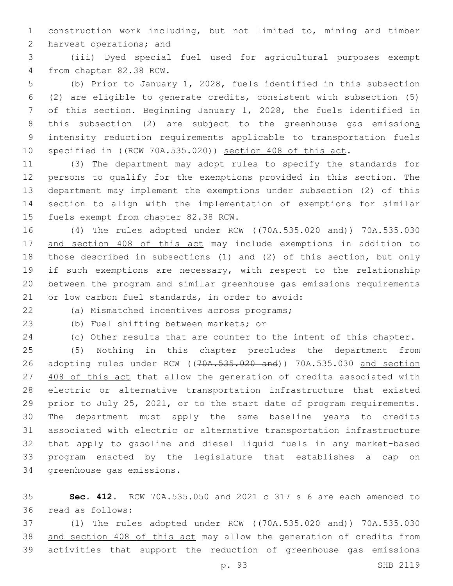construction work including, but not limited to, mining and timber 2 harvest operations; and

 (iii) Dyed special fuel used for agricultural purposes exempt 4 from chapter 82.38 RCW.

 (b) Prior to January 1, 2028, fuels identified in this subsection (2) are eligible to generate credits, consistent with subsection (5) of this section. Beginning January 1, 2028, the fuels identified in 8 this subsection (2) are subject to the greenhouse gas emissions intensity reduction requirements applicable to transportation fuels 10 specified in ((RCW 70A.535.020)) section 408 of this act.

 (3) The department may adopt rules to specify the standards for persons to qualify for the exemptions provided in this section. The department may implement the exemptions under subsection (2) of this section to align with the implementation of exemptions for similar 15 fuels exempt from chapter 82.38 RCW.

 (4) The rules adopted under RCW ((70A.535.020 and)) 70A.535.030 and section 408 of this act may include exemptions in addition to those described in subsections (1) and (2) of this section, but only 19 if such exemptions are necessary, with respect to the relationship between the program and similar greenhouse gas emissions requirements 21 or low carbon fuel standards, in order to avoid:

(a) Mismatched incentives across programs;22

23 (b) Fuel shifting between markets; or

(c) Other results that are counter to the intent of this chapter.

 (5) Nothing in this chapter precludes the department from 26 adopting rules under RCW ((70A.535.020 and)) 70A.535.030 and section 27 408 of this act that allow the generation of credits associated with electric or alternative transportation infrastructure that existed prior to July 25, 2021, or to the start date of program requirements. The department must apply the same baseline years to credits associated with electric or alternative transportation infrastructure that apply to gasoline and diesel liquid fuels in any market-based program enacted by the legislature that establishes a cap on 34 greenhouse gas emissions.

 **Sec. 412.** RCW 70A.535.050 and 2021 c 317 s 6 are each amended to read as follows:36

 (1) The rules adopted under RCW ((70A.535.020 and)) 70A.535.030 and section 408 of this act may allow the generation of credits from activities that support the reduction of greenhouse gas emissions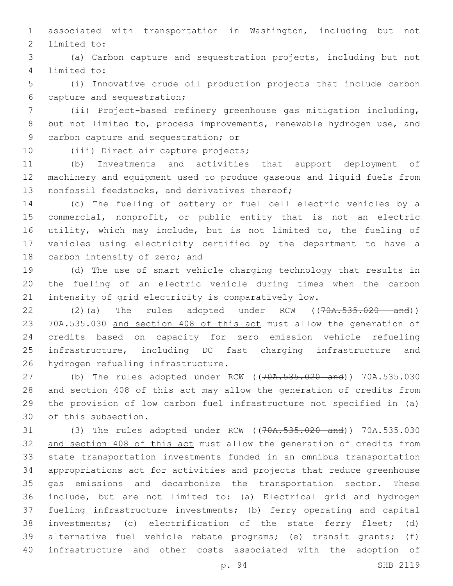associated with transportation in Washington, including but not 2 limited to:

 (a) Carbon capture and sequestration projects, including but not 4 limited to:

 (i) Innovative crude oil production projects that include carbon 6 capture and sequestration;

 (ii) Project-based refinery greenhouse gas mitigation including, but not limited to, process improvements, renewable hydrogen use, and 9 carbon capture and sequestration; or

10 (iii) Direct air capture projects;

 (b) Investments and activities that support deployment of machinery and equipment used to produce gaseous and liquid fuels from 13 nonfossil feedstocks, and derivatives thereof;

 (c) The fueling of battery or fuel cell electric vehicles by a commercial, nonprofit, or public entity that is not an electric utility, which may include, but is not limited to, the fueling of vehicles using electricity certified by the department to have a 18 carbon intensity of zero; and

 (d) The use of smart vehicle charging technology that results in the fueling of an electric vehicle during times when the carbon intensity of grid electricity is comparatively low.

22 (2)(a) The rules adopted under RCW ((70A.535.020 and)) 70A.535.030 and section 408 of this act must allow the generation of credits based on capacity for zero emission vehicle refueling infrastructure, including DC fast charging infrastructure and 26 hydrogen refueling infrastructure.

27 (b) The rules adopted under RCW ((70A.535.020 and)) 70A.535.030 28 and section 408 of this act may allow the generation of credits from the provision of low carbon fuel infrastructure not specified in (a) 30 of this subsection.

 (3) The rules adopted under RCW ((70A.535.020 and)) 70A.535.030 32 and section 408 of this act must allow the generation of credits from state transportation investments funded in an omnibus transportation appropriations act for activities and projects that reduce greenhouse gas emissions and decarbonize the transportation sector. These include, but are not limited to: (a) Electrical grid and hydrogen fueling infrastructure investments; (b) ferry operating and capital investments; (c) electrification of the state ferry fleet; (d) alternative fuel vehicle rebate programs; (e) transit grants; (f) infrastructure and other costs associated with the adoption of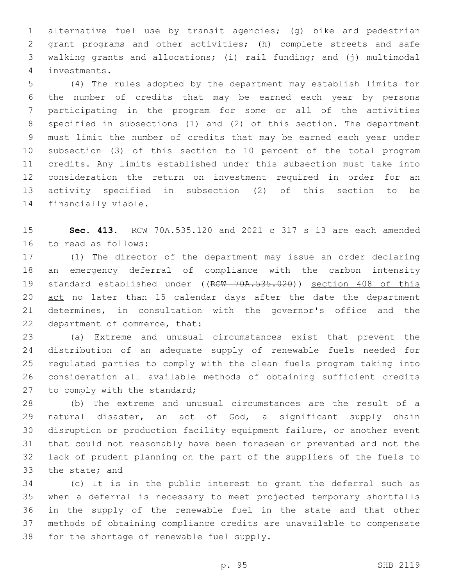alternative fuel use by transit agencies; (g) bike and pedestrian grant programs and other activities; (h) complete streets and safe walking grants and allocations; (i) rail funding; and (j) multimodal investments.4

 (4) The rules adopted by the department may establish limits for the number of credits that may be earned each year by persons participating in the program for some or all of the activities specified in subsections (1) and (2) of this section. The department must limit the number of credits that may be earned each year under subsection (3) of this section to 10 percent of the total program credits. Any limits established under this subsection must take into consideration the return on investment required in order for an activity specified in subsection (2) of this section to be 14 financially viable.

 **Sec. 413.** RCW 70A.535.120 and 2021 c 317 s 13 are each amended 16 to read as follows:

 (1) The director of the department may issue an order declaring an emergency deferral of compliance with the carbon intensity 19 standard established under ((RCW 70A.535.020)) section 408 of this 20 act no later than 15 calendar days after the date the department determines, in consultation with the governor's office and the 22 department of commerce, that:

 (a) Extreme and unusual circumstances exist that prevent the distribution of an adequate supply of renewable fuels needed for regulated parties to comply with the clean fuels program taking into consideration all available methods of obtaining sufficient credits 27 to comply with the standard;

 (b) The extreme and unusual circumstances are the result of a natural disaster, an act of God, a significant supply chain disruption or production facility equipment failure, or another event that could not reasonably have been foreseen or prevented and not the lack of prudent planning on the part of the suppliers of the fuels to 33 the state; and

 (c) It is in the public interest to grant the deferral such as when a deferral is necessary to meet projected temporary shortfalls in the supply of the renewable fuel in the state and that other methods of obtaining compliance credits are unavailable to compensate 38 for the shortage of renewable fuel supply.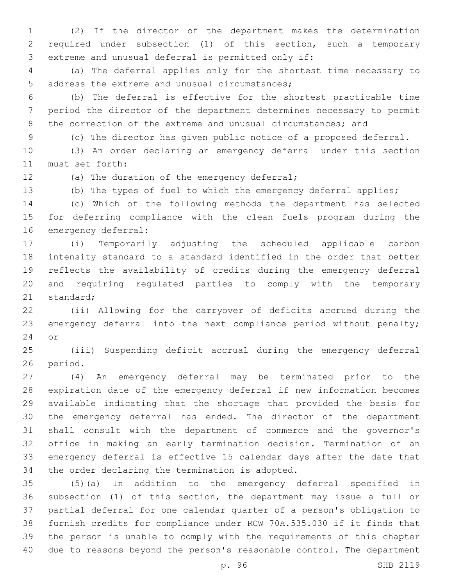(2) If the director of the department makes the determination required under subsection (1) of this section, such a temporary 3 extreme and unusual deferral is permitted only if:

 (a) The deferral applies only for the shortest time necessary to 5 address the extreme and unusual circumstances;

 (b) The deferral is effective for the shortest practicable time period the director of the department determines necessary to permit the correction of the extreme and unusual circumstances; and

(c) The director has given public notice of a proposed deferral.

 (3) An order declaring an emergency deferral under this section 11 must set forth:

12 (a) The duration of the emergency deferral;

(b) The types of fuel to which the emergency deferral applies;

 (c) Which of the following methods the department has selected for deferring compliance with the clean fuels program during the 16 emergency deferral:

 (i) Temporarily adjusting the scheduled applicable carbon intensity standard to a standard identified in the order that better reflects the availability of credits during the emergency deferral and requiring regulated parties to comply with the temporary 21 standard;

 (ii) Allowing for the carryover of deficits accrued during the 23 emergency deferral into the next compliance period without penalty; 24 or

 (iii) Suspending deficit accrual during the emergency deferral 26 period.

 (4) An emergency deferral may be terminated prior to the expiration date of the emergency deferral if new information becomes available indicating that the shortage that provided the basis for the emergency deferral has ended. The director of the department shall consult with the department of commerce and the governor's office in making an early termination decision. Termination of an emergency deferral is effective 15 calendar days after the date that 34 the order declaring the termination is adopted.

 (5)(a) In addition to the emergency deferral specified in subsection (1) of this section, the department may issue a full or partial deferral for one calendar quarter of a person's obligation to furnish credits for compliance under RCW 70A.535.030 if it finds that the person is unable to comply with the requirements of this chapter due to reasons beyond the person's reasonable control. The department

p. 96 SHB 2119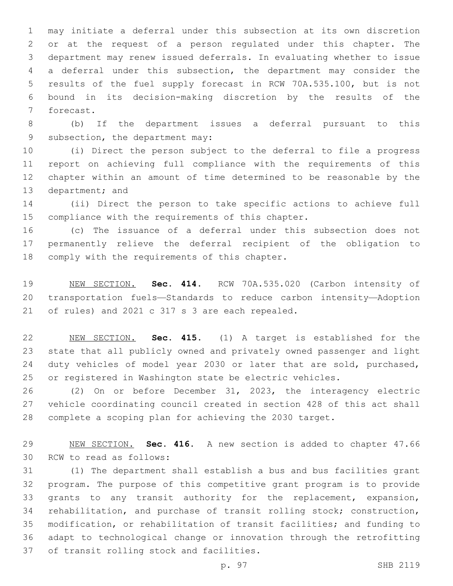may initiate a deferral under this subsection at its own discretion or at the request of a person regulated under this chapter. The department may renew issued deferrals. In evaluating whether to issue a deferral under this subsection, the department may consider the results of the fuel supply forecast in RCW 70A.535.100, but is not bound in its decision-making discretion by the results of the 7 forecast.

 (b) If the department issues a deferral pursuant to this 9 subsection, the department may:

 (i) Direct the person subject to the deferral to file a progress report on achieving full compliance with the requirements of this chapter within an amount of time determined to be reasonable by the 13 department; and

 (ii) Direct the person to take specific actions to achieve full 15 compliance with the requirements of this chapter.

 (c) The issuance of a deferral under this subsection does not permanently relieve the deferral recipient of the obligation to 18 comply with the requirements of this chapter.

 NEW SECTION. **Sec. 414.** RCW 70A.535.020 (Carbon intensity of transportation fuels—Standards to reduce carbon intensity—Adoption of rules) and 2021 c 317 s 3 are each repealed.

 NEW SECTION. **Sec. 415.** (1) A target is established for the state that all publicly owned and privately owned passenger and light duty vehicles of model year 2030 or later that are sold, purchased, or registered in Washington state be electric vehicles.

 (2) On or before December 31, 2023, the interagency electric vehicle coordinating council created in section 428 of this act shall complete a scoping plan for achieving the 2030 target.

 NEW SECTION. **Sec. 416.** A new section is added to chapter 47.66 30 RCW to read as follows:

 (1) The department shall establish a bus and bus facilities grant program. The purpose of this competitive grant program is to provide grants to any transit authority for the replacement, expansion, rehabilitation, and purchase of transit rolling stock; construction, modification, or rehabilitation of transit facilities; and funding to adapt to technological change or innovation through the retrofitting 37 of transit rolling stock and facilities.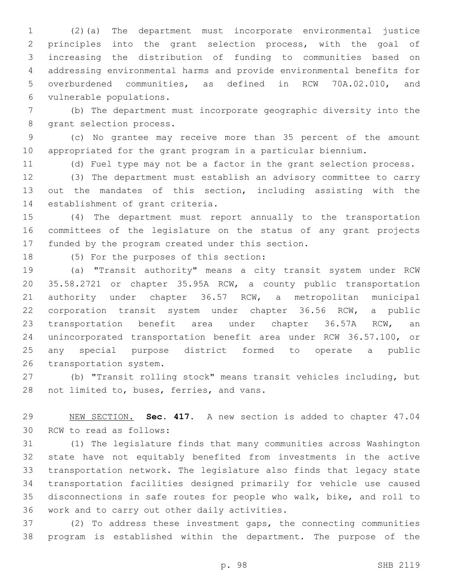(2)(a) The department must incorporate environmental justice principles into the grant selection process, with the goal of increasing the distribution of funding to communities based on addressing environmental harms and provide environmental benefits for overburdened communities, as defined in RCW 70A.02.010, and 6 vulnerable populations.

 (b) The department must incorporate geographic diversity into the 8 grant selection process.

 (c) No grantee may receive more than 35 percent of the amount appropriated for the grant program in a particular biennium.

(d) Fuel type may not be a factor in the grant selection process.

 (3) The department must establish an advisory committee to carry out the mandates of this section, including assisting with the 14 establishment of grant criteria.

 (4) The department must report annually to the transportation committees of the legislature on the status of any grant projects 17 funded by the program created under this section.

18 (5) For the purposes of this section:

 (a) "Transit authority" means a city transit system under RCW 35.58.2721 or chapter 35.95A RCW, a county public transportation authority under chapter 36.57 RCW, a metropolitan municipal corporation transit system under chapter 36.56 RCW, a public transportation benefit area under chapter 36.57A RCW, an unincorporated transportation benefit area under RCW 36.57.100, or any special purpose district formed to operate a public 26 transportation system.

 (b) "Transit rolling stock" means transit vehicles including, but 28 not limited to, buses, ferries, and vans.

 NEW SECTION. **Sec. 417.** A new section is added to chapter 47.04 30 RCW to read as follows:

 (1) The legislature finds that many communities across Washington state have not equitably benefited from investments in the active transportation network. The legislature also finds that legacy state transportation facilities designed primarily for vehicle use caused disconnections in safe routes for people who walk, bike, and roll to 36 work and to carry out other daily activities.

 (2) To address these investment gaps, the connecting communities program is established within the department. The purpose of the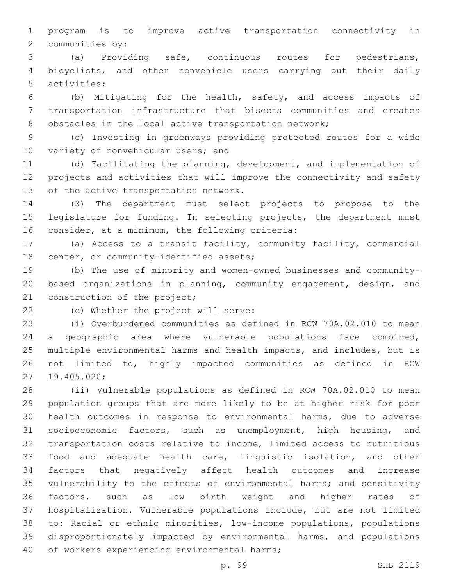program is to improve active transportation connectivity in 2 communities by:

 (a) Providing safe, continuous routes for pedestrians, bicyclists, and other nonvehicle users carrying out their daily 5 activities;

 (b) Mitigating for the health, safety, and access impacts of transportation infrastructure that bisects communities and creates 8 obstacles in the local active transportation network;

 (c) Investing in greenways providing protected routes for a wide 10 variety of nonvehicular users; and

 (d) Facilitating the planning, development, and implementation of projects and activities that will improve the connectivity and safety 13 of the active transportation network.

 (3) The department must select projects to propose to the legislature for funding. In selecting projects, the department must 16 consider, at a minimum, the following criteria:

 (a) Access to a transit facility, community facility, commercial 18 center, or community-identified assets;

 (b) The use of minority and women-owned businesses and community- based organizations in planning, community engagement, design, and 21 construction of the project;

22 (c) Whether the project will serve:

 (i) Overburdened communities as defined in RCW 70A.02.010 to mean a geographic area where vulnerable populations face combined, multiple environmental harms and health impacts, and includes, but is not limited to, highly impacted communities as defined in RCW 27 19.405.020;

 (ii) Vulnerable populations as defined in RCW 70A.02.010 to mean population groups that are more likely to be at higher risk for poor health outcomes in response to environmental harms, due to adverse socioeconomic factors, such as unemployment, high housing, and transportation costs relative to income, limited access to nutritious food and adequate health care, linguistic isolation, and other factors that negatively affect health outcomes and increase vulnerability to the effects of environmental harms; and sensitivity factors, such as low birth weight and higher rates of hospitalization. Vulnerable populations include, but are not limited to: Racial or ethnic minorities, low-income populations, populations disproportionately impacted by environmental harms, and populations 40 of workers experiencing environmental harms;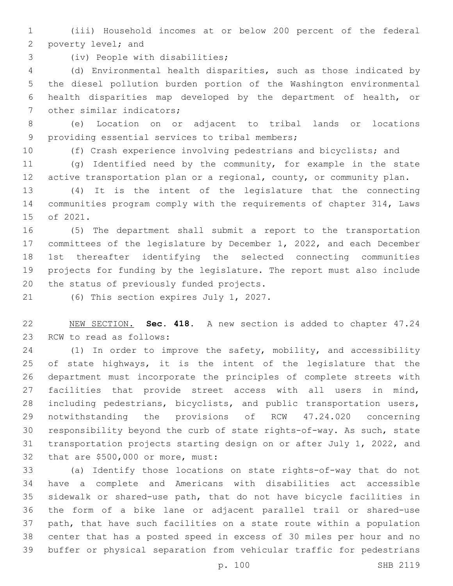(iii) Household incomes at or below 200 percent of the federal 2 poverty level; and

3 (iv) People with disabilities;

 (d) Environmental health disparities, such as those indicated by the diesel pollution burden portion of the Washington environmental health disparities map developed by the department of health, or 7 other similar indicators;

 (e) Location on or adjacent to tribal lands or locations 9 providing essential services to tribal members;

(f) Crash experience involving pedestrians and bicyclists; and

 (g) Identified need by the community, for example in the state active transportation plan or a regional, county, or community plan.

 (4) It is the intent of the legislature that the connecting communities program comply with the requirements of chapter 314, Laws 15 of 2021.

 (5) The department shall submit a report to the transportation committees of the legislature by December 1, 2022, and each December 1st thereafter identifying the selected connecting communities projects for funding by the legislature. The report must also include 20 the status of previously funded projects.

21 (6) This section expires July 1, 2027.

 NEW SECTION. **Sec. 418.** A new section is added to chapter 47.24 23 RCW to read as follows:

 (1) In order to improve the safety, mobility, and accessibility of state highways, it is the intent of the legislature that the department must incorporate the principles of complete streets with facilities that provide street access with all users in mind, including pedestrians, bicyclists, and public transportation users, notwithstanding the provisions of RCW 47.24.020 concerning responsibility beyond the curb of state rights-of-way. As such, state transportation projects starting design on or after July 1, 2022, and 32 that are \$500,000 or more, must:

 (a) Identify those locations on state rights-of-way that do not have a complete and Americans with disabilities act accessible sidewalk or shared-use path, that do not have bicycle facilities in the form of a bike lane or adjacent parallel trail or shared-use path, that have such facilities on a state route within a population center that has a posted speed in excess of 30 miles per hour and no buffer or physical separation from vehicular traffic for pedestrians

p. 100 SHB 2119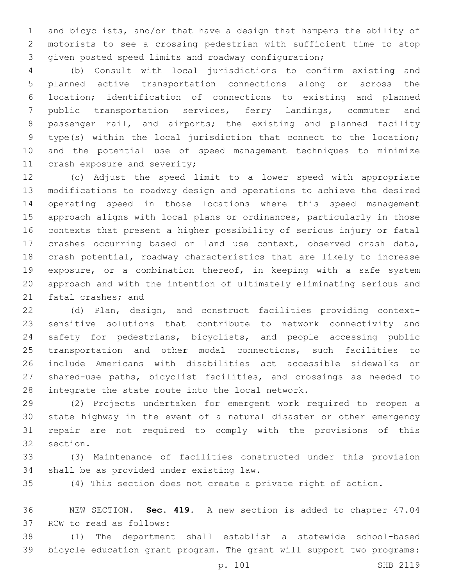and bicyclists, and/or that have a design that hampers the ability of motorists to see a crossing pedestrian with sufficient time to stop given posted speed limits and roadway configuration;

 (b) Consult with local jurisdictions to confirm existing and planned active transportation connections along or across the location; identification of connections to existing and planned public transportation services, ferry landings, commuter and passenger rail, and airports; the existing and planned facility type(s) within the local jurisdiction that connect to the location; and the potential use of speed management techniques to minimize 11 crash exposure and severity;

 (c) Adjust the speed limit to a lower speed with appropriate modifications to roadway design and operations to achieve the desired operating speed in those locations where this speed management approach aligns with local plans or ordinances, particularly in those contexts that present a higher possibility of serious injury or fatal crashes occurring based on land use context, observed crash data, crash potential, roadway characteristics that are likely to increase exposure, or a combination thereof, in keeping with a safe system approach and with the intention of ultimately eliminating serious and 21 fatal crashes; and

 (d) Plan, design, and construct facilities providing context- sensitive solutions that contribute to network connectivity and safety for pedestrians, bicyclists, and people accessing public transportation and other modal connections, such facilities to include Americans with disabilities act accessible sidewalks or shared-use paths, bicyclist facilities, and crossings as needed to 28 integrate the state route into the local network.

 (2) Projects undertaken for emergent work required to reopen a state highway in the event of a natural disaster or other emergency repair are not required to comply with the provisions of this 32 section.

 (3) Maintenance of facilities constructed under this provision 34 shall be as provided under existing law.

(4) This section does not create a private right of action.

 NEW SECTION. **Sec. 419.** A new section is added to chapter 47.04 37 RCW to read as follows:

 (1) The department shall establish a statewide school-based bicycle education grant program. The grant will support two programs: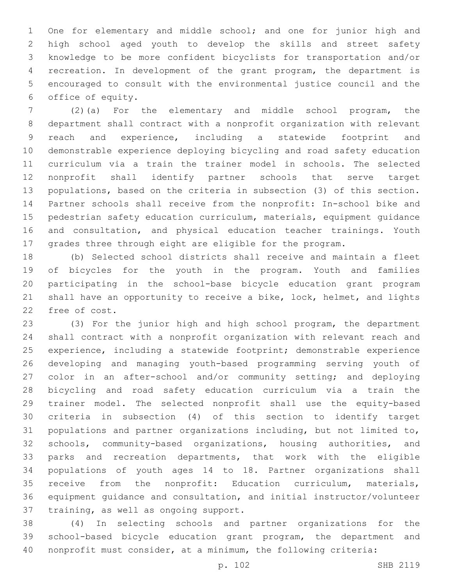One for elementary and middle school; and one for junior high and high school aged youth to develop the skills and street safety knowledge to be more confident bicyclists for transportation and/or recreation. In development of the grant program, the department is encouraged to consult with the environmental justice council and the 6 office of equity.

 (2)(a) For the elementary and middle school program, the department shall contract with a nonprofit organization with relevant reach and experience, including a statewide footprint and demonstrable experience deploying bicycling and road safety education curriculum via a train the trainer model in schools. The selected nonprofit shall identify partner schools that serve target populations, based on the criteria in subsection (3) of this section. Partner schools shall receive from the nonprofit: In-school bike and pedestrian safety education curriculum, materials, equipment guidance and consultation, and physical education teacher trainings. Youth grades three through eight are eligible for the program.

 (b) Selected school districts shall receive and maintain a fleet of bicycles for the youth in the program. Youth and families participating in the school-base bicycle education grant program shall have an opportunity to receive a bike, lock, helmet, and lights 22 free of cost.

 (3) For the junior high and high school program, the department shall contract with a nonprofit organization with relevant reach and experience, including a statewide footprint; demonstrable experience developing and managing youth-based programming serving youth of color in an after-school and/or community setting; and deploying bicycling and road safety education curriculum via a train the trainer model. The selected nonprofit shall use the equity-based criteria in subsection (4) of this section to identify target populations and partner organizations including, but not limited to, schools, community-based organizations, housing authorities, and parks and recreation departments, that work with the eligible populations of youth ages 14 to 18. Partner organizations shall receive from the nonprofit: Education curriculum, materials, equipment guidance and consultation, and initial instructor/volunteer 37 training, as well as ongoing support.

 (4) In selecting schools and partner organizations for the school-based bicycle education grant program, the department and nonprofit must consider, at a minimum, the following criteria: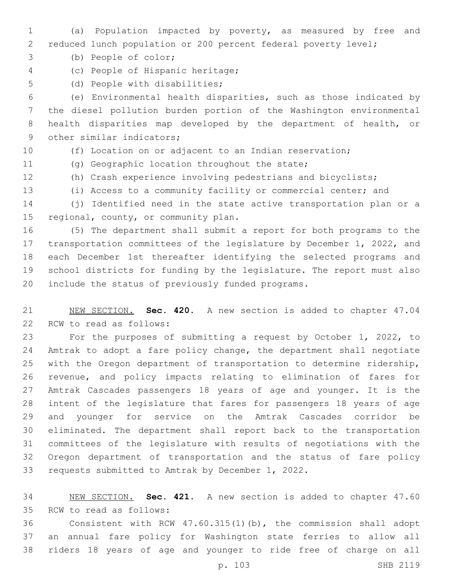- (a) Population impacted by poverty, as measured by free and reduced lunch population or 200 percent federal poverty level;
- 3 (b) People of color;
- (c) People of Hispanic heritage;4
- 5 (d) People with disabilities;

 (e) Environmental health disparities, such as those indicated by the diesel pollution burden portion of the Washington environmental health disparities map developed by the department of health, or 9 other similar indicators;

- 
- (f) Location on or adjacent to an Indian reservation;
- 11 (g) Geographic location throughout the state;
- (h) Crash experience involving pedestrians and bicyclists;
- (i) Access to a community facility or commercial center; and

 (j) Identified need in the state active transportation plan or a 15 regional, county, or community plan.

 (5) The department shall submit a report for both programs to the transportation committees of the legislature by December 1, 2022, and each December 1st thereafter identifying the selected programs and school districts for funding by the legislature. The report must also 20 include the status of previously funded programs.

 NEW SECTION. **Sec. 420.** A new section is added to chapter 47.04 22 RCW to read as follows:

 For the purposes of submitting a request by October 1, 2022, to Amtrak to adopt a fare policy change, the department shall negotiate with the Oregon department of transportation to determine ridership, revenue, and policy impacts relating to elimination of fares for Amtrak Cascades passengers 18 years of age and younger. It is the intent of the legislature that fares for passengers 18 years of age and younger for service on the Amtrak Cascades corridor be eliminated. The department shall report back to the transportation committees of the legislature with results of negotiations with the Oregon department of transportation and the status of fare policy 33 requests submitted to Amtrak by December 1, 2022.

 NEW SECTION. **Sec. 421.** A new section is added to chapter 47.60 35 RCW to read as follows:

 Consistent with RCW 47.60.315(1)(b), the commission shall adopt an annual fare policy for Washington state ferries to allow all riders 18 years of age and younger to ride free of charge on all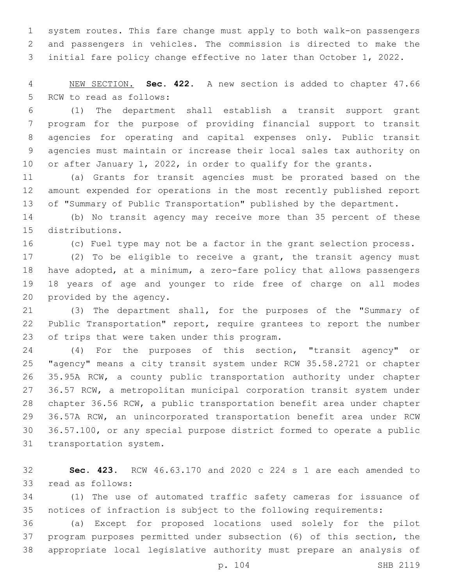system routes. This fare change must apply to both walk-on passengers and passengers in vehicles. The commission is directed to make the initial fare policy change effective no later than October 1, 2022.

 NEW SECTION. **Sec. 422.** A new section is added to chapter 47.66 5 RCW to read as follows:

 (1) The department shall establish a transit support grant program for the purpose of providing financial support to transit agencies for operating and capital expenses only. Public transit agencies must maintain or increase their local sales tax authority on 10 or after January 1, 2022, in order to qualify for the grants.

 (a) Grants for transit agencies must be prorated based on the amount expended for operations in the most recently published report of "Summary of Public Transportation" published by the department.

 (b) No transit agency may receive more than 35 percent of these 15 distributions.

(c) Fuel type may not be a factor in the grant selection process.

 (2) To be eligible to receive a grant, the transit agency must have adopted, at a minimum, a zero-fare policy that allows passengers 18 years of age and younger to ride free of charge on all modes 20 provided by the agency.

 (3) The department shall, for the purposes of the "Summary of Public Transportation" report, require grantees to report the number 23 of trips that were taken under this program.

 (4) For the purposes of this section, "transit agency" or "agency" means a city transit system under RCW 35.58.2721 or chapter 35.95A RCW, a county public transportation authority under chapter 36.57 RCW, a metropolitan municipal corporation transit system under chapter 36.56 RCW, a public transportation benefit area under chapter 36.57A RCW, an unincorporated transportation benefit area under RCW 36.57.100, or any special purpose district formed to operate a public 31 transportation system.

 **Sec. 423.** RCW 46.63.170 and 2020 c 224 s 1 are each amended to 33 read as follows:

 (1) The use of automated traffic safety cameras for issuance of notices of infraction is subject to the following requirements:

 (a) Except for proposed locations used solely for the pilot program purposes permitted under subsection (6) of this section, the appropriate local legislative authority must prepare an analysis of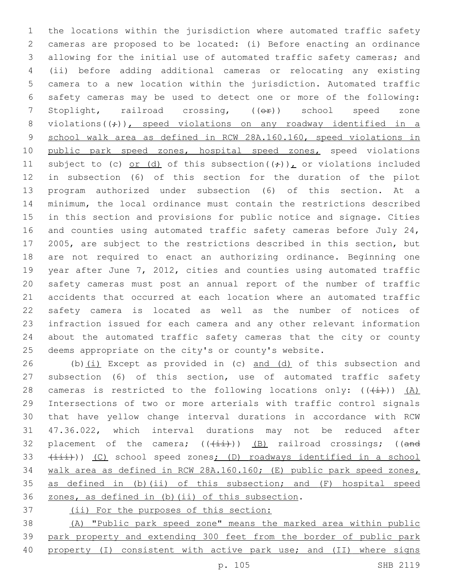the locations within the jurisdiction where automated traffic safety cameras are proposed to be located: (i) Before enacting an ordinance allowing for the initial use of automated traffic safety cameras; and (ii) before adding additional cameras or relocating any existing camera to a new location within the jurisdiction. Automated traffic safety cameras may be used to detect one or more of the following: 7 Stoplight, railroad crossing, (( $\Theta$ ) school speed zone 8 violations( $(\div)$ ), speed violations on any roadway identified in a school walk area as defined in RCW 28A.160.160, speed violations in 10 public park speed zones, hospital speed zones, speed violations 11 subject to (c) or (d) of this subsection( $(\frac{1}{r})$ ), or violations included in subsection (6) of this section for the duration of the pilot program authorized under subsection (6) of this section. At a minimum, the local ordinance must contain the restrictions described in this section and provisions for public notice and signage. Cities and counties using automated traffic safety cameras before July 24, 2005, are subject to the restrictions described in this section, but are not required to enact an authorizing ordinance. Beginning one year after June 7, 2012, cities and counties using automated traffic safety cameras must post an annual report of the number of traffic accidents that occurred at each location where an automated traffic safety camera is located as well as the number of notices of infraction issued for each camera and any other relevant information about the automated traffic safety cameras that the city or county deems appropriate on the city's or county's website.

26 (b) $(i)$  Except as provided in (c) and (d) of this subsection and subsection (6) of this section, use of automated traffic safety 28 cameras is restricted to the following locations only:  $((+i))$  (A) Intersections of two or more arterials with traffic control signals that have yellow change interval durations in accordance with RCW 47.36.022, which interval durations may not be reduced after 32 placement of the camera;  $((+i+1)(n-1)(k+1))$  (B) railroad crossings; ((and 33 (iii))) (C) school speed zones; (D) roadways identified in a school walk area as defined in RCW 28A.160.160; (E) public park speed zones, as defined in (b)(ii) of this subsection; and (F) hospital speed 36 zones, as defined in (b)(ii) of this subsection.

(ii) For the purposes of this section:

 (A) "Public park speed zone" means the marked area within public park property and extending 300 feet from the border of public park property (I) consistent with active park use; and (II) where signs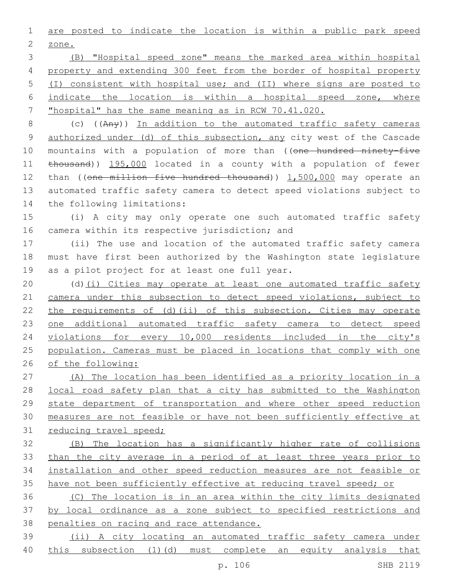are posted to indicate the location is within a public park speed 2 zone.

 (B) "Hospital speed zone" means the marked area within hospital property and extending 300 feet from the border of hospital property (I) consistent with hospital use; and (II) where signs are posted to indicate the location is within a hospital speed zone, where "hospital" has the same meaning as in RCW 70.41.020.

 (c) ((Any)) In addition to the automated traffic safety cameras authorized under (d) of this subsection, any city west of the Cascade 10 mountains with a population of more than ((one hundred ninety-five 11 thousand)) 195,000 located in a county with a population of fewer 12 than ((one million five hundred thousand)) 1,500,000 may operate an automated traffic safety camera to detect speed violations subject to 14 the following limitations:

 (i) A city may only operate one such automated traffic safety 16 camera within its respective jurisdiction; and

 (ii) The use and location of the automated traffic safety camera must have first been authorized by the Washington state legislature 19 as a pilot project for at least one full year.

 (d)(i) Cities may operate at least one automated traffic safety camera under this subsection to detect speed violations, subject to the requirements of (d)(ii) of this subsection. Cities may operate 23 one additional automated traffic safety camera to detect speed violations for every 10,000 residents included in the city's population. Cameras must be placed in locations that comply with one of the following:

 (A) The location has been identified as a priority location in a local road safety plan that a city has submitted to the Washington state department of transportation and where other speed reduction measures are not feasible or have not been sufficiently effective at reducing travel speed;

 (B) The location has a significantly higher rate of collisions than the city average in a period of at least three years prior to installation and other speed reduction measures are not feasible or have not been sufficiently effective at reducing travel speed; or

 (C) The location is in an area within the city limits designated by local ordinance as a zone subject to specified restrictions and penalties on racing and race attendance.

 (ii) A city locating an automated traffic safety camera under 40 this subsection (1)(d) must complete an equity analysis that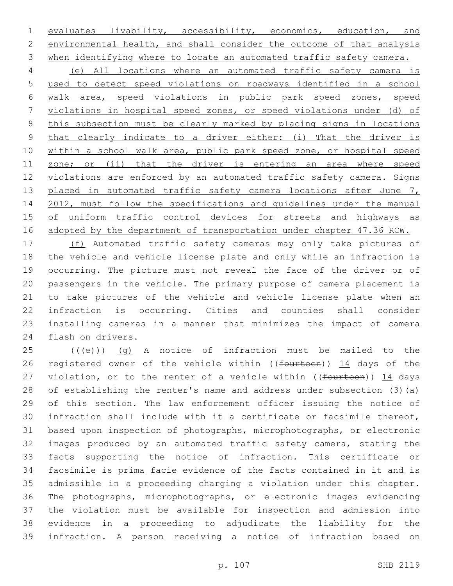evaluates livability, accessibility, economics, education, and environmental health, and shall consider the outcome of that analysis when identifying where to locate an automated traffic safety camera.

 (e) All locations where an automated traffic safety camera is used to detect speed violations on roadways identified in a school walk area, speed violations in public park speed zones, speed violations in hospital speed zones, or speed violations under (d) of this subsection must be clearly marked by placing signs in locations that clearly indicate to a driver either: (i) That the driver is within a school walk area, public park speed zone, or hospital speed 11 zone; or (ii) that the driver is entering an area where speed violations are enforced by an automated traffic safety camera. Signs 13 placed in automated traffic safety camera locations after June 7, 2012, must follow the specifications and guidelines under the manual of uniform traffic control devices for streets and highways as 16 adopted by the department of transportation under chapter 47.36 RCW.

 (f) Automated traffic safety cameras may only take pictures of the vehicle and vehicle license plate and only while an infraction is occurring. The picture must not reveal the face of the driver or of passengers in the vehicle. The primary purpose of camera placement is to take pictures of the vehicle and vehicle license plate when an infraction is occurring. Cities and counties shall consider installing cameras in a manner that minimizes the impact of camera 24 flash on drivers.

 (( $\left(\frac{1}{12}\right)$ ) (g) A notice of infraction must be mailed to the 26 registered owner of the vehicle within ((fourteen)) 14 days of the 27 violation, or to the renter of a vehicle within (( $f$ ourteen)) 14 days of establishing the renter's name and address under subsection (3)(a) of this section. The law enforcement officer issuing the notice of infraction shall include with it a certificate or facsimile thereof, based upon inspection of photographs, microphotographs, or electronic images produced by an automated traffic safety camera, stating the facts supporting the notice of infraction. This certificate or facsimile is prima facie evidence of the facts contained in it and is admissible in a proceeding charging a violation under this chapter. The photographs, microphotographs, or electronic images evidencing the violation must be available for inspection and admission into evidence in a proceeding to adjudicate the liability for the infraction. A person receiving a notice of infraction based on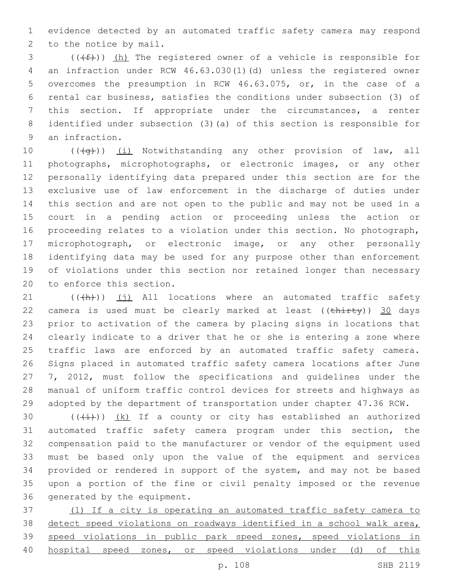evidence detected by an automated traffic safety camera may respond 2 to the notice by mail.

 (( $(f)$ )) (h) The registered owner of a vehicle is responsible for an infraction under RCW 46.63.030(1)(d) unless the registered owner overcomes the presumption in RCW 46.63.075, or, in the case of a rental car business, satisfies the conditions under subsection (3) of this section. If appropriate under the circumstances, a renter identified under subsection (3)(a) of this section is responsible for 9 an infraction.

10 (((+q))) (i) Notwithstanding any other provision of law, all photographs, microphotographs, or electronic images, or any other personally identifying data prepared under this section are for the exclusive use of law enforcement in the discharge of duties under this section and are not open to the public and may not be used in a court in a pending action or proceeding unless the action or proceeding relates to a violation under this section. No photograph, microphotograph, or electronic image, or any other personally identifying data may be used for any purpose other than enforcement of violations under this section nor retained longer than necessary 20 to enforce this section.

 (( $\left(\frac{h}{h}\right)$ ) (j) All locations where an automated traffic safety 22 camera is used must be clearly marked at least  $((\text{thirty}))$  30 days prior to activation of the camera by placing signs in locations that clearly indicate to a driver that he or she is entering a zone where 25 traffic laws are enforced by an automated traffic safety camera. Signs placed in automated traffic safety camera locations after June 27 7, 2012, must follow the specifications and guidelines under the manual of uniform traffic control devices for streets and highways as adopted by the department of transportation under chapter 47.36 RCW.

 $((+i+))$   $(k)$  If a county or city has established an authorized automated traffic safety camera program under this section, the compensation paid to the manufacturer or vendor of the equipment used must be based only upon the value of the equipment and services provided or rendered in support of the system, and may not be based upon a portion of the fine or civil penalty imposed or the revenue 36 generated by the equipment.

 (l) If a city is operating an automated traffic safety camera to 38 detect speed violations on roadways identified in a school walk area, speed violations in public park speed zones, speed violations in hospital speed zones, or speed violations under (d) of this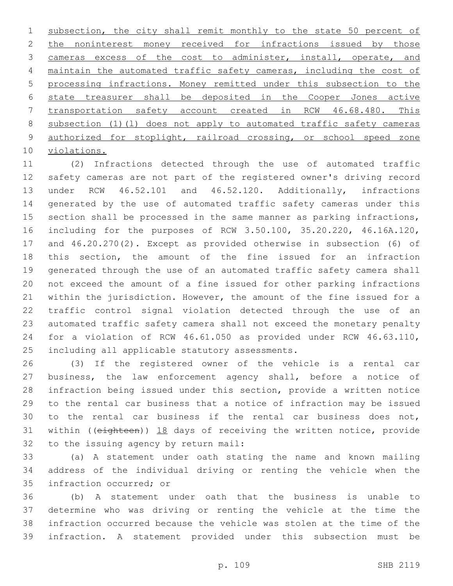1 subsection, the city shall remit monthly to the state 50 percent of 2 the noninterest money received for infractions issued by those cameras excess of the cost to administer, install, operate, and maintain the automated traffic safety cameras, including the cost of processing infractions. Money remitted under this subsection to the state treasurer shall be deposited in the Cooper Jones active transportation safety account created in RCW 46.68.480. This subsection (1)(l) does not apply to automated traffic safety cameras authorized for stoplight, railroad crossing, or school speed zone 10 violations.

 (2) Infractions detected through the use of automated traffic safety cameras are not part of the registered owner's driving record under RCW 46.52.101 and 46.52.120. Additionally, infractions generated by the use of automated traffic safety cameras under this section shall be processed in the same manner as parking infractions, including for the purposes of RCW 3.50.100, 35.20.220, 46.16A.120, and 46.20.270(2). Except as provided otherwise in subsection (6) of this section, the amount of the fine issued for an infraction generated through the use of an automated traffic safety camera shall not exceed the amount of a fine issued for other parking infractions within the jurisdiction. However, the amount of the fine issued for a traffic control signal violation detected through the use of an automated traffic safety camera shall not exceed the monetary penalty for a violation of RCW 46.61.050 as provided under RCW 46.63.110, 25 including all applicable statutory assessments.

 (3) If the registered owner of the vehicle is a rental car business, the law enforcement agency shall, before a notice of infraction being issued under this section, provide a written notice to the rental car business that a notice of infraction may be issued to the rental car business if the rental car business does not, within ((eighteen)) 18 days of receiving the written notice, provide 32 to the issuing agency by return mail:

 (a) A statement under oath stating the name and known mailing address of the individual driving or renting the vehicle when the 35 infraction occurred; or

 (b) A statement under oath that the business is unable to determine who was driving or renting the vehicle at the time the infraction occurred because the vehicle was stolen at the time of the infraction. A statement provided under this subsection must be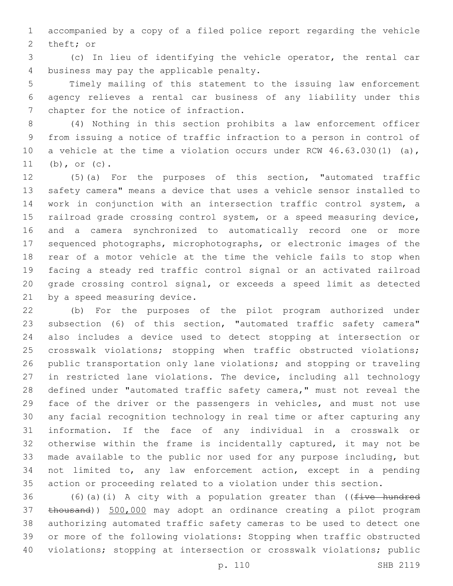accompanied by a copy of a filed police report regarding the vehicle 2 theft; or

 (c) In lieu of identifying the vehicle operator, the rental car 4 business may pay the applicable penalty.

 Timely mailing of this statement to the issuing law enforcement agency relieves a rental car business of any liability under this 7 chapter for the notice of infraction.

 (4) Nothing in this section prohibits a law enforcement officer from issuing a notice of traffic infraction to a person in control of a vehicle at the time a violation occurs under RCW 46.63.030(1) (a), (b), or (c).

 (5)(a) For the purposes of this section, "automated traffic safety camera" means a device that uses a vehicle sensor installed to work in conjunction with an intersection traffic control system, a railroad grade crossing control system, or a speed measuring device, and a camera synchronized to automatically record one or more sequenced photographs, microphotographs, or electronic images of the rear of a motor vehicle at the time the vehicle fails to stop when facing a steady red traffic control signal or an activated railroad grade crossing control signal, or exceeds a speed limit as detected 21 by a speed measuring device.

 (b) For the purposes of the pilot program authorized under subsection (6) of this section, "automated traffic safety camera" also includes a device used to detect stopping at intersection or crosswalk violations; stopping when traffic obstructed violations; public transportation only lane violations; and stopping or traveling in restricted lane violations. The device, including all technology 28 defined under "automated traffic safety camera," must not reveal the face of the driver or the passengers in vehicles, and must not use any facial recognition technology in real time or after capturing any information. If the face of any individual in a crosswalk or otherwise within the frame is incidentally captured, it may not be made available to the public nor used for any purpose including, but not limited to, any law enforcement action, except in a pending action or proceeding related to a violation under this section.

36 (6)(a)(i) A city with a population greater than (( $f$ ive hundred thousand)) 500,000 may adopt an ordinance creating a pilot program authorizing automated traffic safety cameras to be used to detect one or more of the following violations: Stopping when traffic obstructed violations; stopping at intersection or crosswalk violations; public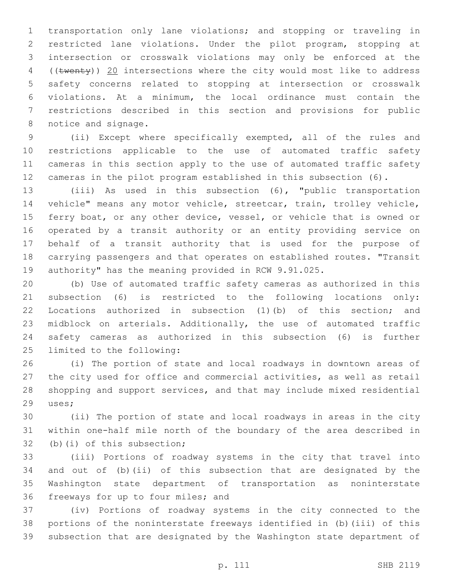transportation only lane violations; and stopping or traveling in restricted lane violations. Under the pilot program, stopping at intersection or crosswalk violations may only be enforced at the 4 ((twenty)) 20 intersections where the city would most like to address safety concerns related to stopping at intersection or crosswalk violations. At a minimum, the local ordinance must contain the restrictions described in this section and provisions for public 8 notice and signage.

 (ii) Except where specifically exempted, all of the rules and restrictions applicable to the use of automated traffic safety cameras in this section apply to the use of automated traffic safety cameras in the pilot program established in this subsection (6).

 (iii) As used in this subsection (6), "public transportation vehicle" means any motor vehicle, streetcar, train, trolley vehicle, 15 ferry boat, or any other device, vessel, or vehicle that is owned or operated by a transit authority or an entity providing service on behalf of a transit authority that is used for the purpose of carrying passengers and that operates on established routes. "Transit authority" has the meaning provided in RCW 9.91.025.

 (b) Use of automated traffic safety cameras as authorized in this subsection (6) is restricted to the following locations only: Locations authorized in subsection (1)(b) of this section; and midblock on arterials. Additionally, the use of automated traffic safety cameras as authorized in this subsection (6) is further 25 limited to the following:

 (i) The portion of state and local roadways in downtown areas of the city used for office and commercial activities, as well as retail shopping and support services, and that may include mixed residential 29 uses;

 (ii) The portion of state and local roadways in areas in the city within one-half mile north of the boundary of the area described in 32 (b)(i) of this subsection;

 (iii) Portions of roadway systems in the city that travel into and out of (b)(ii) of this subsection that are designated by the Washington state department of transportation as noninterstate 36 freeways for up to four miles; and

 (iv) Portions of roadway systems in the city connected to the portions of the noninterstate freeways identified in (b)(iii) of this subsection that are designated by the Washington state department of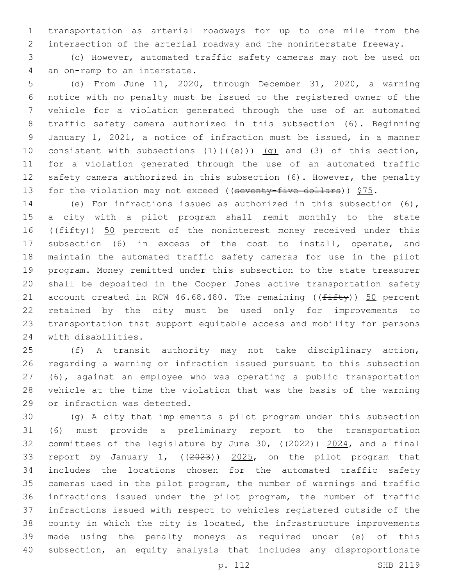transportation as arterial roadways for up to one mile from the intersection of the arterial roadway and the noninterstate freeway.

 (c) However, automated traffic safety cameras may not be used on 4 an on-ramp to an interstate.

 (d) From June 11, 2020, through December 31, 2020, a warning notice with no penalty must be issued to the registered owner of the vehicle for a violation generated through the use of an automated traffic safety camera authorized in this subsection (6). Beginning January 1, 2021, a notice of infraction must be issued, in a manner 10 consistent with subsections  $(1)$   $((+e))$   $(g)$  and  $(3)$  of this section, for a violation generated through the use of an automated traffic safety camera authorized in this subsection (6). However, the penalty 13 for the violation may not exceed ((seventy-five dollars))  $$75.$ 

 (e) For infractions issued as authorized in this subsection (6), a city with a pilot program shall remit monthly to the state 16 ((fifty)) 50 percent of the noninterest money received under this subsection (6) in excess of the cost to install, operate, and maintain the automated traffic safety cameras for use in the pilot program. Money remitted under this subsection to the state treasurer shall be deposited in the Cooper Jones active transportation safety 21 account created in RCW 46.68.480. The remaining ( $(f$ ifty)) 50 percent retained by the city must be used only for improvements to transportation that support equitable access and mobility for persons 24 with disabilities.

 (f) A transit authority may not take disciplinary action, regarding a warning or infraction issued pursuant to this subsection (6), against an employee who was operating a public transportation vehicle at the time the violation that was the basis of the warning 29 or infraction was detected.

 (g) A city that implements a pilot program under this subsection (6) must provide a preliminary report to the transportation committees of the legislature by June 30, ((2022)) 2024, and a final report by January 1, ((2023)) 2025, on the pilot program that includes the locations chosen for the automated traffic safety cameras used in the pilot program, the number of warnings and traffic infractions issued under the pilot program, the number of traffic infractions issued with respect to vehicles registered outside of the county in which the city is located, the infrastructure improvements made using the penalty moneys as required under (e) of this subsection, an equity analysis that includes any disproportionate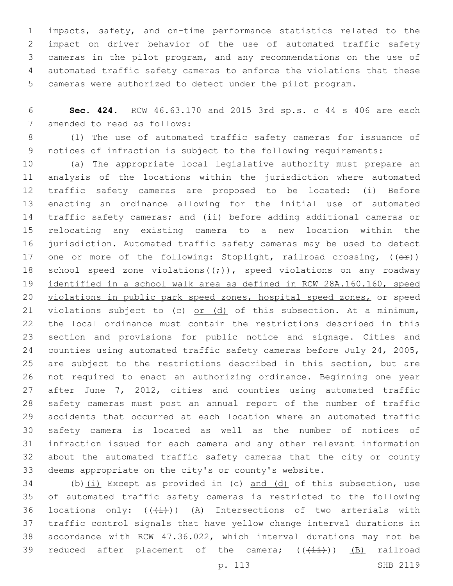impacts, safety, and on-time performance statistics related to the impact on driver behavior of the use of automated traffic safety cameras in the pilot program, and any recommendations on the use of automated traffic safety cameras to enforce the violations that these cameras were authorized to detect under the pilot program.

 **Sec. 424.** RCW 46.63.170 and 2015 3rd sp.s. c 44 s 406 are each 7 amended to read as follows:

 (1) The use of automated traffic safety cameras for issuance of notices of infraction is subject to the following requirements:

 (a) The appropriate local legislative authority must prepare an analysis of the locations within the jurisdiction where automated traffic safety cameras are proposed to be located: (i) Before enacting an ordinance allowing for the initial use of automated traffic safety cameras; and (ii) before adding additional cameras or relocating any existing camera to a new location within the jurisdiction. Automated traffic safety cameras may be used to detect 17 one or more of the following: Stoplight, railroad crossing,  $(\overline{e^*})$ 18 school speed zone violations( $(\div)$ ), speed violations on any roadway identified in a school walk area as defined in RCW 28A.160.160, speed 20 violations in public park speed zones, hospital speed zones, or speed 21 violations subject to (c)  $or$  (d) of this subsection. At a minimum, the local ordinance must contain the restrictions described in this section and provisions for public notice and signage. Cities and counties using automated traffic safety cameras before July 24, 2005, are subject to the restrictions described in this section, but are not required to enact an authorizing ordinance. Beginning one year 27 after June 7, 2012, cities and counties using automated traffic safety cameras must post an annual report of the number of traffic accidents that occurred at each location where an automated traffic safety camera is located as well as the number of notices of infraction issued for each camera and any other relevant information about the automated traffic safety cameras that the city or county deems appropriate on the city's or county's website.

 (b)(i) Except as provided in (c) and (d) of this subsection, use of automated traffic safety cameras is restricted to the following 36 locations only:  $((+i))$   $(A)$  Intersections of two arterials with traffic control signals that have yellow change interval durations in accordance with RCW 47.36.022, which interval durations may not be 39 reduced after placement of the camera;  $((+i+1)(n-1)$  failroad

p. 113 SHB 2119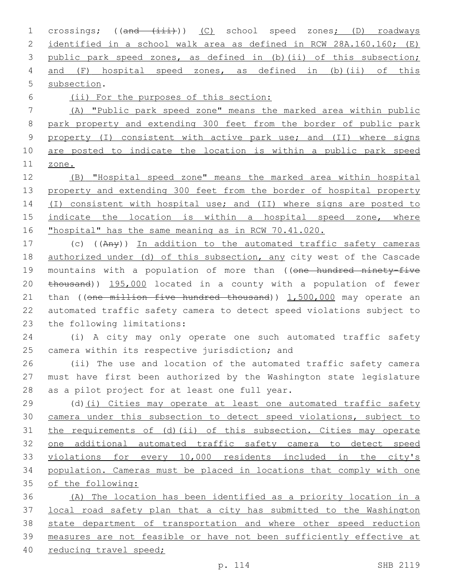1 crossings; ((and (iii))) (C) school speed zones; (D) roadways identified in a school walk area as defined in RCW 28A.160.160; (E) public park speed zones, as defined in (b)(ii) of this subsection; and (F) hospital speed zones, as defined in (b)(ii) of this 5 subsection.

(ii) For the purposes of this section:

 (A) "Public park speed zone" means the marked area within public park property and extending 300 feet from the border of public park property (I) consistent with active park use; and (II) where signs are posted to indicate the location is within a public park speed zone.

 (B) "Hospital speed zone" means the marked area within hospital property and extending 300 feet from the border of hospital property 14 (I) consistent with hospital use; and (II) where signs are posted to indicate the location is within a hospital speed zone, where "hospital" has the same meaning as in RCW 70.41.020.

 (c) ((Any)) In addition to the automated traffic safety cameras 18 authorized under (d) of this subsection, any city west of the Cascade 19 mountains with a population of more than ((one hundred ninety-five thousand)) 195,000 located in a county with a population of fewer 21 than ((one million five hundred thousand)) 1,500,000 may operate an automated traffic safety camera to detect speed violations subject to 23 the following limitations:

 (i) A city may only operate one such automated traffic safety 25 camera within its respective jurisdiction; and

 (ii) The use and location of the automated traffic safety camera must have first been authorized by the Washington state legislature 28 as a pilot project for at least one full year.

 (d)(i) Cities may operate at least one automated traffic safety camera under this subsection to detect speed violations, subject to the requirements of (d)(ii) of this subsection. Cities may operate one additional automated traffic safety camera to detect speed violations for every 10,000 residents included in the city's population. Cameras must be placed in locations that comply with one of the following:

 (A) The location has been identified as a priority location in a local road safety plan that a city has submitted to the Washington state department of transportation and where other speed reduction measures are not feasible or have not been sufficiently effective at reducing travel speed;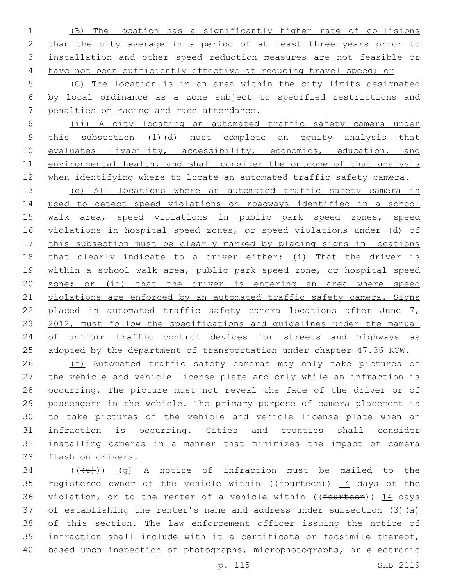(B) The location has a significantly higher rate of collisions 2 than the city average in a period of at least three years prior to installation and other speed reduction measures are not feasible or 4 have not been sufficiently effective at reducing travel speed; or

 (C) The location is in an area within the city limits designated by local ordinance as a zone subject to specified restrictions and penalties on racing and race attendance.

 (ii) A city locating an automated traffic safety camera under this subsection (1)(d) must complete an equity analysis that 10 evaluates livability, accessibility, economics, education, and environmental health, and shall consider the outcome of that analysis 12 when identifying where to locate an automated traffic safety camera.

 (e) All locations where an automated traffic safety camera is used to detect speed violations on roadways identified in a school walk area, speed violations in public park speed zones, speed violations in hospital speed zones, or speed violations under (d) of this subsection must be clearly marked by placing signs in locations that clearly indicate to a driver either: (i) That the driver is within a school walk area, public park speed zone, or hospital speed zone; or (ii) that the driver is entering an area where speed 21 violations are enforced by an automated traffic safety camera. Signs 22 placed in automated traffic safety camera locations after June 7, 23 2012, must follow the specifications and quidelines under the manual of uniform traffic control devices for streets and highways as adopted by the department of transportation under chapter 47.36 RCW.

26 (f) Automated traffic safety cameras may only take pictures of the vehicle and vehicle license plate and only while an infraction is occurring. The picture must not reveal the face of the driver or of passengers in the vehicle. The primary purpose of camera placement is to take pictures of the vehicle and vehicle license plate when an infraction is occurring. Cities and counties shall consider installing cameras in a manner that minimizes the impact of camera 33 flash on drivers.

 (( $\left(\frac{1}{10}\right)$ ) (q) A notice of infraction must be mailed to the 35 registered owner of the vehicle within ((fourteen)) 14 days of the 36 violation, or to the renter of a vehicle within ((fourteen)) 14 days of establishing the renter's name and address under subsection (3)(a) of this section. The law enforcement officer issuing the notice of infraction shall include with it a certificate or facsimile thereof, based upon inspection of photographs, microphotographs, or electronic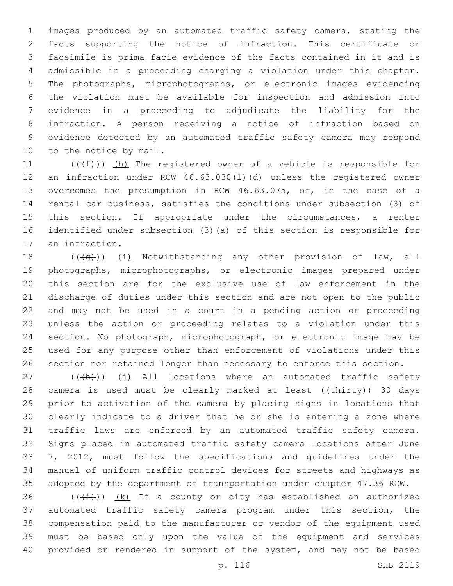images produced by an automated traffic safety camera, stating the facts supporting the notice of infraction. This certificate or facsimile is prima facie evidence of the facts contained in it and is admissible in a proceeding charging a violation under this chapter. The photographs, microphotographs, or electronic images evidencing the violation must be available for inspection and admission into evidence in a proceeding to adjudicate the liability for the infraction. A person receiving a notice of infraction based on evidence detected by an automated traffic safety camera may respond 10 to the notice by mail.

 $((\text{#}))$  (h) The registered owner of a vehicle is responsible for an infraction under RCW 46.63.030(1)(d) unless the registered owner overcomes the presumption in RCW 46.63.075, or, in the case of a rental car business, satisfies the conditions under subsection (3) of 15 this section. If appropriate under the circumstances, a renter identified under subsection (3)(a) of this section is responsible for 17 an infraction.

 $((+q))$   $(i)$  Notwithstanding any other provision of law, all photographs, microphotographs, or electronic images prepared under this section are for the exclusive use of law enforcement in the discharge of duties under this section and are not open to the public and may not be used in a court in a pending action or proceeding unless the action or proceeding relates to a violation under this section. No photograph, microphotograph, or electronic image may be used for any purpose other than enforcement of violations under this section nor retained longer than necessary to enforce this section.

 (( $\frac{h}{h}$ )) (j) All locations where an automated traffic safety 28 camera is used must be clearly marked at least ((thirty)) 30 days prior to activation of the camera by placing signs in locations that clearly indicate to a driver that he or she is entering a zone where traffic laws are enforced by an automated traffic safety camera. Signs placed in automated traffic safety camera locations after June 7, 2012, must follow the specifications and guidelines under the manual of uniform traffic control devices for streets and highways as adopted by the department of transportation under chapter 47.36 RCW.

 $((\overline{(\dagger)}))(k)$  If a county or city has established an authorized automated traffic safety camera program under this section, the compensation paid to the manufacturer or vendor of the equipment used must be based only upon the value of the equipment and services provided or rendered in support of the system, and may not be based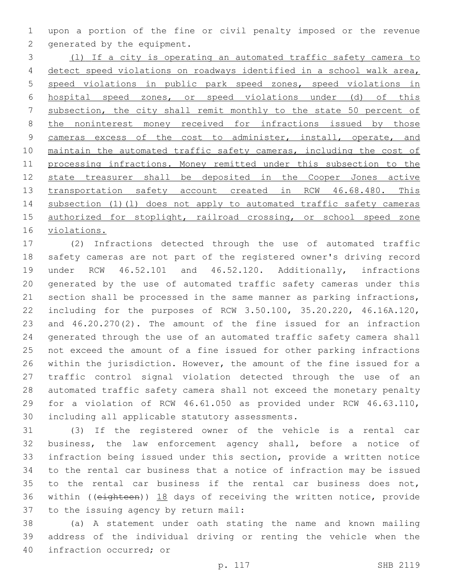upon a portion of the fine or civil penalty imposed or the revenue 2 generated by the equipment.

 (l) If a city is operating an automated traffic safety camera to detect speed violations on roadways identified in a school walk area, speed violations in public park speed zones, speed violations in hospital speed zones, or speed violations under (d) of this subsection, the city shall remit monthly to the state 50 percent of 8 the noninterest money received for infractions issued by those 9 cameras excess of the cost to administer, install, operate, and 10 maintain the automated traffic safety cameras, including the cost of processing infractions. Money remitted under this subsection to the state treasurer shall be deposited in the Cooper Jones active 13 transportation safety account created in RCW 46.68.480. This subsection (1)(l) does not apply to automated traffic safety cameras 15 authorized for stoplight, railroad crossing, or school speed zone violations.

 (2) Infractions detected through the use of automated traffic safety cameras are not part of the registered owner's driving record under RCW 46.52.101 and 46.52.120. Additionally, infractions generated by the use of automated traffic safety cameras under this section shall be processed in the same manner as parking infractions, including for the purposes of RCW 3.50.100, 35.20.220, 46.16A.120, and 46.20.270(2). The amount of the fine issued for an infraction generated through the use of an automated traffic safety camera shall not exceed the amount of a fine issued for other parking infractions within the jurisdiction. However, the amount of the fine issued for a traffic control signal violation detected through the use of an automated traffic safety camera shall not exceed the monetary penalty for a violation of RCW 46.61.050 as provided under RCW 46.63.110, 30 including all applicable statutory assessments.

 (3) If the registered owner of the vehicle is a rental car business, the law enforcement agency shall, before a notice of infraction being issued under this section, provide a written notice to the rental car business that a notice of infraction may be issued to the rental car business if the rental car business does not, within ((eighteen)) 18 days of receiving the written notice, provide 37 to the issuing agency by return mail:

 (a) A statement under oath stating the name and known mailing address of the individual driving or renting the vehicle when the 40 infraction occurred; or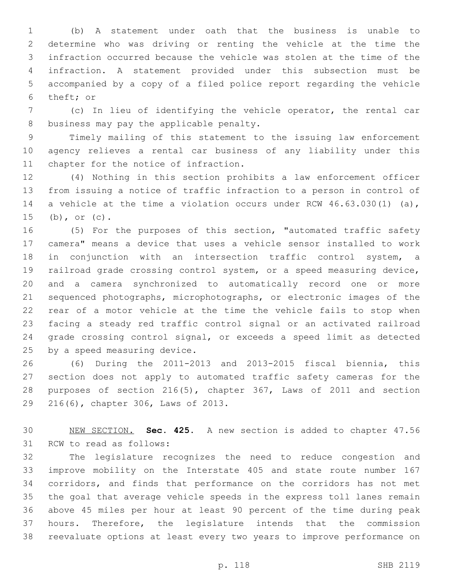(b) A statement under oath that the business is unable to determine who was driving or renting the vehicle at the time the infraction occurred because the vehicle was stolen at the time of the infraction. A statement provided under this subsection must be accompanied by a copy of a filed police report regarding the vehicle 6 theft; or

 (c) In lieu of identifying the vehicle operator, the rental car 8 business may pay the applicable penalty.

 Timely mailing of this statement to the issuing law enforcement agency relieves a rental car business of any liability under this 11 chapter for the notice of infraction.

 (4) Nothing in this section prohibits a law enforcement officer from issuing a notice of traffic infraction to a person in control of a vehicle at the time a violation occurs under RCW 46.63.030(1) (a), (b), or (c).

 (5) For the purposes of this section, "automated traffic safety camera" means a device that uses a vehicle sensor installed to work in conjunction with an intersection traffic control system, a railroad grade crossing control system, or a speed measuring device, and a camera synchronized to automatically record one or more sequenced photographs, microphotographs, or electronic images of the rear of a motor vehicle at the time the vehicle fails to stop when facing a steady red traffic control signal or an activated railroad grade crossing control signal, or exceeds a speed limit as detected 25 by a speed measuring device.

 (6) During the 2011-2013 and 2013-2015 fiscal biennia, this section does not apply to automated traffic safety cameras for the purposes of section 216(5), chapter 367, Laws of 2011 and section 29 216(6), chapter 306, Laws of 2013.

 NEW SECTION. **Sec. 425.** A new section is added to chapter 47.56 31 RCW to read as follows:

 The legislature recognizes the need to reduce congestion and improve mobility on the Interstate 405 and state route number 167 corridors, and finds that performance on the corridors has not met the goal that average vehicle speeds in the express toll lanes remain above 45 miles per hour at least 90 percent of the time during peak hours. Therefore, the legislature intends that the commission reevaluate options at least every two years to improve performance on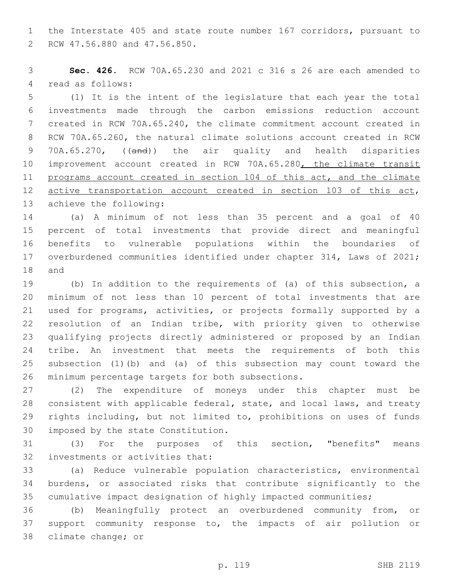the Interstate 405 and state route number 167 corridors, pursuant to 2 RCW 47.56.880 and 47.56.850.

 **Sec. 426.** RCW 70A.65.230 and 2021 c 316 s 26 are each amended to 4 read as follows:

 (1) It is the intent of the legislature that each year the total investments made through the carbon emissions reduction account created in RCW 70A.65.240, the climate commitment account created in RCW 70A.65.260, the natural climate solutions account created in RCW 9 70A.65.270, ((and)) the air quality and health disparities 10 improvement account created in RCW 70A.65.280, the climate transit programs account created in section 104 of this act, and the climate 12 active transportation account created in section 103 of this act, 13 achieve the following:

 (a) A minimum of not less than 35 percent and a goal of 40 percent of total investments that provide direct and meaningful benefits to vulnerable populations within the boundaries of overburdened communities identified under chapter 314, Laws of 2021; 18 and

 (b) In addition to the requirements of (a) of this subsection, a minimum of not less than 10 percent of total investments that are used for programs, activities, or projects formally supported by a resolution of an Indian tribe, with priority given to otherwise qualifying projects directly administered or proposed by an Indian tribe. An investment that meets the requirements of both this subsection (1)(b) and (a) of this subsection may count toward the 26 minimum percentage targets for both subsections.

 (2) The expenditure of moneys under this chapter must be consistent with applicable federal, state, and local laws, and treaty rights including, but not limited to, prohibitions on uses of funds 30 imposed by the state Constitution.

 (3) For the purposes of this section, "benefits" means 32 investments or activities that:

 (a) Reduce vulnerable population characteristics, environmental burdens, or associated risks that contribute significantly to the cumulative impact designation of highly impacted communities;

 (b) Meaningfully protect an overburdened community from, or support community response to, the impacts of air pollution or 38 climate change; or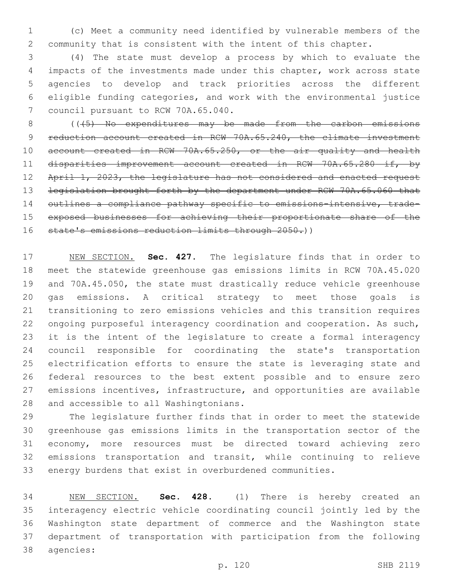(c) Meet a community need identified by vulnerable members of the community that is consistent with the intent of this chapter.

 (4) The state must develop a process by which to evaluate the impacts of the investments made under this chapter, work across state agencies to develop and track priorities across the different eligible funding categories, and work with the environmental justice 7 council pursuant to RCW 70A.65.040.

8 (( $\left($  ( $\left($   $\left\langle$   $\right\langle$   $\right\rangle$   $\right)$  No expenditures may be made from the carbon emissions 9 reduction account created in RCW 70A.65.240, the climate investment account created in RCW 70A.65.250, or the air quality and health disparities improvement account created in RCW 70A.65.280 if, by 12 April 1, 2023, the legislature has not considered and enacted request 13 legislation brought forth by the department under RCW 70A.65.060 that 14 outlines a compliance pathway specific to emissions-intensive, trade- exposed businesses for achieving their proportionate share of the 16 state's emissions reduction limits through 2050.))

 NEW SECTION. **Sec. 427.** The legislature finds that in order to meet the statewide greenhouse gas emissions limits in RCW 70A.45.020 and 70A.45.050, the state must drastically reduce vehicle greenhouse gas emissions. A critical strategy to meet those goals is transitioning to zero emissions vehicles and this transition requires ongoing purposeful interagency coordination and cooperation. As such, it is the intent of the legislature to create a formal interagency council responsible for coordinating the state's transportation electrification efforts to ensure the state is leveraging state and federal resources to the best extent possible and to ensure zero emissions incentives, infrastructure, and opportunities are available and accessible to all Washingtonians.

 The legislature further finds that in order to meet the statewide greenhouse gas emissions limits in the transportation sector of the economy, more resources must be directed toward achieving zero emissions transportation and transit, while continuing to relieve energy burdens that exist in overburdened communities.

 NEW SECTION. **Sec. 428.** (1) There is hereby created an interagency electric vehicle coordinating council jointly led by the Washington state department of commerce and the Washington state department of transportation with participation from the following agencies: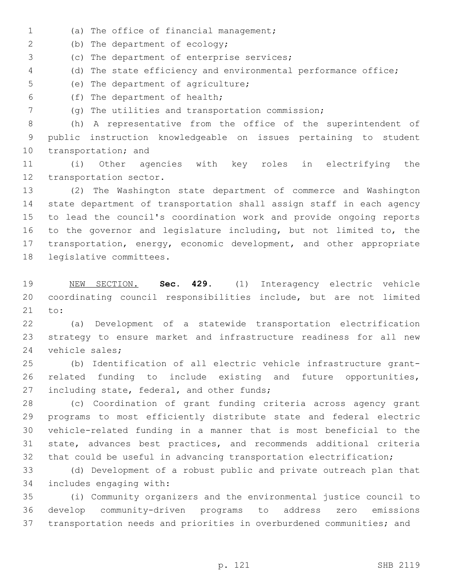- (a) The office of financial management;1
- 2 (b) The department of ecology;
- 3 (c) The department of enterprise services;
- (d) The state efficiency and environmental performance office;
- 5 (e) The department of agriculture;
- (f) The department of health;6
- (g) The utilities and transportation commission;

 (h) A representative from the office of the superintendent of public instruction knowledgeable on issues pertaining to student 10 transportation; and

 (i) Other agencies with key roles in electrifying the 12 transportation sector.

 (2) The Washington state department of commerce and Washington state department of transportation shall assign staff in each agency to lead the council's coordination work and provide ongoing reports to the governor and legislature including, but not limited to, the transportation, energy, economic development, and other appropriate 18 legislative committees.

 NEW SECTION. **Sec. 429.** (1) Interagency electric vehicle coordinating council responsibilities include, but are not limited to:

 (a) Development of a statewide transportation electrification strategy to ensure market and infrastructure readiness for all new 24 vehicle sales;

 (b) Identification of all electric vehicle infrastructure grant- related funding to include existing and future opportunities, 27 including state, federal, and other funds;

 (c) Coordination of grant funding criteria across agency grant programs to most efficiently distribute state and federal electric vehicle-related funding in a manner that is most beneficial to the state, advances best practices, and recommends additional criteria that could be useful in advancing transportation electrification;

 (d) Development of a robust public and private outreach plan that 34 includes engaging with:

 (i) Community organizers and the environmental justice council to develop community-driven programs to address zero emissions transportation needs and priorities in overburdened communities; and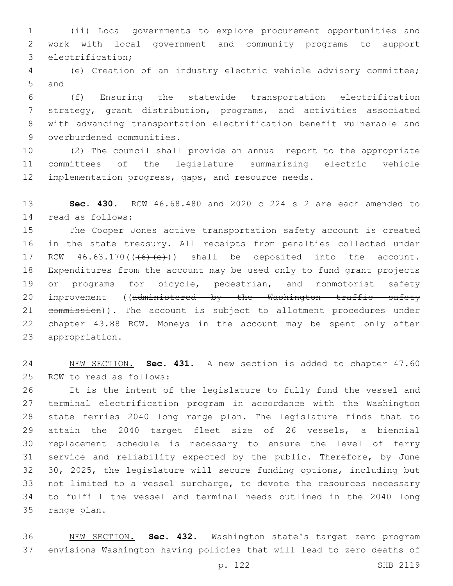(ii) Local governments to explore procurement opportunities and work with local government and community programs to support 3 electrification;

 (e) Creation of an industry electric vehicle advisory committee; 5 and

 (f) Ensuring the statewide transportation electrification strategy, grant distribution, programs, and activities associated with advancing transportation electrification benefit vulnerable and 9 overburdened communities.

 (2) The council shall provide an annual report to the appropriate committees of the legislature summarizing electric vehicle implementation progress, gaps, and resource needs.

 **Sec. 430.** RCW 46.68.480 and 2020 c 224 s 2 are each amended to read as follows:14

 The Cooper Jones active transportation safety account is created in the state treasury. All receipts from penalties collected under 17 RCW  $46.63.170$  ( $(46)$   $(e)$ )) shall be deposited into the account. Expenditures from the account may be used only to fund grant projects 19 or programs for bicycle, pedestrian, and nonmotorist safety 20 improvement ((administered by the Washington traffic safety 21 eommission)). The account is subject to allotment procedures under chapter 43.88 RCW. Moneys in the account may be spent only after 23 appropriation.

 NEW SECTION. **Sec. 431.** A new section is added to chapter 47.60 25 RCW to read as follows:

 It is the intent of the legislature to fully fund the vessel and terminal electrification program in accordance with the Washington state ferries 2040 long range plan. The legislature finds that to attain the 2040 target fleet size of 26 vessels, a biennial replacement schedule is necessary to ensure the level of ferry service and reliability expected by the public. Therefore, by June 30, 2025, the legislature will secure funding options, including but not limited to a vessel surcharge, to devote the resources necessary to fulfill the vessel and terminal needs outlined in the 2040 long 35 range plan.

 NEW SECTION. **Sec. 432.** Washington state's target zero program envisions Washington having policies that will lead to zero deaths of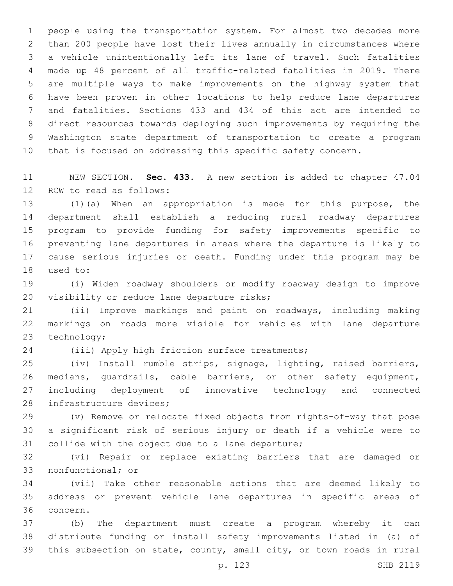people using the transportation system. For almost two decades more than 200 people have lost their lives annually in circumstances where a vehicle unintentionally left its lane of travel. Such fatalities made up 48 percent of all traffic-related fatalities in 2019. There are multiple ways to make improvements on the highway system that have been proven in other locations to help reduce lane departures and fatalities. Sections 433 and 434 of this act are intended to direct resources towards deploying such improvements by requiring the Washington state department of transportation to create a program that is focused on addressing this specific safety concern.

 NEW SECTION. **Sec. 433.** A new section is added to chapter 47.04 12 RCW to read as follows:

 (1)(a) When an appropriation is made for this purpose, the department shall establish a reducing rural roadway departures program to provide funding for safety improvements specific to preventing lane departures in areas where the departure is likely to cause serious injuries or death. Funding under this program may be 18 used to:

 (i) Widen roadway shoulders or modify roadway design to improve 20 visibility or reduce lane departure risks;

 (ii) Improve markings and paint on roadways, including making markings on roads more visible for vehicles with lane departure 23 technology;

24 (iii) Apply high friction surface treatments;

 (iv) Install rumble strips, signage, lighting, raised barriers, medians, guardrails, cable barriers, or other safety equipment, including deployment of innovative technology and connected 28 infrastructure devices;

 (v) Remove or relocate fixed objects from rights-of-way that pose a significant risk of serious injury or death if a vehicle were to 31 collide with the object due to a lane departure;

 (vi) Repair or replace existing barriers that are damaged or 33 nonfunctional; or

 (vii) Take other reasonable actions that are deemed likely to address or prevent vehicle lane departures in specific areas of 36 concern.

 (b) The department must create a program whereby it can distribute funding or install safety improvements listed in (a) of this subsection on state, county, small city, or town roads in rural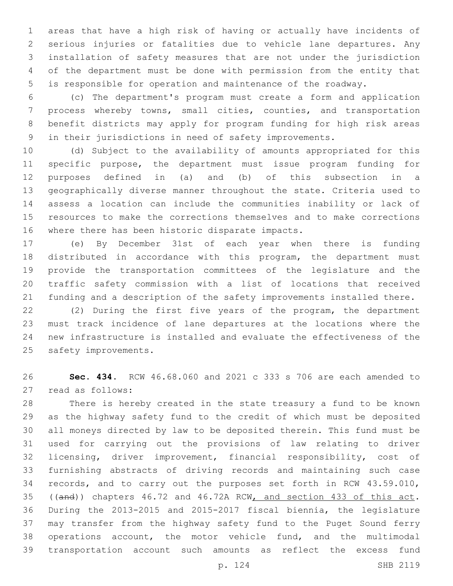areas that have a high risk of having or actually have incidents of serious injuries or fatalities due to vehicle lane departures. Any installation of safety measures that are not under the jurisdiction of the department must be done with permission from the entity that is responsible for operation and maintenance of the roadway.

 (c) The department's program must create a form and application process whereby towns, small cities, counties, and transportation benefit districts may apply for program funding for high risk areas in their jurisdictions in need of safety improvements.

 (d) Subject to the availability of amounts appropriated for this specific purpose, the department must issue program funding for purposes defined in (a) and (b) of this subsection in a geographically diverse manner throughout the state. Criteria used to assess a location can include the communities inability or lack of resources to make the corrections themselves and to make corrections 16 where there has been historic disparate impacts.

 (e) By December 31st of each year when there is funding distributed in accordance with this program, the department must provide the transportation committees of the legislature and the traffic safety commission with a list of locations that received funding and a description of the safety improvements installed there.

 (2) During the first five years of the program, the department must track incidence of lane departures at the locations where the new infrastructure is installed and evaluate the effectiveness of the 25 safety improvements.

 **Sec. 434.** RCW 46.68.060 and 2021 c 333 s 706 are each amended to 27 read as follows:

 There is hereby created in the state treasury a fund to be known as the highway safety fund to the credit of which must be deposited all moneys directed by law to be deposited therein. This fund must be used for carrying out the provisions of law relating to driver licensing, driver improvement, financial responsibility, cost of furnishing abstracts of driving records and maintaining such case records, and to carry out the purposes set forth in RCW 43.59.010, 35 ((and)) chapters 46.72 and 46.72A RCW, and section 433 of this act. During the 2013-2015 and 2015-2017 fiscal biennia, the legislature may transfer from the highway safety fund to the Puget Sound ferry operations account, the motor vehicle fund, and the multimodal transportation account such amounts as reflect the excess fund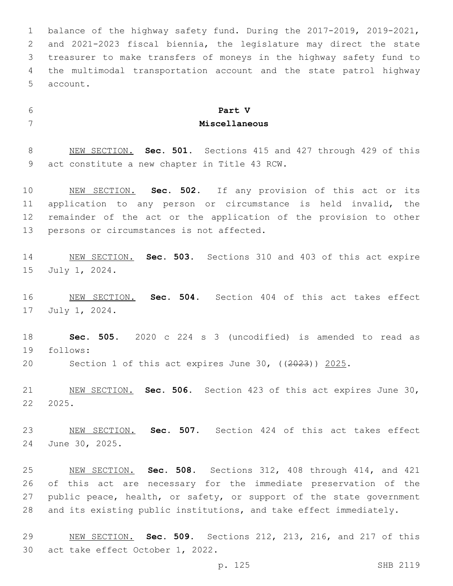balance of the highway safety fund. During the 2017-2019, 2019-2021, and 2021-2023 fiscal biennia, the legislature may direct the state treasurer to make transfers of moneys in the highway safety fund to the multimodal transportation account and the state patrol highway 5 account.

## **Part V Miscellaneous**

 NEW SECTION. **Sec. 501.** Sections 415 and 427 through 429 of this act constitute a new chapter in Title 43 RCW.

 NEW SECTION. **Sec. 502.** If any provision of this act or its application to any person or circumstance is held invalid, the remainder of the act or the application of the provision to other persons or circumstances is not affected.

 NEW SECTION. **Sec. 503.** Sections 310 and 403 of this act expire July 1, 2024.

 NEW SECTION. **Sec. 504.** Section 404 of this act takes effect 17 July 1, 2024.

 **Sec. 505.** 2020 c 224 s 3 (uncodified) is amended to read as 19 follows:

Section 1 of this act expires June 30, ((2023)) 2025.

 NEW SECTION. **Sec. 506.** Section 423 of this act expires June 30, 2025.

 NEW SECTION. **Sec. 507.** Section 424 of this act takes effect June 30, 2025.

 NEW SECTION. **Sec. 508.** Sections 312, 408 through 414, and 421 of this act are necessary for the immediate preservation of the 27 public peace, health, or safety, or support of the state government and its existing public institutions, and take effect immediately.

 NEW SECTION. **Sec. 509.** Sections 212, 213, 216, and 217 of this act take effect October 1, 2022.